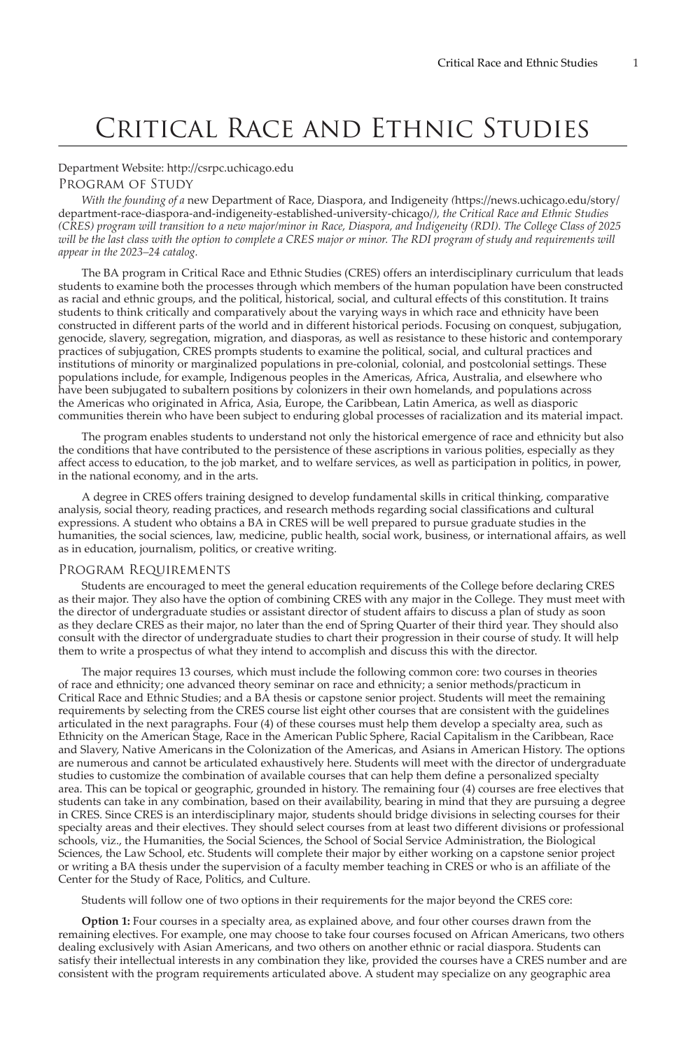# Critical Race and Ethnic Studies

# Department Website:<http://csrpc.uchicago.edu>

# Program of Study

*With the founding of a* [new Department of Race, Diaspora, and Indigeneity](https://news.uchicago.edu/story/department-race-diaspora-and-indigeneity-established-university-chicago/) *(*[https://news.uchicago.edu/story/](https://news.uchicago.edu/story/department-race-diaspora-and-indigeneity-established-university-chicago/) [department-race-diaspora-and-indigeneity-established-university-chicago/](https://news.uchicago.edu/story/department-race-diaspora-and-indigeneity-established-university-chicago/)*), the Critical Race and Ethnic Studies (CRES) program will transition to a new major/minor in Race, Diaspora, and Indigeneity (RDI). The College Class of 2025 will be the last class with the option to complete a CRES major or minor. The RDI program of study and requirements will appear in the 2023–24 catalog.*

The BA program in Critical Race and Ethnic Studies (CRES) offers an interdisciplinary curriculum that leads students to examine both the processes through which members of the human population have been constructed as racial and ethnic groups, and the political, historical, social, and cultural effects of this constitution. It trains students to think critically and comparatively about the varying ways in which race and ethnicity have been constructed in different parts of the world and in different historical periods. Focusing on conquest, subjugation, genocide, slavery, segregation, migration, and diasporas, as well as resistance to these historic and contemporary practices of subjugation, CRES prompts students to examine the political, social, and cultural practices and institutions of minority or marginalized populations in pre-colonial, colonial, and postcolonial settings. These populations include, for example, Indigenous peoples in the Americas, Africa, Australia, and elsewhere who have been subjugated to subaltern positions by colonizers in their own homelands, and populations across the Americas who originated in Africa, Asia, Europe, the Caribbean, Latin America, as well as diasporic communities therein who have been subject to enduring global processes of racialization and its material impact.

The program enables students to understand not only the historical emergence of race and ethnicity but also the conditions that have contributed to the persistence of these ascriptions in various polities, especially as they affect access to education, to the job market, and to welfare services, as well as participation in politics, in power, in the national economy, and in the arts.

A degree in CRES offers training designed to develop fundamental skills in critical thinking, comparative analysis, social theory, reading practices, and research methods regarding social classifications and cultural expressions. A student who obtains a BA in CRES will be well prepared to pursue graduate studies in the humanities, the social sciences, law, medicine, public health, social work, business, or international affairs, as well as in education, journalism, politics, or creative writing.

#### Program Requirements

Students are encouraged to meet the general education requirements of the College before declaring CRES as their major. They also have the option of combining CRES with any major in the College. They must meet with the director of undergraduate studies or assistant director of student affairs to discuss a plan of study as soon as they declare CRES as their major, no later than the end of Spring Quarter of their third year. They should also consult with the director of undergraduate studies to chart their progression in their course of study. It will help them to write a prospectus of what they intend to accomplish and discuss this with the director.

The major requires 13 courses, which must include the following common core: two courses in theories of race and ethnicity; one advanced theory seminar on race and ethnicity; a senior methods/practicum in Critical Race and Ethnic Studies; and a BA thesis or capstone senior project. Students will meet the remaining requirements by selecting from the CRES course list eight other courses that are consistent with the guidelines articulated in the next paragraphs. Four (4) of these courses must help them develop a specialty area, such as Ethnicity on the American Stage, Race in the American Public Sphere, Racial Capitalism in the Caribbean, Race and Slavery, Native Americans in the Colonization of the Americas, and Asians in American History. The options are numerous and cannot be articulated exhaustively here. Students will meet with the director of undergraduate studies to customize the combination of available courses that can help them define a personalized specialty area. This can be topical or geographic, grounded in history. The remaining four (4) courses are free electives that students can take in any combination, based on their availability, bearing in mind that they are pursuing a degree in CRES. Since CRES is an interdisciplinary major, students should bridge divisions in selecting courses for their specialty areas and their electives. They should select courses from at least two different divisions or professional schools, viz., the Humanities, the Social Sciences, the School of Social Service Administration, the Biological Sciences, the Law School, etc. Students will complete their major by either working on a capstone senior project or writing a BA thesis under the supervision of a faculty member teaching in CRES or who is an affiliate of the Center for the Study of Race, Politics, and Culture.

Students will follow one of two options in their requirements for the major beyond the CRES core:

**Option 1:** Four courses in a specialty area, as explained above, and four other courses drawn from the remaining electives. For example, one may choose to take four courses focused on African Americans, two others dealing exclusively with Asian Americans, and two others on another ethnic or racial diaspora. Students can satisfy their intellectual interests in any combination they like, provided the courses have a CRES number and are consistent with the program requirements articulated above. A student may specialize on any geographic area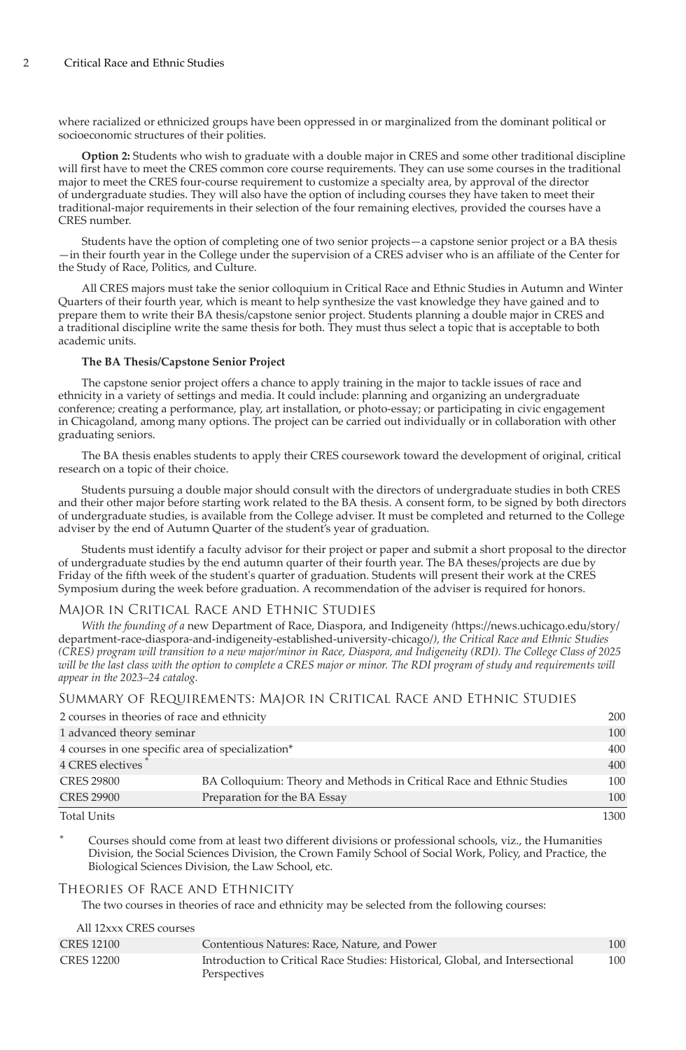where racialized or ethnicized groups have been oppressed in or marginalized from the dominant political or socioeconomic structures of their polities.

**Option 2:** Students who wish to graduate with a double major in CRES and some other traditional discipline will first have to meet the CRES common core course requirements. They can use some courses in the traditional major to meet the CRES four-course requirement to customize a specialty area, by approval of the director of undergraduate studies. They will also have the option of including courses they have taken to meet their traditional-major requirements in their selection of the four remaining electives, provided the courses have a CRES number.

Students have the option of completing one of two senior projects—a capstone senior project or a BA thesis —in their fourth year in the College under the supervision of a CRES adviser who is an affiliate of the Center for the Study of Race, Politics, and Culture.

All CRES majors must take the senior colloquium in Critical Race and Ethnic Studies in Autumn and Winter Quarters of their fourth year, which is meant to help synthesize the vast knowledge they have gained and to prepare them to write their BA thesis/capstone senior project. Students planning a double major in CRES and a traditional discipline write the same thesis for both. They must thus select a topic that is acceptable to both academic units.

#### **The BA Thesis/Capstone Senior Project**

The capstone senior project offers a chance to apply training in the major to tackle issues of race and ethnicity in a variety of settings and media. It could include: planning and organizing an undergraduate conference; creating a performance, play, art installation, or photo-essay; or participating in civic engagement in Chicagoland, among many options. The project can be carried out individually or in collaboration with other graduating seniors.

The BA thesis enables students to apply their CRES coursework toward the development of original, critical research on a topic of their choice.

Students pursuing a double major should consult with the directors of undergraduate studies in both CRES and their other major before starting work related to the BA thesis. A consent form, to be signed by both directors of undergraduate studies, is available from the College adviser. It must be completed and returned to the College adviser by the end of Autumn Quarter of the student's year of graduation.

Students must identify a faculty advisor for their project or paper and submit a short proposal to the director of undergraduate studies by the end autumn quarter of their fourth year. The BA theses/projects are due by Friday of the fifth week of the student's quarter of graduation. Students will present their work at the CRES Symposium during the week before graduation. A recommendation of the adviser is required for honors.

#### Major in Critical Race and Ethnic Studies

*With the founding of a* [new Department of Race, Diaspora, and Indigeneity](https://news.uchicago.edu/story/department-race-diaspora-and-indigeneity-established-university-chicago/) *(*[https://news.uchicago.edu/story/](https://news.uchicago.edu/story/department-race-diaspora-and-indigeneity-established-university-chicago/) [department-race-diaspora-and-indigeneity-established-university-chicago/](https://news.uchicago.edu/story/department-race-diaspora-and-indigeneity-established-university-chicago/)*), the Critical Race and Ethnic Studies (CRES) program will transition to a new major/minor in Race, Diaspora, and Indigeneity (RDI). The College Class of 2025 will be the last class with the option to complete a CRES major or minor. The RDI program of study and requirements will appear in the 2023–24 catalog.*

Summary of Requirements: Major in Critical Race and Ethnic Studies

| 2 courses in theories of race and ethnicity       |                                                                       | 200  |
|---------------------------------------------------|-----------------------------------------------------------------------|------|
| 1 advanced theory seminar                         |                                                                       | 100  |
| 4 courses in one specific area of specialization* |                                                                       | 400  |
| 4 CRES electives                                  |                                                                       | 400  |
| <b>CRES 29800</b>                                 | BA Colloquium: Theory and Methods in Critical Race and Ethnic Studies | 100  |
| <b>CRES 29900</b>                                 | Preparation for the BA Essay                                          | 100  |
| <b>Total Units</b>                                |                                                                       | 1300 |

Courses should come from at least two different divisions or professional schools, viz., the Humanities Division, the Social Sciences Division, the Crown Family School of Social Work, Policy, and Practice, the Biological Sciences Division, the Law School, etc.

# Theories of Race and Ethnicity

The two courses in theories of race and ethnicity may be selected from the following courses:

| All 12xxx CRES courses |                                                                                               |     |
|------------------------|-----------------------------------------------------------------------------------------------|-----|
| <b>CRES 12100</b>      | Contentious Natures: Race, Nature, and Power                                                  | 100 |
| <b>CRES 12200</b>      | Introduction to Critical Race Studies: Historical, Global, and Intersectional<br>Perspectives | 100 |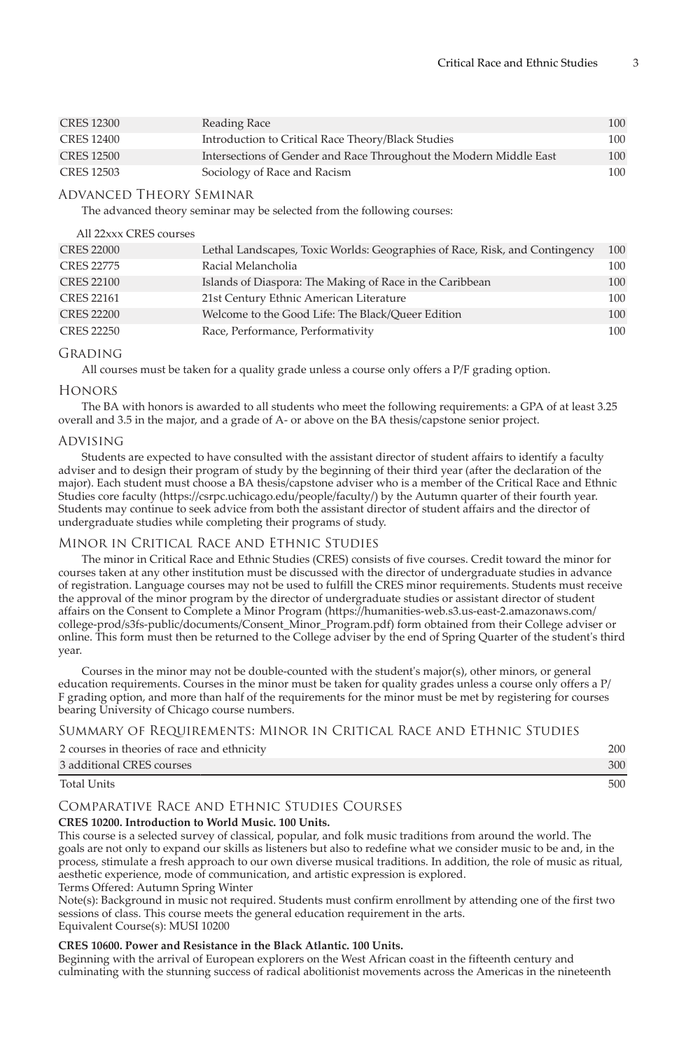| <b>CRES 12300</b> | Reading Race                                                       | 100 |
|-------------------|--------------------------------------------------------------------|-----|
| CRES 12400        | Introduction to Critical Race Theory/Black Studies                 | 100 |
| <b>CRES 12500</b> | Intersections of Gender and Race Throughout the Modern Middle East | 100 |
| CRES 12503        | Sociology of Race and Racism                                       | 100 |

# Advanced Theory Seminar

The advanced theory seminar may be selected from the following courses:

# All 22xxx CRES courses

| <b>CRES 22000</b> | Lethal Landscapes, Toxic Worlds: Geographies of Race, Risk, and Contingency | 100 |
|-------------------|-----------------------------------------------------------------------------|-----|
| <b>CRES 22775</b> | Racial Melancholia                                                          | 100 |
| <b>CRES 22100</b> | Islands of Diaspora: The Making of Race in the Caribbean                    | 100 |
| <b>CRES 22161</b> | 21st Century Ethnic American Literature                                     | 100 |
| <b>CRES 22200</b> | Welcome to the Good Life: The Black/Queer Edition                           | 100 |
| <b>CRES 22250</b> | Race, Performance, Performativity                                           | 100 |

# Grading

All courses must be taken for a quality grade unless a course only offers a P/F grading option.

# Honors

The BA with honors is awarded to all students who meet the following requirements: a GPA of at least 3.25 overall and 3.5 in the major, and a grade of A- or above on the BA thesis/capstone senior project.

# Advising

Students are expected to have consulted with the assistant director of student affairs to identify a faculty adviser and to design their program of study by the beginning of their third year (after the declaration of the major). Each student must choose a BA thesis/capstone adviser who is a member of the [Critical Race and Ethnic](https://csrpc.uchicago.edu/people/faculty/) [Studies core faculty](https://csrpc.uchicago.edu/people/faculty/) (<https://csrpc.uchicago.edu/people/faculty/>) by the Autumn quarter of their fourth year. Students may continue to seek advice from both the assistant director of student affairs and the director of undergraduate studies while completing their programs of study.

# Minor in Critical Race and Ethnic Studies

The minor in Critical Race and Ethnic Studies (CRES) consists of five courses. Credit toward the minor for courses taken at any other institution must be discussed with the director of undergraduate studies in advance of registration. Language courses may not be used to fulfill the CRES minor requirements. Students must receive the approval of the minor program by the director of undergraduate studies or assistant director of student affairs on the [Consent to Complete a Minor Program](https://humanities-web.s3.us-east-2.amazonaws.com/college-prod/s3fs-public/documents/Consent_Minor_Program.pdf) ([https://humanities-web.s3.us-east-2.amazonaws.com/](https://humanities-web.s3.us-east-2.amazonaws.com/college-prod/s3fs-public/documents/Consent_Minor_Program.pdf) [college-prod/s3fs-public/documents/Consent\\_Minor\\_Program.pdf](https://humanities-web.s3.us-east-2.amazonaws.com/college-prod/s3fs-public/documents/Consent_Minor_Program.pdf)) form obtained from their College adviser or online. This form must then be returned to the College adviser by the end of Spring Quarter of the student's third year.

Courses in the minor may not be double-counted with the student's major(s), other minors, or general education requirements. Courses in the minor must be taken for quality grades unless a course only offers a P/ F grading option, and more than half of the requirements for the minor must be met by registering for courses bearing University of Chicago course numbers.

# Summary of Requirements: Minor in Critical Race and Ethnic Studies

| 2 courses in theories of race and ethnicity | 200 |
|---------------------------------------------|-----|
| 3 additional CRES courses                   | 300 |
| <b>Total Units</b>                          | 500 |

# Comparative Race and Ethnic Studies Courses

# **CRES 10200. Introduction to World Music. 100 Units.**

This course is a selected survey of classical, popular, and folk music traditions from around the world. The goals are not only to expand our skills as listeners but also to redefine what we consider music to be and, in the process, stimulate a fresh approach to our own diverse musical traditions. In addition, the role of music as ritual, aesthetic experience, mode of communication, and artistic expression is explored. Terms Offered: Autumn Spring Winter

Note(s): Background in music not required. Students must confirm enrollment by attending one of the first two sessions of class. This course meets the general education requirement in the arts.

# Equivalent Course(s): MUSI 10200

# **CRES 10600. Power and Resistance in the Black Atlantic. 100 Units.**

Beginning with the arrival of European explorers on the West African coast in the fifteenth century and culminating with the stunning success of radical abolitionist movements across the Americas in the nineteenth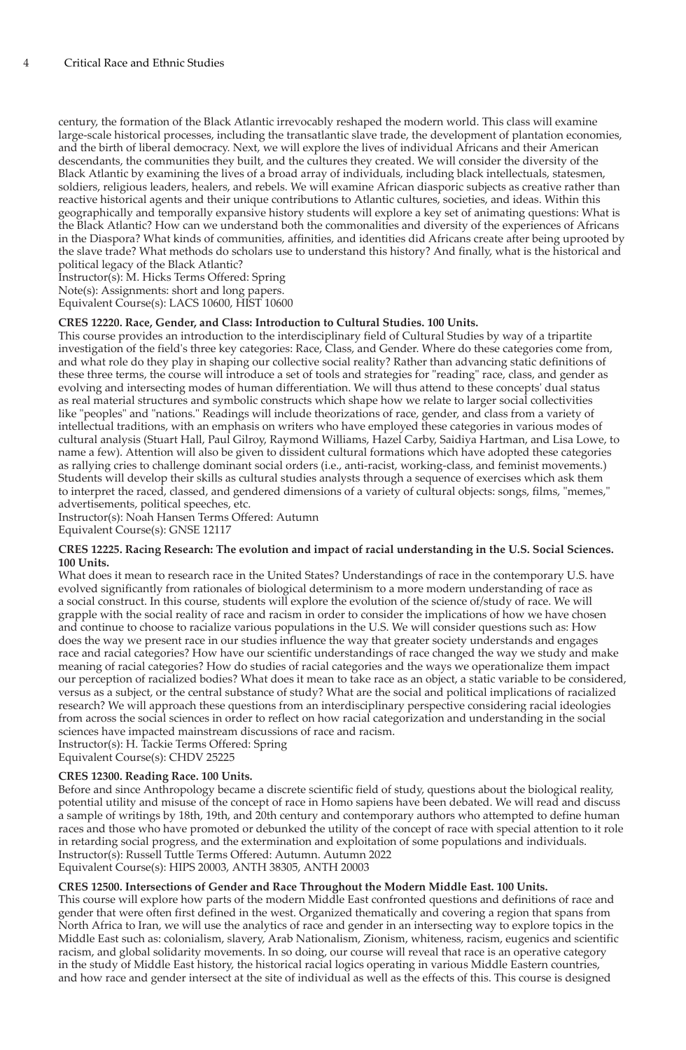century, the formation of the Black Atlantic irrevocably reshaped the modern world. This class will examine large-scale historical processes, including the transatlantic slave trade, the development of plantation economies, and the birth of liberal democracy. Next, we will explore the lives of individual Africans and their American descendants, the communities they built, and the cultures they created. We will consider the diversity of the Black Atlantic by examining the lives of a broad array of individuals, including black intellectuals, statesmen, soldiers, religious leaders, healers, and rebels. We will examine African diasporic subjects as creative rather than reactive historical agents and their unique contributions to Atlantic cultures, societies, and ideas. Within this geographically and temporally expansive history students will explore a key set of animating questions: What is the Black Atlantic? How can we understand both the commonalities and diversity of the experiences of Africans in the Diaspora? What kinds of communities, affinities, and identities did Africans create after being uprooted by the slave trade? What methods do scholars use to understand this history? And finally, what is the historical and political legacy of the Black Atlantic?

Instructor(s): M. Hicks Terms Offered: Spring

Note(s): Assignments: short and long papers.

Equivalent Course(s): LACS 10600, HIST 10600

# **CRES 12220. Race, Gender, and Class: Introduction to Cultural Studies. 100 Units.**

This course provides an introduction to the interdisciplinary field of Cultural Studies by way of a tripartite investigation of the field's three key categories: Race, Class, and Gender. Where do these categories come from, and what role do they play in shaping our collective social reality? Rather than advancing static definitions of these three terms, the course will introduce a set of tools and strategies for "reading" race, class, and gender as evolving and intersecting modes of human differentiation. We will thus attend to these concepts' dual status as real material structures and symbolic constructs which shape how we relate to larger social collectivities like "peoples" and "nations." Readings will include theorizations of race, gender, and class from a variety of intellectual traditions, with an emphasis on writers who have employed these categories in various modes of cultural analysis (Stuart Hall, Paul Gilroy, Raymond Williams, Hazel Carby, Saidiya Hartman, and Lisa Lowe, to name a few). Attention will also be given to dissident cultural formations which have adopted these categories as rallying cries to challenge dominant social orders (i.e., anti-racist, working-class, and feminist movements.) Students will develop their skills as cultural studies analysts through a sequence of exercises which ask them to interpret the raced, classed, and gendered dimensions of a variety of cultural objects: songs, films, "memes," advertisements, political speeches, etc.

Instructor(s): Noah Hansen Terms Offered: Autumn Equivalent Course(s): GNSE 12117

#### **CRES 12225. Racing Research: The evolution and impact of racial understanding in the U.S. Social Sciences. 100 Units.**

What does it mean to research race in the United States? Understandings of race in the contemporary U.S. have evolved significantly from rationales of biological determinism to a more modern understanding of race as a social construct. In this course, students will explore the evolution of the science of/study of race. We will grapple with the social reality of race and racism in order to consider the implications of how we have chosen and continue to choose to racialize various populations in the U.S. We will consider questions such as: How does the way we present race in our studies influence the way that greater society understands and engages race and racial categories? How have our scientific understandings of race changed the way we study and make meaning of racial categories? How do studies of racial categories and the ways we operationalize them impact our perception of racialized bodies? What does it mean to take race as an object, a static variable to be considered, versus as a subject, or the central substance of study? What are the social and political implications of racialized research? We will approach these questions from an interdisciplinary perspective considering racial ideologies from across the social sciences in order to reflect on how racial categorization and understanding in the social sciences have impacted mainstream discussions of race and racism. Instructor(s): H. Tackie Terms Offered: Spring

Equivalent Course(s): CHDV 25225

#### **CRES 12300. Reading Race. 100 Units.**

Before and since Anthropology became a discrete scientific field of study, questions about the biological reality, potential utility and misuse of the concept of race in Homo sapiens have been debated. We will read and discuss a sample of writings by 18th, 19th, and 20th century and contemporary authors who attempted to define human races and those who have promoted or debunked the utility of the concept of race with special attention to it role in retarding social progress, and the extermination and exploitation of some populations and individuals. Instructor(s): Russell Tuttle Terms Offered: Autumn. Autumn 2022 Equivalent Course(s): HIPS 20003, ANTH 38305, ANTH 20003

#### **CRES 12500. Intersections of Gender and Race Throughout the Modern Middle East. 100 Units.**

This course will explore how parts of the modern Middle East confronted questions and definitions of race and gender that were often first defined in the west. Organized thematically and covering a region that spans from North Africa to Iran, we will use the analytics of race and gender in an intersecting way to explore topics in the Middle East such as: colonialism, slavery, Arab Nationalism, Zionism, whiteness, racism, eugenics and scientific racism, and global solidarity movements. In so doing, our course will reveal that race is an operative category in the study of Middle East history, the historical racial logics operating in various Middle Eastern countries, and how race and gender intersect at the site of individual as well as the effects of this. This course is designed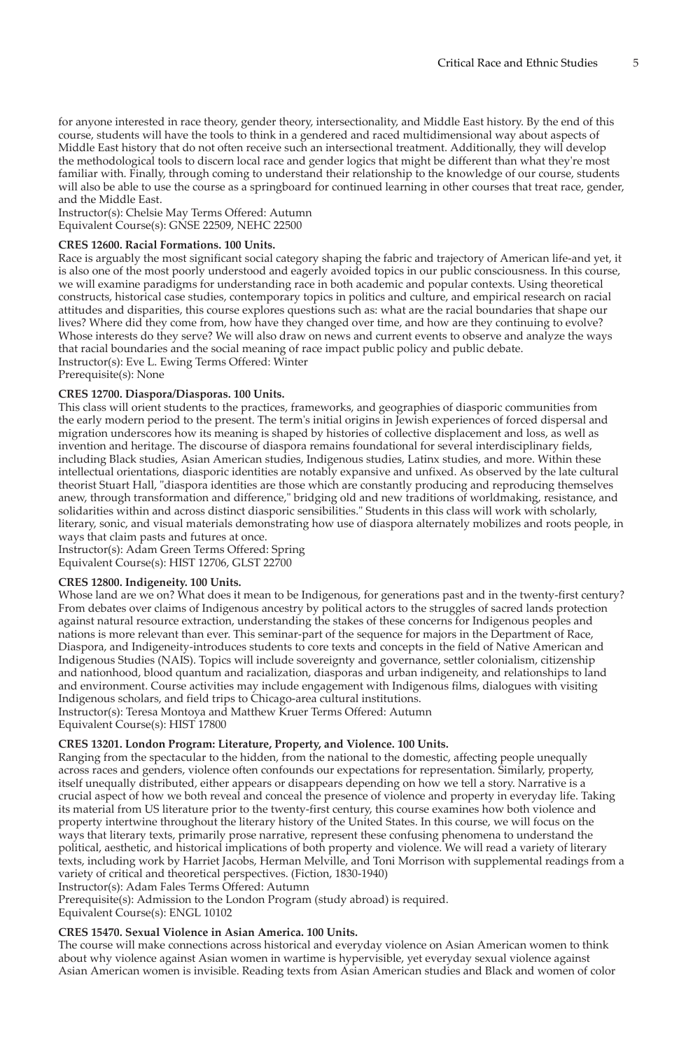for anyone interested in race theory, gender theory, intersectionality, and Middle East history. By the end of this course, students will have the tools to think in a gendered and raced multidimensional way about aspects of Middle East history that do not often receive such an intersectional treatment. Additionally, they will develop the methodological tools to discern local race and gender logics that might be different than what they're most familiar with. Finally, through coming to understand their relationship to the knowledge of our course, students will also be able to use the course as a springboard for continued learning in other courses that treat race, gender, and the Middle East.

Instructor(s): Chelsie May Terms Offered: Autumn Equivalent Course(s): GNSE 22509, NEHC 22500

# **CRES 12600. Racial Formations. 100 Units.**

Race is arguably the most significant social category shaping the fabric and trajectory of American life-and yet, it is also one of the most poorly understood and eagerly avoided topics in our public consciousness. In this course, we will examine paradigms for understanding race in both academic and popular contexts. Using theoretical constructs, historical case studies, contemporary topics in politics and culture, and empirical research on racial attitudes and disparities, this course explores questions such as: what are the racial boundaries that shape our lives? Where did they come from, how have they changed over time, and how are they continuing to evolve? Whose interests do they serve? We will also draw on news and current events to observe and analyze the ways that racial boundaries and the social meaning of race impact public policy and public debate. Instructor(s): Eve L. Ewing Terms Offered: Winter Prerequisite(s): None

# **CRES 12700. Diaspora/Diasporas. 100 Units.**

This class will orient students to the practices, frameworks, and geographies of diasporic communities from the early modern period to the present. The term's initial origins in Jewish experiences of forced dispersal and migration underscores how its meaning is shaped by histories of collective displacement and loss, as well as invention and heritage. The discourse of diaspora remains foundational for several interdisciplinary fields, including Black studies, Asian American studies, Indigenous studies, Latinx studies, and more. Within these intellectual orientations, diasporic identities are notably expansive and unfixed. As observed by the late cultural theorist Stuart Hall, "diaspora identities are those which are constantly producing and reproducing themselves anew, through transformation and difference," bridging old and new traditions of worldmaking, resistance, and solidarities within and across distinct diasporic sensibilities." Students in this class will work with scholarly, literary, sonic, and visual materials demonstrating how use of diaspora alternately mobilizes and roots people, in ways that claim pasts and futures at once.

Instructor(s): Adam Green Terms Offered: Spring Equivalent Course(s): HIST 12706, GLST 22700

#### **CRES 12800. Indigeneity. 100 Units.**

Whose land are we on? What does it mean to be Indigenous, for generations past and in the twenty-first century? From debates over claims of Indigenous ancestry by political actors to the struggles of sacred lands protection against natural resource extraction, understanding the stakes of these concerns for Indigenous peoples and nations is more relevant than ever. This seminar-part of the sequence for majors in the Department of Race, Diaspora, and Indigeneity-introduces students to core texts and concepts in the field of Native American and Indigenous Studies (NAIS). Topics will include sovereignty and governance, settler colonialism, citizenship and nationhood, blood quantum and racialization, diasporas and urban indigeneity, and relationships to land and environment. Course activities may include engagement with Indigenous films, dialogues with visiting Indigenous scholars, and field trips to Chicago-area cultural institutions. Instructor(s): Teresa Montoya and Matthew Kruer Terms Offered: Autumn Equivalent Course(s): HIST 17800

#### **CRES 13201. London Program: Literature, Property, and Violence. 100 Units.**

Ranging from the spectacular to the hidden, from the national to the domestic, affecting people unequally across races and genders, violence often confounds our expectations for representation. Similarly, property, itself unequally distributed, either appears or disappears depending on how we tell a story. Narrative is a crucial aspect of how we both reveal and conceal the presence of violence and property in everyday life. Taking its material from US literature prior to the twenty-first century, this course examines how both violence and property intertwine throughout the literary history of the United States. In this course, we will focus on the ways that literary texts, primarily prose narrative, represent these confusing phenomena to understand the political, aesthetic, and historical implications of both property and violence. We will read a variety of literary texts, including work by Harriet Jacobs, Herman Melville, and Toni Morrison with supplemental readings from a variety of critical and theoretical perspectives. (Fiction, 1830-1940)

Instructor(s): Adam Fales Terms Offered: Autumn

Prerequisite(s): Admission to the London Program (study abroad) is required. Equivalent Course(s): ENGL 10102

#### **CRES 15470. Sexual Violence in Asian America. 100 Units.**

The course will make connections across historical and everyday violence on Asian American women to think about why violence against Asian women in wartime is hypervisible, yet everyday sexual violence against Asian American women is invisible. Reading texts from Asian American studies and Black and women of color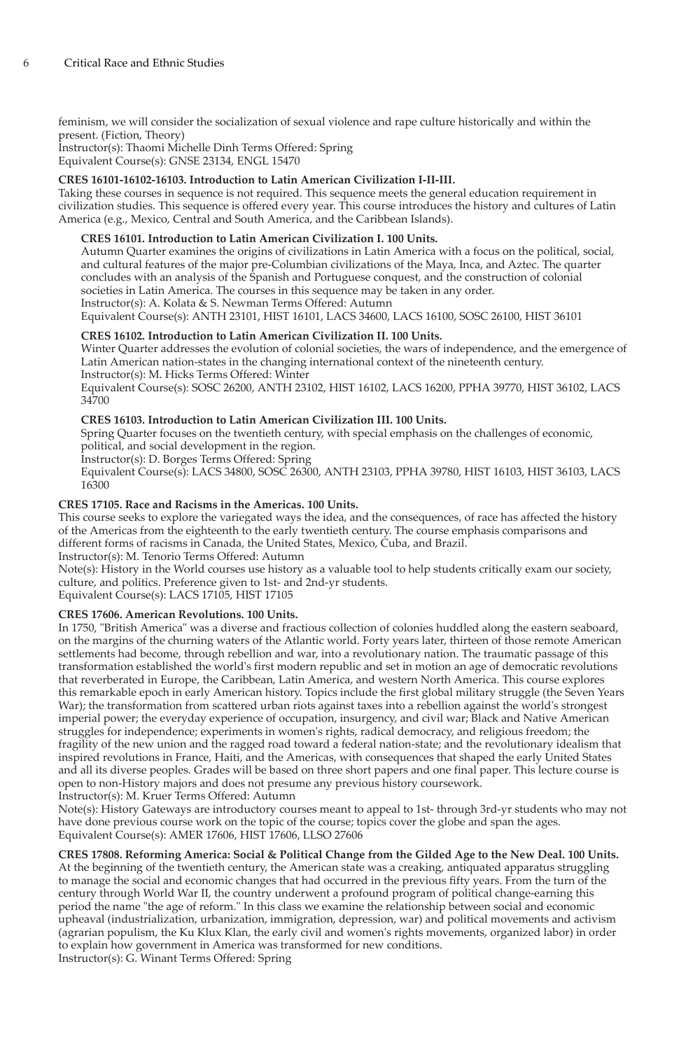feminism, we will consider the socialization of sexual violence and rape culture historically and within the present. (Fiction, Theory)

Instructor(s): Thaomi Michelle Dinh Terms Offered: Spring Equivalent Course(s): GNSE 23134, ENGL 15470

# **CRES 16101-16102-16103. Introduction to Latin American Civilization I-II-III.**

Taking these courses in sequence is not required. This sequence meets the general education requirement in civilization studies. This sequence is offered every year. This course introduces the history and cultures of Latin America (e.g., Mexico, Central and South America, and the Caribbean Islands).

# **CRES 16101. Introduction to Latin American Civilization I. 100 Units.**

Autumn Quarter examines the origins of civilizations in Latin America with a focus on the political, social, and cultural features of the major pre-Columbian civilizations of the Maya, Inca, and Aztec. The quarter concludes with an analysis of the Spanish and Portuguese conquest, and the construction of colonial societies in Latin America. The courses in this sequence may be taken in any order. Instructor(s): A. Kolata & S. Newman Terms Offered: Autumn

Equivalent Course(s): ANTH 23101, HIST 16101, LACS 34600, LACS 16100, SOSC 26100, HIST 36101

# **CRES 16102. Introduction to Latin American Civilization II. 100 Units.**

Winter Quarter addresses the evolution of colonial societies, the wars of independence, and the emergence of Latin American nation-states in the changing international context of the nineteenth century. Instructor(s): M. Hicks Terms Offered: Winter

Equivalent Course(s): SOSC 26200, ANTH 23102, HIST 16102, LACS 16200, PPHA 39770, HIST 36102, LACS 34700

# **CRES 16103. Introduction to Latin American Civilization III. 100 Units.**

Spring Quarter focuses on the twentieth century, with special emphasis on the challenges of economic,

political, and social development in the region. Instructor(s): D. Borges Terms Offered: Spring

Equivalent Course(s): LACS 34800, SOSC 26300, ANTH 23103, PPHA 39780, HIST 16103, HIST 36103, LACS 16300

# **CRES 17105. Race and Racisms in the Americas. 100 Units.**

This course seeks to explore the variegated ways the idea, and the consequences, of race has affected the history of the Americas from the eighteenth to the early twentieth century. The course emphasis comparisons and different forms of racisms in Canada, the United States, Mexico, Cuba, and Brazil.

Instructor(s): M. Tenorio Terms Offered: Autumn

Note(s): History in the World courses use history as a valuable tool to help students critically exam our society, culture, and politics. Preference given to 1st- and 2nd-yr students.

Equivalent Course(s): LACS 17105, HIST 17105

# **CRES 17606. American Revolutions. 100 Units.**

In 1750, "British America" was a diverse and fractious collection of colonies huddled along the eastern seaboard, on the margins of the churning waters of the Atlantic world. Forty years later, thirteen of those remote American settlements had become, through rebellion and war, into a revolutionary nation. The traumatic passage of this transformation established the world's first modern republic and set in motion an age of democratic revolutions that reverberated in Europe, the Caribbean, Latin America, and western North America. This course explores this remarkable epoch in early American history. Topics include the first global military struggle (the Seven Years War); the transformation from scattered urban riots against taxes into a rebellion against the world's strongest imperial power; the everyday experience of occupation, insurgency, and civil war; Black and Native American struggles for independence; experiments in women's rights, radical democracy, and religious freedom; the fragility of the new union and the ragged road toward a federal nation-state; and the revolutionary idealism that inspired revolutions in France, Haiti, and the Americas, with consequences that shaped the early United States and all its diverse peoples. Grades will be based on three short papers and one final paper. This lecture course is open to non-History majors and does not presume any previous history coursework. Instructor(s): M. Kruer Terms Offered: Autumn

Note(s): History Gateways are introductory courses meant to appeal to 1st- through 3rd-yr students who may not have done previous course work on the topic of the course; topics cover the globe and span the ages. Equivalent Course(s): AMER 17606, HIST 17606, LLSO 27606

**CRES 17808. Reforming America: Social & Political Change from the Gilded Age to the New Deal. 100 Units.** At the beginning of the twentieth century, the American state was a creaking, antiquated apparatus struggling to manage the social and economic changes that had occurred in the previous fifty years. From the turn of the century through World War II, the country underwent a profound program of political change-earning this period the name "the age of reform." In this class we examine the relationship between social and economic upheaval (industrialization, urbanization, immigration, depression, war) and political movements and activism (agrarian populism, the Ku Klux Klan, the early civil and women's rights movements, organized labor) in order to explain how government in America was transformed for new conditions. Instructor(s): G. Winant Terms Offered: Spring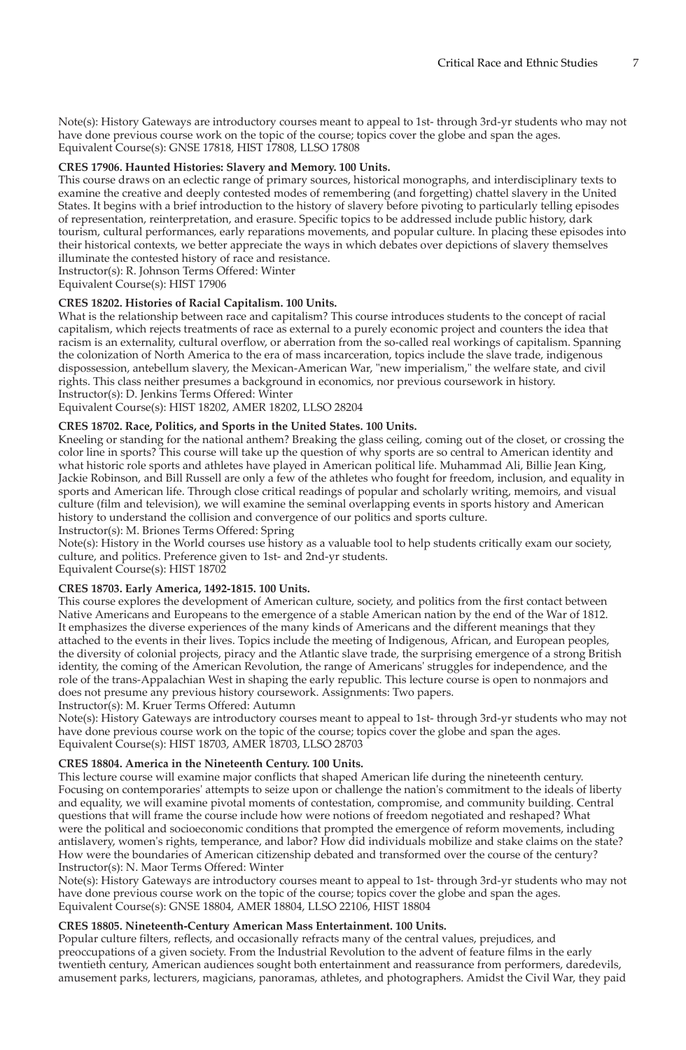Note(s): History Gateways are introductory courses meant to appeal to 1st- through 3rd-yr students who may not have done previous course work on the topic of the course; topics cover the globe and span the ages. Equivalent Course(s): GNSE 17818, HIST 17808, LLSO 17808

# **CRES 17906. Haunted Histories: Slavery and Memory. 100 Units.**

This course draws on an eclectic range of primary sources, historical monographs, and interdisciplinary texts to examine the creative and deeply contested modes of remembering (and forgetting) chattel slavery in the United States. It begins with a brief introduction to the history of slavery before pivoting to particularly telling episodes of representation, reinterpretation, and erasure. Specific topics to be addressed include public history, dark tourism, cultural performances, early reparations movements, and popular culture. In placing these episodes into their historical contexts, we better appreciate the ways in which debates over depictions of slavery themselves illuminate the contested history of race and resistance.

Instructor(s): R. Johnson Terms Offered: Winter

Equivalent Course(s): HIST 17906

# **CRES 18202. Histories of Racial Capitalism. 100 Units.**

What is the relationship between race and capitalism? This course introduces students to the concept of racial capitalism, which rejects treatments of race as external to a purely economic project and counters the idea that racism is an externality, cultural overflow, or aberration from the so-called real workings of capitalism. Spanning the colonization of North America to the era of mass incarceration, topics include the slave trade, indigenous dispossession, antebellum slavery, the Mexican-American War, "new imperialism," the welfare state, and civil rights. This class neither presumes a background in economics, nor previous coursework in history. Instructor(s): D. Jenkins Terms Offered: Winter

Equivalent Course(s): HIST 18202, AMER 18202, LLSO 28204

# **CRES 18702. Race, Politics, and Sports in the United States. 100 Units.**

Kneeling or standing for the national anthem? Breaking the glass ceiling, coming out of the closet, or crossing the color line in sports? This course will take up the question of why sports are so central to American identity and what historic role sports and athletes have played in American political life. Muhammad Ali, Billie Jean King, Jackie Robinson, and Bill Russell are only a few of the athletes who fought for freedom, inclusion, and equality in sports and American life. Through close critical readings of popular and scholarly writing, memoirs, and visual culture (film and television), we will examine the seminal overlapping events in sports history and American history to understand the collision and convergence of our politics and sports culture.

Instructor(s): M. Briones Terms Offered: Spring

Note(s): History in the World courses use history as a valuable tool to help students critically exam our society, culture, and politics. Preference given to 1st- and 2nd-yr students.

Equivalent Course(s): HIST 18702

# **CRES 18703. Early America, 1492-1815. 100 Units.**

This course explores the development of American culture, society, and politics from the first contact between Native Americans and Europeans to the emergence of a stable American nation by the end of the War of 1812. It emphasizes the diverse experiences of the many kinds of Americans and the different meanings that they attached to the events in their lives. Topics include the meeting of Indigenous, African, and European peoples, the diversity of colonial projects, piracy and the Atlantic slave trade, the surprising emergence of a strong British identity, the coming of the American Revolution, the range of Americans' struggles for independence, and the role of the trans-Appalachian West in shaping the early republic. This lecture course is open to nonmajors and does not presume any previous history coursework. Assignments: Two papers.

Instructor(s): M. Kruer Terms Offered: Autumn

Note(s): History Gateways are introductory courses meant to appeal to 1st- through 3rd-yr students who may not have done previous course work on the topic of the course; topics cover the globe and span the ages. Equivalent Course(s): HIST 18703, AMER 18703, LLSO 28703

# **CRES 18804. America in the Nineteenth Century. 100 Units.**

This lecture course will examine major conflicts that shaped American life during the nineteenth century. Focusing on contemporaries' attempts to seize upon or challenge the nation's commitment to the ideals of liberty and equality, we will examine pivotal moments of contestation, compromise, and community building. Central questions that will frame the course include how were notions of freedom negotiated and reshaped? What were the political and socioeconomic conditions that prompted the emergence of reform movements, including antislavery, women's rights, temperance, and labor? How did individuals mobilize and stake claims on the state? How were the boundaries of American citizenship debated and transformed over the course of the century? Instructor(s): N. Maor Terms Offered: Winter

Note(s): History Gateways are introductory courses meant to appeal to 1st- through 3rd-yr students who may not have done previous course work on the topic of the course; topics cover the globe and span the ages. Equivalent Course(s): GNSE 18804, AMER 18804, LLSO 22106, HIST 18804

#### **CRES 18805. Nineteenth-Century American Mass Entertainment. 100 Units.**

Popular culture filters, reflects, and occasionally refracts many of the central values, prejudices, and preoccupations of a given society. From the Industrial Revolution to the advent of feature films in the early twentieth century, American audiences sought both entertainment and reassurance from performers, daredevils, amusement parks, lecturers, magicians, panoramas, athletes, and photographers. Amidst the Civil War, they paid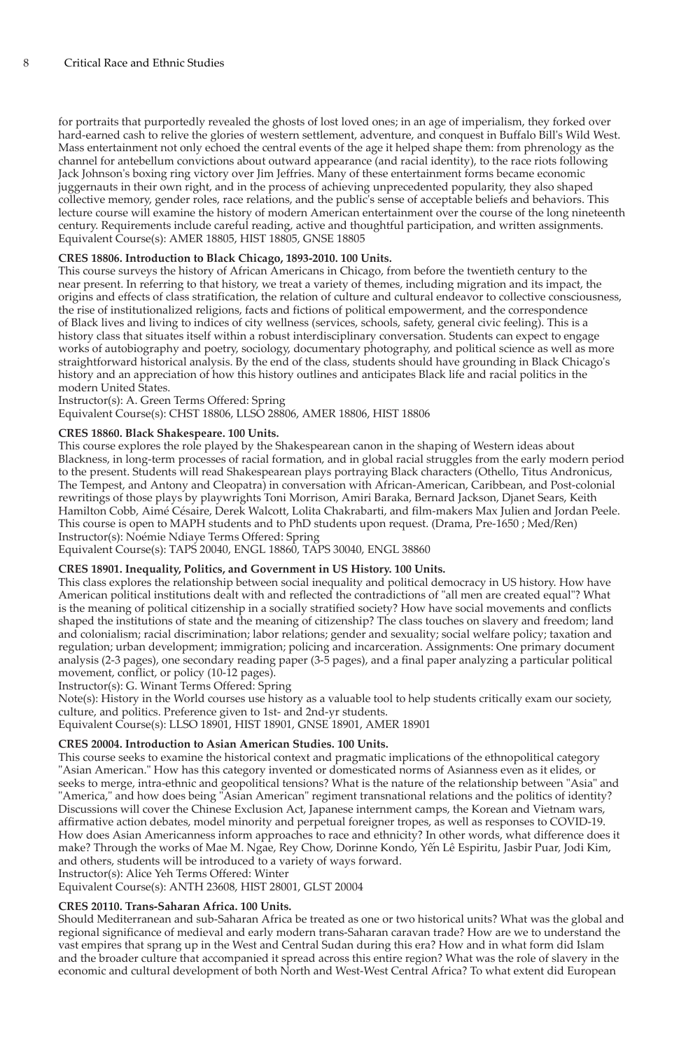for portraits that purportedly revealed the ghosts of lost loved ones; in an age of imperialism, they forked over hard-earned cash to relive the glories of western settlement, adventure, and conquest in Buffalo Bill's Wild West. Mass entertainment not only echoed the central events of the age it helped shape them: from phrenology as the channel for antebellum convictions about outward appearance (and racial identity), to the race riots following Jack Johnson's boxing ring victory over Jim Jeffries. Many of these entertainment forms became economic juggernauts in their own right, and in the process of achieving unprecedented popularity, they also shaped collective memory, gender roles, race relations, and the public's sense of acceptable beliefs and behaviors. This lecture course will examine the history of modern American entertainment over the course of the long nineteenth century. Requirements include careful reading, active and thoughtful participation, and written assignments. Equivalent Course(s): AMER 18805, HIST 18805, GNSE 18805

# **CRES 18806. Introduction to Black Chicago, 1893-2010. 100 Units.**

This course surveys the history of African Americans in Chicago, from before the twentieth century to the near present. In referring to that history, we treat a variety of themes, including migration and its impact, the origins and effects of class stratification, the relation of culture and cultural endeavor to collective consciousness, the rise of institutionalized religions, facts and fictions of political empowerment, and the correspondence of Black lives and living to indices of city wellness (services, schools, safety, general civic feeling). This is a history class that situates itself within a robust interdisciplinary conversation. Students can expect to engage works of autobiography and poetry, sociology, documentary photography, and political science as well as more straightforward historical analysis. By the end of the class, students should have grounding in Black Chicago's history and an appreciation of how this history outlines and anticipates Black life and racial politics in the modern United States.

# Instructor(s): A. Green Terms Offered: Spring

Equivalent Course(s): CHST 18806, LLSO 28806, AMER 18806, HIST 18806

# **CRES 18860. Black Shakespeare. 100 Units.**

This course explores the role played by the Shakespearean canon in the shaping of Western ideas about Blackness, in long-term processes of racial formation, and in global racial struggles from the early modern period to the present. Students will read Shakespearean plays portraying Black characters (Othello, Titus Andronicus, The Tempest, and Antony and Cleopatra) in conversation with African-American, Caribbean, and Post-colonial rewritings of those plays by playwrights Toni Morrison, Amiri Baraka, Bernard Jackson, Djanet Sears, Keith Hamilton Cobb, Aimé Césaire, Derek Walcott, Lolita Chakrabarti, and film-makers Max Julien and Jordan Peele. This course is open to MAPH students and to PhD students upon request. (Drama, Pre-1650 ; Med/Ren) Instructor(s): Noémie Ndiaye Terms Offered: Spring

Equivalent Course(s): TAPS 20040, ENGL 18860, TAPS 30040, ENGL 38860

# **CRES 18901. Inequality, Politics, and Government in US History. 100 Units.**

This class explores the relationship between social inequality and political democracy in US history. How have American political institutions dealt with and reflected the contradictions of "all men are created equal"? What is the meaning of political citizenship in a socially stratified society? How have social movements and conflicts shaped the institutions of state and the meaning of citizenship? The class touches on slavery and freedom; land and colonialism; racial discrimination; labor relations; gender and sexuality; social welfare policy; taxation and regulation; urban development; immigration; policing and incarceration. Assignments: One primary document analysis (2-3 pages), one secondary reading paper (3-5 pages), and a final paper analyzing a particular political movement, conflict, or policy (10-12 pages).

Instructor(s): G. Winant Terms Offered: Spring

Note(s): History in the World courses use history as a valuable tool to help students critically exam our society, culture, and politics. Preference given to 1st- and 2nd-yr students.

Equivalent Course(s): LLSO 18901, HIST 18901, GNSE 18901, AMER 18901

# **CRES 20004. Introduction to Asian American Studies. 100 Units.**

This course seeks to examine the historical context and pragmatic implications of the ethnopolitical category "Asian American." How has this category invented or domesticated norms of Asianness even as it elides, or seeks to merge, intra-ethnic and geopolitical tensions? What is the nature of the relationship between "Asia" and "America," and how does being "Asian American" regiment transnational relations and the politics of identity? Discussions will cover the Chinese Exclusion Act, Japanese internment camps, the Korean and Vietnam wars, affirmative action debates, model minority and perpetual foreigner tropes, as well as responses to COVID-19. How does Asian Americanness inform approaches to race and ethnicity? In other words, what difference does it make? Through the works of Mae M. Ngae, Rey Chow, Dorinne Kondo, Yến Lê Espiritu, Jasbir Puar, Jodi Kim, and others, students will be introduced to a variety of ways forward. Instructor(s): Alice Yeh Terms Offered: Winter

Equivalent Course(s): ANTH 23608, HIST 28001, GLST 20004

# **CRES 20110. Trans-Saharan Africa. 100 Units.**

Should Mediterranean and sub-Saharan Africa be treated as one or two historical units? What was the global and regional significance of medieval and early modern trans-Saharan caravan trade? How are we to understand the vast empires that sprang up in the West and Central Sudan during this era? How and in what form did Islam and the broader culture that accompanied it spread across this entire region? What was the role of slavery in the economic and cultural development of both North and West-West Central Africa? To what extent did European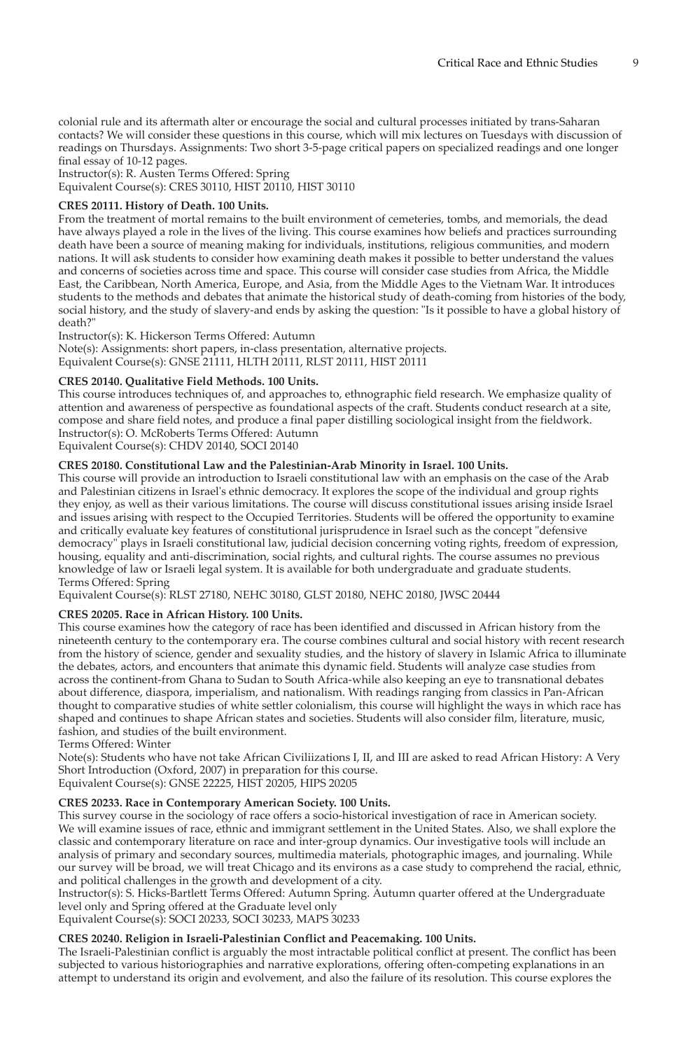colonial rule and its aftermath alter or encourage the social and cultural processes initiated by trans-Saharan contacts? We will consider these questions in this course, which will mix lectures on Tuesdays with discussion of readings on Thursdays. Assignments: Two short 3-5-page critical papers on specialized readings and one longer final essay of 10-12 pages.

Instructor(s): R. Austen Terms Offered: Spring Equivalent Course(s): CRES 30110, HIST 20110, HIST 30110

# **CRES 20111. History of Death. 100 Units.**

From the treatment of mortal remains to the built environment of cemeteries, tombs, and memorials, the dead have always played a role in the lives of the living. This course examines how beliefs and practices surrounding death have been a source of meaning making for individuals, institutions, religious communities, and modern nations. It will ask students to consider how examining death makes it possible to better understand the values and concerns of societies across time and space. This course will consider case studies from Africa, the Middle East, the Caribbean, North America, Europe, and Asia, from the Middle Ages to the Vietnam War. It introduces students to the methods and debates that animate the historical study of death-coming from histories of the body, social history, and the study of slavery-and ends by asking the question: "Is it possible to have a global history of death?"

Instructor(s): K. Hickerson Terms Offered: Autumn

Note(s): Assignments: short papers, in-class presentation, alternative projects. Equivalent Course(s): GNSE 21111, HLTH 20111, RLST 20111, HIST 20111

# **CRES 20140. Qualitative Field Methods. 100 Units.**

This course introduces techniques of, and approaches to, ethnographic field research. We emphasize quality of attention and awareness of perspective as foundational aspects of the craft. Students conduct research at a site, compose and share field notes, and produce a final paper distilling sociological insight from the fieldwork. Instructor(s): O. McRoberts Terms Offered: Autumn

Equivalent Course(s): CHDV 20140, SOCI 20140

# **CRES 20180. Constitutional Law and the Palestinian-Arab Minority in Israel. 100 Units.**

This course will provide an introduction to Israeli constitutional law with an emphasis on the case of the Arab and Palestinian citizens in Israel's ethnic democracy. It explores the scope of the individual and group rights they enjoy, as well as their various limitations. The course will discuss constitutional issues arising inside Israel and issues arising with respect to the Occupied Territories. Students will be offered the opportunity to examine and critically evaluate key features of constitutional jurisprudence in Israel such as the concept "defensive democracy" plays in Israeli constitutional law, judicial decision concerning voting rights, freedom of expression, housing, equality and anti-discrimination, social rights, and cultural rights. The course assumes no previous knowledge of law or Israeli legal system. It is available for both undergraduate and graduate students. Terms Offered: Spring

Equivalent Course(s): RLST 27180, NEHC 30180, GLST 20180, NEHC 20180, JWSC 20444

# **CRES 20205. Race in African History. 100 Units.**

This course examines how the category of race has been identified and discussed in African history from the nineteenth century to the contemporary era. The course combines cultural and social history with recent research from the history of science, gender and sexuality studies, and the history of slavery in Islamic Africa to illuminate the debates, actors, and encounters that animate this dynamic field. Students will analyze case studies from across the continent-from Ghana to Sudan to South Africa-while also keeping an eye to transnational debates about difference, diaspora, imperialism, and nationalism. With readings ranging from classics in Pan-African thought to comparative studies of white settler colonialism, this course will highlight the ways in which race has shaped and continues to shape African states and societies. Students will also consider film, literature, music, fashion, and studies of the built environment.

Terms Offered: Winter

Note(s): Students who have not take African Civiliizations I, II, and III are asked to read African History: A Very Short Introduction (Oxford, 2007) in preparation for this course.

Equivalent Course(s): GNSE 22225, HIST 20205, HIPS 20205

# **CRES 20233. Race in Contemporary American Society. 100 Units.**

This survey course in the sociology of race offers a socio-historical investigation of race in American society. We will examine issues of race, ethnic and immigrant settlement in the United States. Also, we shall explore the classic and contemporary literature on race and inter-group dynamics. Our investigative tools will include an analysis of primary and secondary sources, multimedia materials, photographic images, and journaling. While our survey will be broad, we will treat Chicago and its environs as a case study to comprehend the racial, ethnic, and political challenges in the growth and development of a city.

Instructor(s): S. Hicks-Bartlett Terms Offered: Autumn Spring. Autumn quarter offered at the Undergraduate level only and Spring offered at the Graduate level only

Equivalent Course(s): SOCI 20233, SOCI 30233, MAPS 30233

# **CRES 20240. Religion in Israeli-Palestinian Conflict and Peacemaking. 100 Units.**

The Israeli-Palestinian conflict is arguably the most intractable political conflict at present. The conflict has been subjected to various historiographies and narrative explorations, offering often-competing explanations in an attempt to understand its origin and evolvement, and also the failure of its resolution. This course explores the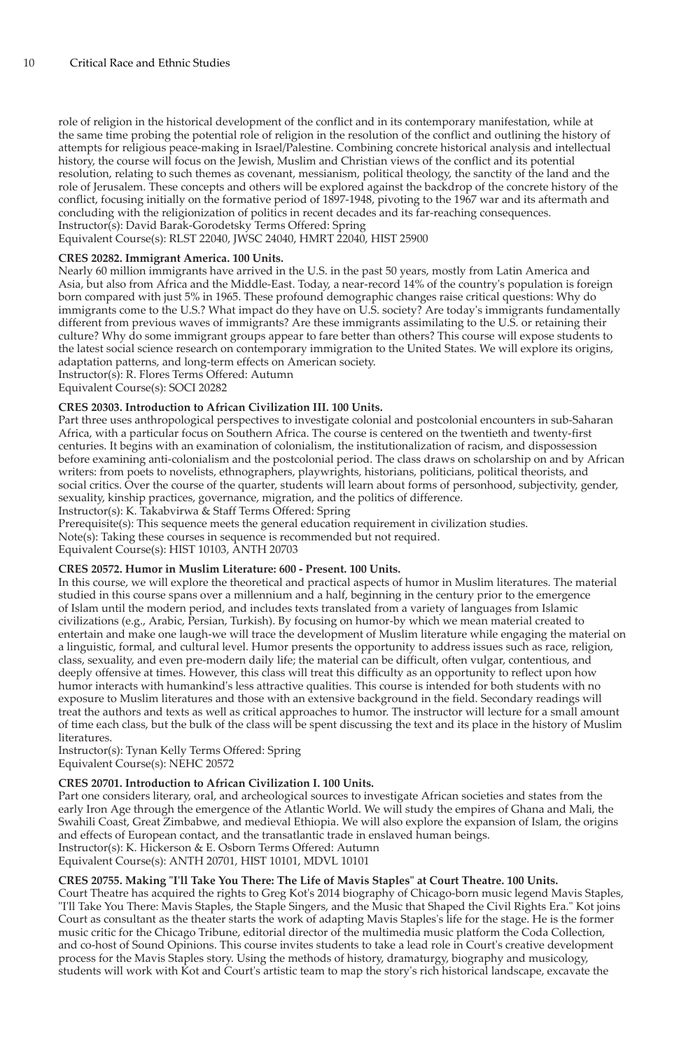role of religion in the historical development of the conflict and in its contemporary manifestation, while at the same time probing the potential role of religion in the resolution of the conflict and outlining the history of attempts for religious peace-making in Israel/Palestine. Combining concrete historical analysis and intellectual history, the course will focus on the Jewish, Muslim and Christian views of the conflict and its potential resolution, relating to such themes as covenant, messianism, political theology, the sanctity of the land and the role of Jerusalem. These concepts and others will be explored against the backdrop of the concrete history of the conflict, focusing initially on the formative period of 1897-1948, pivoting to the 1967 war and its aftermath and concluding with the religionization of politics in recent decades and its far-reaching consequences. Instructor(s): David Barak-Gorodetsky Terms Offered: Spring

Equivalent Course(s): RLST 22040, JWSC 24040, HMRT 22040, HIST 25900

# **CRES 20282. Immigrant America. 100 Units.**

Nearly 60 million immigrants have arrived in the U.S. in the past 50 years, mostly from Latin America and Asia, but also from Africa and the Middle-East. Today, a near-record 14% of the country's population is foreign born compared with just 5% in 1965. These profound demographic changes raise critical questions: Why do immigrants come to the U.S.? What impact do they have on U.S. society? Are today's immigrants fundamentally different from previous waves of immigrants? Are these immigrants assimilating to the U.S. or retaining their culture? Why do some immigrant groups appear to fare better than others? This course will expose students to the latest social science research on contemporary immigration to the United States. We will explore its origins, adaptation patterns, and long-term effects on American society.

Instructor(s): R. Flores Terms Offered: Autumn Equivalent Course(s): SOCI 20282

# **CRES 20303. Introduction to African Civilization III. 100 Units.**

# Part three uses anthropological perspectives to investigate colonial and postcolonial encounters in sub-Saharan

Africa, with a particular focus on Southern Africa. The course is centered on the twentieth and twenty-first centuries. It begins with an examination of colonialism, the institutionalization of racism, and dispossession before examining anti-colonialism and the postcolonial period. The class draws on scholarship on and by African writers: from poets to novelists, ethnographers, playwrights, historians, politicians, political theorists, and social critics. Over the course of the quarter, students will learn about forms of personhood, subjectivity, gender, sexuality, kinship practices, governance, migration, and the politics of difference.

Instructor(s): K. Takabvirwa & Staff Terms Offered: Spring

Prerequisite(s): This sequence meets the general education requirement in civilization studies.

Note(s): Taking these courses in sequence is recommended but not required.

Equivalent Course(s): HIST 10103, ANTH 20703

#### **CRES 20572. Humor in Muslim Literature: 600 - Present. 100 Units.**

In this course, we will explore the theoretical and practical aspects of humor in Muslim literatures. The material studied in this course spans over a millennium and a half, beginning in the century prior to the emergence of Islam until the modern period, and includes texts translated from a variety of languages from Islamic civilizations (e.g., Arabic, Persian, Turkish). By focusing on humor-by which we mean material created to entertain and make one laugh-we will trace the development of Muslim literature while engaging the material on a linguistic, formal, and cultural level. Humor presents the opportunity to address issues such as race, religion, class, sexuality, and even pre-modern daily life; the material can be difficult, often vulgar, contentious, and deeply offensive at times. However, this class will treat this difficulty as an opportunity to reflect upon how humor interacts with humankind's less attractive qualities. This course is intended for both students with no exposure to Muslim literatures and those with an extensive background in the field. Secondary readings will treat the authors and texts as well as critical approaches to humor. The instructor will lecture for a small amount of time each class, but the bulk of the class will be spent discussing the text and its place in the history of Muslim literatures.

Instructor(s): Tynan Kelly Terms Offered: Spring Equivalent Course(s): NEHC 20572

# **CRES 20701. Introduction to African Civilization I. 100 Units.**

Part one considers literary, oral, and archeological sources to investigate African societies and states from the early Iron Age through the emergence of the Atlantic World. We will study the empires of Ghana and Mali, the Swahili Coast, Great Zimbabwe, and medieval Ethiopia. We will also explore the expansion of Islam, the origins and effects of European contact, and the transatlantic trade in enslaved human beings. Instructor(s): K. Hickerson & E. Osborn Terms Offered: Autumn Equivalent Course(s): ANTH 20701, HIST 10101, MDVL 10101

**CRES 20755. Making "I'll Take You There: The Life of Mavis Staples" at Court Theatre. 100 Units.**

Court Theatre has acquired the rights to Greg Kot's 2014 biography of Chicago-born music legend Mavis Staples, "I'll Take You There: Mavis Staples, the Staple Singers, and the Music that Shaped the Civil Rights Era." Kot joins Court as consultant as the theater starts the work of adapting Mavis Staples's life for the stage. He is the former music critic for the Chicago Tribune, editorial director of the multimedia music platform the Coda Collection, and co-host of Sound Opinions. This course invites students to take a lead role in Court's creative development process for the Mavis Staples story. Using the methods of history, dramaturgy, biography and musicology, students will work with Kot and Court's artistic team to map the story's rich historical landscape, excavate the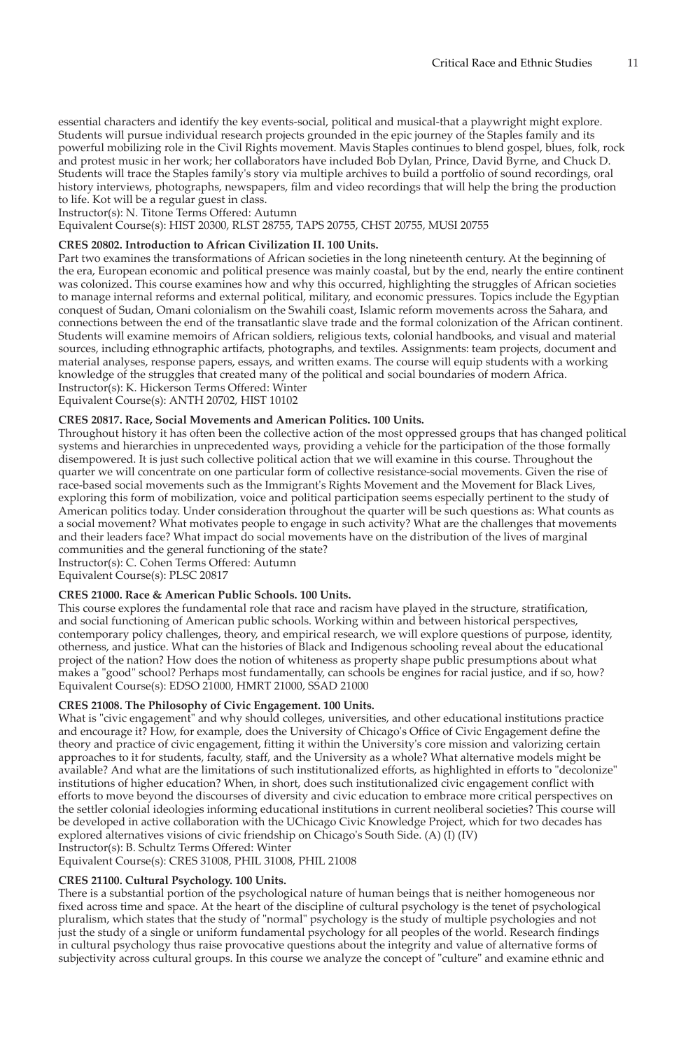essential characters and identify the key events-social, political and musical-that a playwright might explore. Students will pursue individual research projects grounded in the epic journey of the Staples family and its powerful mobilizing role in the Civil Rights movement. Mavis Staples continues to blend gospel, blues, folk, rock and protest music in her work; her collaborators have included Bob Dylan, Prince, David Byrne, and Chuck D. Students will trace the Staples family's story via multiple archives to build a portfolio of sound recordings, oral history interviews, photographs, newspapers, film and video recordings that will help the bring the production to life. Kot will be a regular guest in class.

Instructor(s): N. Titone Terms Offered: Autumn

Equivalent Course(s): HIST 20300, RLST 28755, TAPS 20755, CHST 20755, MUSI 20755

## **CRES 20802. Introduction to African Civilization II. 100 Units.**

Part two examines the transformations of African societies in the long nineteenth century. At the beginning of the era, European economic and political presence was mainly coastal, but by the end, nearly the entire continent was colonized. This course examines how and why this occurred, highlighting the struggles of African societies to manage internal reforms and external political, military, and economic pressures. Topics include the Egyptian conquest of Sudan, Omani colonialism on the Swahili coast, Islamic reform movements across the Sahara, and connections between the end of the transatlantic slave trade and the formal colonization of the African continent. Students will examine memoirs of African soldiers, religious texts, colonial handbooks, and visual and material sources, including ethnographic artifacts, photographs, and textiles. Assignments: team projects, document and material analyses, response papers, essays, and written exams. The course will equip students with a working knowledge of the struggles that created many of the political and social boundaries of modern Africa. Instructor(s): K. Hickerson Terms Offered: Winter

Equivalent Course(s): ANTH 20702, HIST 10102

#### **CRES 20817. Race, Social Movements and American Politics. 100 Units.**

Throughout history it has often been the collective action of the most oppressed groups that has changed political systems and hierarchies in unprecedented ways, providing a vehicle for the participation of the those formally disempowered. It is just such collective political action that we will examine in this course. Throughout the quarter we will concentrate on one particular form of collective resistance-social movements. Given the rise of race-based social movements such as the Immigrant's Rights Movement and the Movement for Black Lives, exploring this form of mobilization, voice and political participation seems especially pertinent to the study of American politics today. Under consideration throughout the quarter will be such questions as: What counts as a social movement? What motivates people to engage in such activity? What are the challenges that movements and their leaders face? What impact do social movements have on the distribution of the lives of marginal communities and the general functioning of the state?

Instructor(s): C. Cohen Terms Offered: Autumn

Equivalent Course(s): PLSC 20817

#### **CRES 21000. Race & American Public Schools. 100 Units.**

This course explores the fundamental role that race and racism have played in the structure, stratification, and social functioning of American public schools. Working within and between historical perspectives, contemporary policy challenges, theory, and empirical research, we will explore questions of purpose, identity, otherness, and justice. What can the histories of Black and Indigenous schooling reveal about the educational project of the nation? How does the notion of whiteness as property shape public presumptions about what makes a "good" school? Perhaps most fundamentally, can schools be engines for racial justice, and if so, how? Equivalent Course(s): EDSO 21000, HMRT 21000, SSAD 21000

#### **CRES 21008. The Philosophy of Civic Engagement. 100 Units.**

What is "civic engagement" and why should colleges, universities, and other educational institutions practice and encourage it? How, for example, does the University of Chicago's Office of Civic Engagement define the theory and practice of civic engagement, fitting it within the University's core mission and valorizing certain approaches to it for students, faculty, staff, and the University as a whole? What alternative models might be available? And what are the limitations of such institutionalized efforts, as highlighted in efforts to "decolonize" institutions of higher education? When, in short, does such institutionalized civic engagement conflict with efforts to move beyond the discourses of diversity and civic education to embrace more critical perspectives on the settler colonial ideologies informing educational institutions in current neoliberal societies? This course will be developed in active collaboration with the UChicago Civic Knowledge Project, which for two decades has explored alternatives visions of civic friendship on Chicago's South Side. (A) (I) (IV) Instructor(s): B. Schultz Terms Offered: Winter

Equivalent Course(s): CRES 31008, PHIL 31008, PHIL 21008

#### **CRES 21100. Cultural Psychology. 100 Units.**

There is a substantial portion of the psychological nature of human beings that is neither homogeneous nor fixed across time and space. At the heart of the discipline of cultural psychology is the tenet of psychological pluralism, which states that the study of "normal" psychology is the study of multiple psychologies and not just the study of a single or uniform fundamental psychology for all peoples of the world. Research findings in cultural psychology thus raise provocative questions about the integrity and value of alternative forms of subjectivity across cultural groups. In this course we analyze the concept of "culture" and examine ethnic and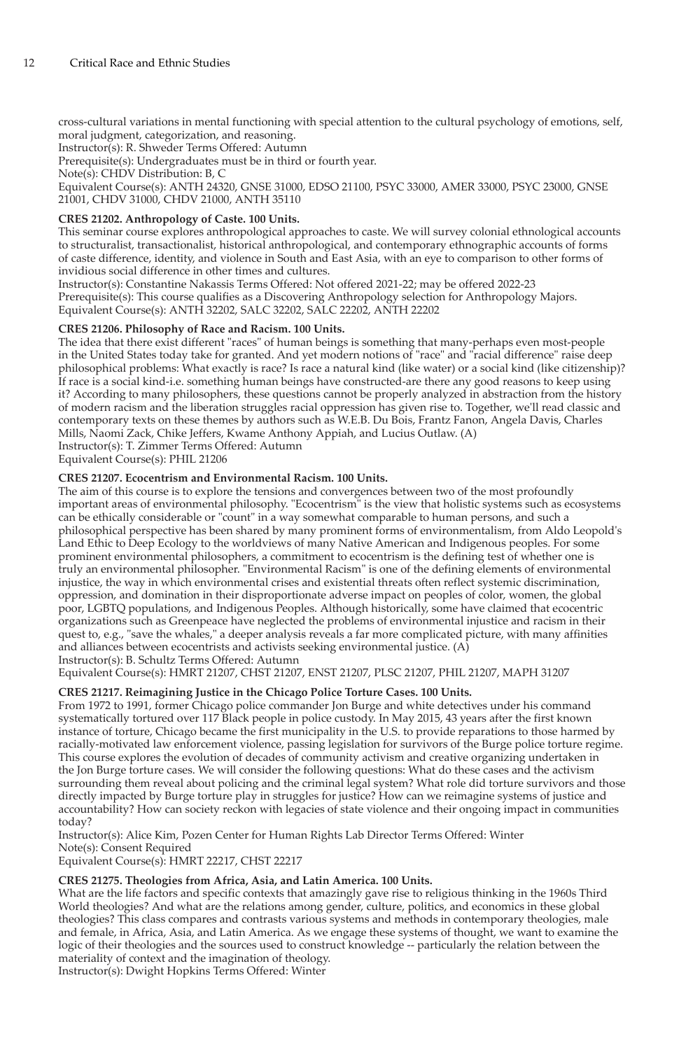cross-cultural variations in mental functioning with special attention to the cultural psychology of emotions, self, moral judgment, categorization, and reasoning.

Instructor(s): R. Shweder Terms Offered: Autumn

Prerequisite(s): Undergraduates must be in third or fourth year.

Note(s): CHDV Distribution: B, C

Equivalent Course(s): ANTH 24320, GNSE 31000, EDSO 21100, PSYC 33000, AMER 33000, PSYC 23000, GNSE 21001, CHDV 31000, CHDV 21000, ANTH 35110

# **CRES 21202. Anthropology of Caste. 100 Units.**

This seminar course explores anthropological approaches to caste. We will survey colonial ethnological accounts to structuralist, transactionalist, historical anthropological, and contemporary ethnographic accounts of forms of caste difference, identity, and violence in South and East Asia, with an eye to comparison to other forms of invidious social difference in other times and cultures.

Instructor(s): Constantine Nakassis Terms Offered: Not offered 2021-22; may be offered 2022-23 Prerequisite(s): This course qualifies as a Discovering Anthropology selection for Anthropology Majors. Equivalent Course(s): ANTH 32202, SALC 32202, SALC 22202, ANTH 22202

# **CRES 21206. Philosophy of Race and Racism. 100 Units.**

The idea that there exist different "races" of human beings is something that many-perhaps even most-people in the United States today take for granted. And yet modern notions of "race" and "racial difference" raise deep philosophical problems: What exactly is race? Is race a natural kind (like water) or a social kind (like citizenship)? If race is a social kind-i.e. something human beings have constructed-are there any good reasons to keep using it? According to many philosophers, these questions cannot be properly analyzed in abstraction from the history of modern racism and the liberation struggles racial oppression has given rise to. Together, we'll read classic and contemporary texts on these themes by authors such as W.E.B. Du Bois, Frantz Fanon, Angela Davis, Charles Mills, Naomi Zack, Chike Jeffers, Kwame Anthony Appiah, and Lucius Outlaw. (A) Instructor(s): T. Zimmer Terms Offered: Autumn

Equivalent Course(s): PHIL 21206

# **CRES 21207. Ecocentrism and Environmental Racism. 100 Units.**

The aim of this course is to explore the tensions and convergences between two of the most profoundly important areas of environmental philosophy. "Ecocentrism" is the view that holistic systems such as ecosystems can be ethically considerable or "count" in a way somewhat comparable to human persons, and such a philosophical perspective has been shared by many prominent forms of environmentalism, from Aldo Leopold's Land Ethic to Deep Ecology to the worldviews of many Native American and Indigenous peoples. For some prominent environmental philosophers, a commitment to ecocentrism is the defining test of whether one is truly an environmental philosopher. "Environmental Racism" is one of the defining elements of environmental injustice, the way in which environmental crises and existential threats often reflect systemic discrimination, oppression, and domination in their disproportionate adverse impact on peoples of color, women, the global poor, LGBTQ populations, and Indigenous Peoples. Although historically, some have claimed that ecocentric organizations such as Greenpeace have neglected the problems of environmental injustice and racism in their quest to, e.g., "save the whales," a deeper analysis reveals a far more complicated picture, with many affinities and alliances between ecocentrists and activists seeking environmental justice. (A) Instructor(s): B. Schultz Terms Offered: Autumn

Equivalent Course(s): HMRT 21207, CHST 21207, ENST 21207, PLSC 21207, PHIL 21207, MAPH 31207

# **CRES 21217. Reimagining Justice in the Chicago Police Torture Cases. 100 Units.**

From 1972 to 1991, former Chicago police commander Jon Burge and white detectives under his command systematically tortured over 117 Black people in police custody. In May 2015, 43 years after the first known instance of torture, Chicago became the first municipality in the U.S. to provide reparations to those harmed by racially-motivated law enforcement violence, passing legislation for survivors of the Burge police torture regime. This course explores the evolution of decades of community activism and creative organizing undertaken in the Jon Burge torture cases. We will consider the following questions: What do these cases and the activism surrounding them reveal about policing and the criminal legal system? What role did torture survivors and those directly impacted by Burge torture play in struggles for justice? How can we reimagine systems of justice and accountability? How can society reckon with legacies of state violence and their ongoing impact in communities today?

Instructor(s): Alice Kim, Pozen Center for Human Rights Lab Director Terms Offered: Winter Note(s): Consent Required

Equivalent Course(s): HMRT 22217, CHST 22217

#### **CRES 21275. Theologies from Africa, Asia, and Latin America. 100 Units.**

What are the life factors and specific contexts that amazingly gave rise to religious thinking in the 1960s Third World theologies? And what are the relations among gender, culture, politics, and economics in these global theologies? This class compares and contrasts various systems and methods in contemporary theologies, male and female, in Africa, Asia, and Latin America. As we engage these systems of thought, we want to examine the logic of their theologies and the sources used to construct knowledge -- particularly the relation between the materiality of context and the imagination of theology.

Instructor(s): Dwight Hopkins Terms Offered: Winter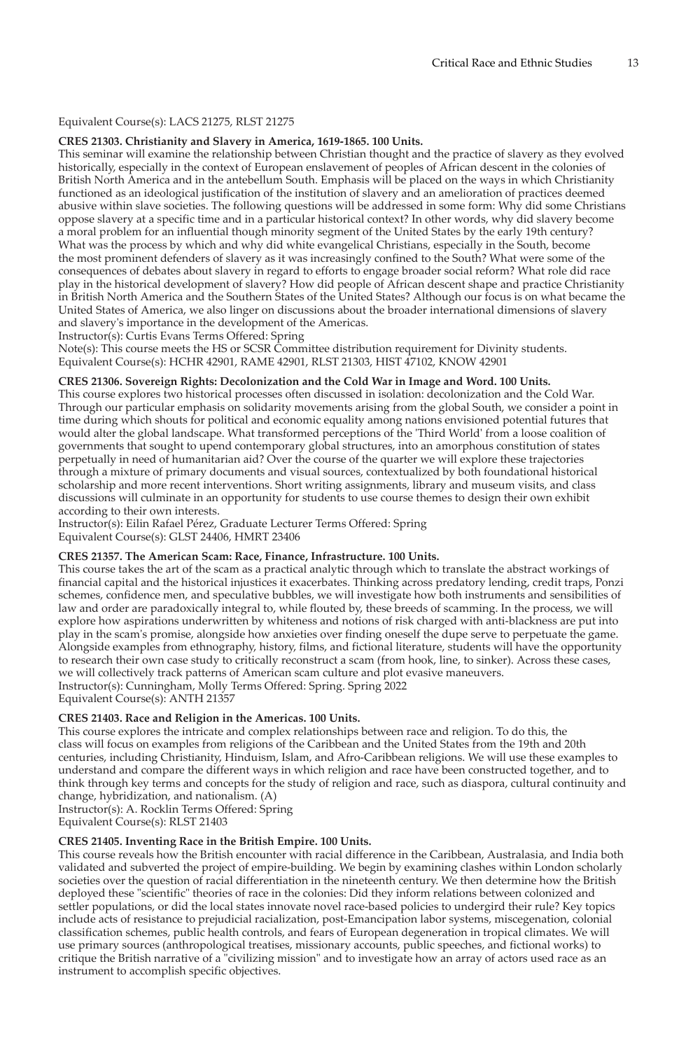# Equivalent Course(s): LACS 21275, RLST 21275

#### **CRES 21303. Christianity and Slavery in America, 1619-1865. 100 Units.**

This seminar will examine the relationship between Christian thought and the practice of slavery as they evolved historically, especially in the context of European enslavement of peoples of African descent in the colonies of British North America and in the antebellum South. Emphasis will be placed on the ways in which Christianity functioned as an ideological justification of the institution of slavery and an amelioration of practices deemed abusive within slave societies. The following questions will be addressed in some form: Why did some Christians oppose slavery at a specific time and in a particular historical context? In other words, why did slavery become a moral problem for an influential though minority segment of the United States by the early 19th century? What was the process by which and why did white evangelical Christians, especially in the South, become the most prominent defenders of slavery as it was increasingly confined to the South? What were some of the consequences of debates about slavery in regard to efforts to engage broader social reform? What role did race play in the historical development of slavery? How did people of African descent shape and practice Christianity in British North America and the Southern States of the United States? Although our focus is on what became the United States of America, we also linger on discussions about the broader international dimensions of slavery and slavery's importance in the development of the Americas.

Instructor(s): Curtis Evans Terms Offered: Spring

Note(s): This course meets the HS or SCSR Committee distribution requirement for Divinity students. Equivalent Course(s): HCHR 42901, RAME 42901, RLST 21303, HIST 47102, KNOW 42901

# **CRES 21306. Sovereign Rights: Decolonization and the Cold War in Image and Word. 100 Units.**

This course explores two historical processes often discussed in isolation: decolonization and the Cold War. Through our particular emphasis on solidarity movements arising from the global South, we consider a point in time during which shouts for political and economic equality among nations envisioned potential futures that would alter the global landscape. What transformed perceptions of the 'Third World' from a loose coalition of governments that sought to upend contemporary global structures, into an amorphous constitution of states perpetually in need of humanitarian aid? Over the course of the quarter we will explore these trajectories through a mixture of primary documents and visual sources, contextualized by both foundational historical scholarship and more recent interventions. Short writing assignments, library and museum visits, and class discussions will culminate in an opportunity for students to use course themes to design their own exhibit according to their own interests.

Instructor(s): Eilin Rafael Pérez, Graduate Lecturer Terms Offered: Spring Equivalent Course(s): GLST 24406, HMRT 23406

#### **CRES 21357. The American Scam: Race, Finance, Infrastructure. 100 Units.**

This course takes the art of the scam as a practical analytic through which to translate the abstract workings of financial capital and the historical injustices it exacerbates. Thinking across predatory lending, credit traps, Ponzi schemes, confidence men, and speculative bubbles, we will investigate how both instruments and sensibilities of law and order are paradoxically integral to, while flouted by, these breeds of scamming. In the process, we will explore how aspirations underwritten by whiteness and notions of risk charged with anti-blackness are put into play in the scam's promise, alongside how anxieties over finding oneself the dupe serve to perpetuate the game. Alongside examples from ethnography, history, films, and fictional literature, students will have the opportunity to research their own case study to critically reconstruct a scam (from hook, line, to sinker). Across these cases, we will collectively track patterns of American scam culture and plot evasive maneuvers. Instructor(s): Cunningham, Molly Terms Offered: Spring. Spring 2022 Equivalent Course(s): ANTH 21357

**CRES 21403. Race and Religion in the Americas. 100 Units.**

This course explores the intricate and complex relationships between race and religion. To do this, the class will focus on examples from religions of the Caribbean and the United States from the 19th and 20th centuries, including Christianity, Hinduism, Islam, and Afro-Caribbean religions. We will use these examples to understand and compare the different ways in which religion and race have been constructed together, and to think through key terms and concepts for the study of religion and race, such as diaspora, cultural continuity and change, hybridization, and nationalism. (A)

Instructor(s): A. Rocklin Terms Offered: Spring

Equivalent Course(s): RLST 21403

#### **CRES 21405. Inventing Race in the British Empire. 100 Units.**

This course reveals how the British encounter with racial difference in the Caribbean, Australasia, and India both validated and subverted the project of empire-building. We begin by examining clashes within London scholarly societies over the question of racial differentiation in the nineteenth century. We then determine how the British deployed these "scientific" theories of race in the colonies: Did they inform relations between colonized and settler populations, or did the local states innovate novel race-based policies to undergird their rule? Key topics include acts of resistance to prejudicial racialization, post-Emancipation labor systems, miscegenation, colonial classification schemes, public health controls, and fears of European degeneration in tropical climates. We will use primary sources (anthropological treatises, missionary accounts, public speeches, and fictional works) to critique the British narrative of a "civilizing mission" and to investigate how an array of actors used race as an instrument to accomplish specific objectives.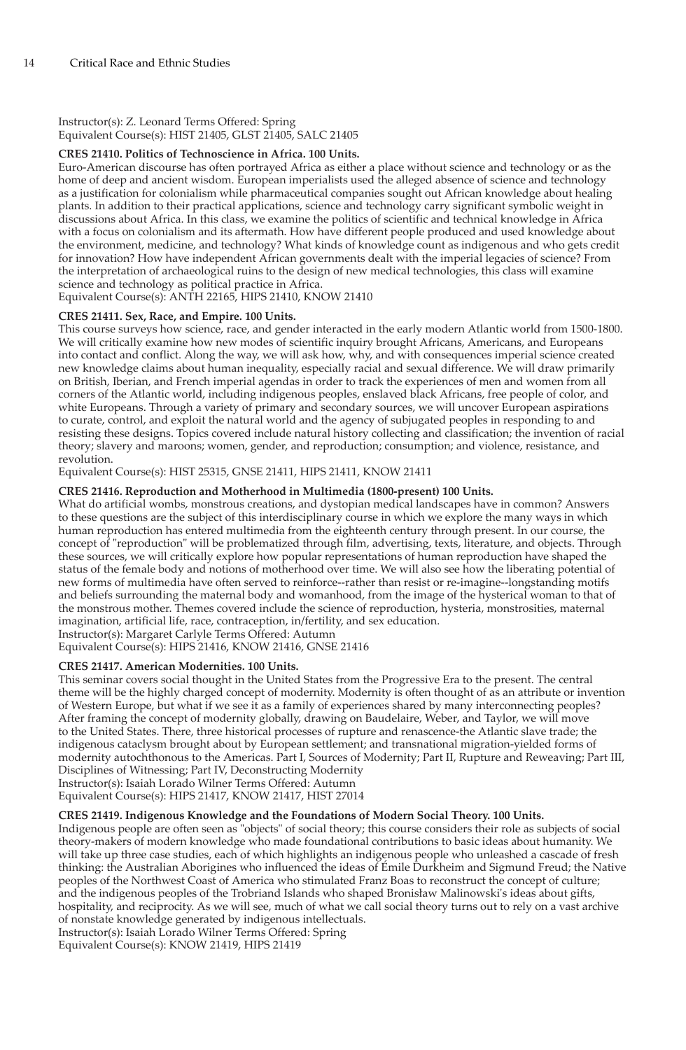# Instructor(s): Z. Leonard Terms Offered: Spring Equivalent Course(s): HIST 21405, GLST 21405, SALC 21405

# **CRES 21410. Politics of Technoscience in Africa. 100 Units.**

Euro-American discourse has often portrayed Africa as either a place without science and technology or as the home of deep and ancient wisdom. European imperialists used the alleged absence of science and technology as a justification for colonialism while pharmaceutical companies sought out African knowledge about healing plants. In addition to their practical applications, science and technology carry significant symbolic weight in discussions about Africa. In this class, we examine the politics of scientific and technical knowledge in Africa with a focus on colonialism and its aftermath. How have different people produced and used knowledge about the environment, medicine, and technology? What kinds of knowledge count as indigenous and who gets credit for innovation? How have independent African governments dealt with the imperial legacies of science? From the interpretation of archaeological ruins to the design of new medical technologies, this class will examine science and technology as political practice in Africa.

Equivalent Course(s): ANTH 22165, HIPS 21410, KNOW 21410

# **CRES 21411. Sex, Race, and Empire. 100 Units.**

This course surveys how science, race, and gender interacted in the early modern Atlantic world from 1500-1800. We will critically examine how new modes of scientific inquiry brought Africans, Americans, and Europeans into contact and conflict. Along the way, we will ask how, why, and with consequences imperial science created new knowledge claims about human inequality, especially racial and sexual difference. We will draw primarily on British, Iberian, and French imperial agendas in order to track the experiences of men and women from all corners of the Atlantic world, including indigenous peoples, enslaved black Africans, free people of color, and white Europeans. Through a variety of primary and secondary sources, we will uncover European aspirations to curate, control, and exploit the natural world and the agency of subjugated peoples in responding to and resisting these designs. Topics covered include natural history collecting and classification; the invention of racial theory; slavery and maroons; women, gender, and reproduction; consumption; and violence, resistance, and revolution.

Equivalent Course(s): HIST 25315, GNSE 21411, HIPS 21411, KNOW 21411

# **CRES 21416. Reproduction and Motherhood in Multimedia (1800-present) 100 Units.**

What do artificial wombs, monstrous creations, and dystopian medical landscapes have in common? Answers to these questions are the subject of this interdisciplinary course in which we explore the many ways in which human reproduction has entered multimedia from the eighteenth century through present. In our course, the concept of "reproduction" will be problematized through film, advertising, texts, literature, and objects. Through these sources, we will critically explore how popular representations of human reproduction have shaped the status of the female body and notions of motherhood over time. We will also see how the liberating potential of new forms of multimedia have often served to reinforce--rather than resist or re-imagine--longstanding motifs and beliefs surrounding the maternal body and womanhood, from the image of the hysterical woman to that of the monstrous mother. Themes covered include the science of reproduction, hysteria, monstrosities, maternal imagination, artificial life, race, contraception, in/fertility, and sex education.

Instructor(s): Margaret Carlyle Terms Offered: Autumn

Equivalent Course(s): HIPS 21416, KNOW 21416, GNSE 21416

# **CRES 21417. American Modernities. 100 Units.**

This seminar covers social thought in the United States from the Progressive Era to the present. The central theme will be the highly charged concept of modernity. Modernity is often thought of as an attribute or invention of Western Europe, but what if we see it as a family of experiences shared by many interconnecting peoples? After framing the concept of modernity globally, drawing on Baudelaire, Weber, and Taylor, we will move to the United States. There, three historical processes of rupture and renascence-the Atlantic slave trade; the indigenous cataclysm brought about by European settlement; and transnational migration-yielded forms of modernity autochthonous to the Americas. Part I, Sources of Modernity; Part II, Rupture and Reweaving; Part III, Disciplines of Witnessing; Part IV, Deconstructing Modernity Instructor(s): Isaiah Lorado Wilner Terms Offered: Autumn

Equivalent Course(s): HIPS 21417, KNOW 21417, HIST 27014

# **CRES 21419. Indigenous Knowledge and the Foundations of Modern Social Theory. 100 Units.**

Indigenous people are often seen as "objects" of social theory; this course considers their role as subjects of social theory-makers of modern knowledge who made foundational contributions to basic ideas about humanity. We will take up three case studies, each of which highlights an indigenous people who unleashed a cascade of fresh thinking: the Australian Aborigines who influenced the ideas of Émile Durkheim and Sigmund Freud; the Native peoples of the Northwest Coast of America who stimulated Franz Boas to reconstruct the concept of culture; and the indigenous peoples of the Trobriand Islands who shaped Bronisław Malinowski's ideas about gifts, hospitality, and reciprocity. As we will see, much of what we call social theory turns out to rely on a vast archive of nonstate knowledge generated by indigenous intellectuals. Instructor(s): Isaiah Lorado Wilner Terms Offered: Spring

Equivalent Course(s): KNOW 21419, HIPS 21419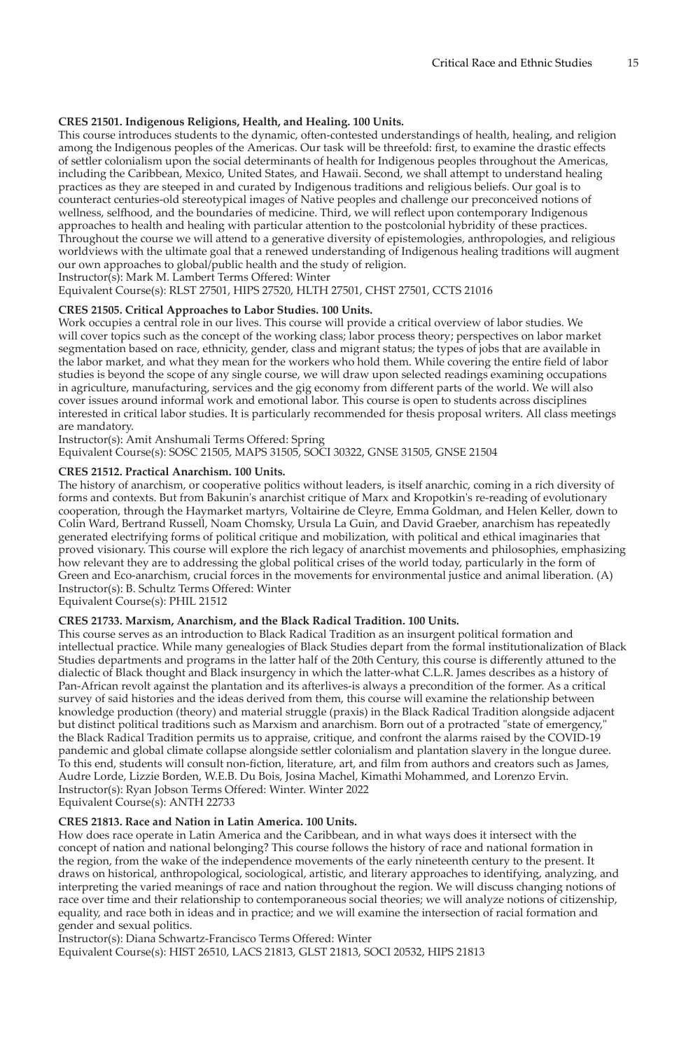# **CRES 21501. Indigenous Religions, Health, and Healing. 100 Units.**

This course introduces students to the dynamic, often-contested understandings of health, healing, and religion among the Indigenous peoples of the Americas. Our task will be threefold: first, to examine the drastic effects of settler colonialism upon the social determinants of health for Indigenous peoples throughout the Americas, including the Caribbean, Mexico, United States, and Hawaii. Second, we shall attempt to understand healing practices as they are steeped in and curated by Indigenous traditions and religious beliefs. Our goal is to counteract centuries-old stereotypical images of Native peoples and challenge our preconceived notions of wellness, selfhood, and the boundaries of medicine. Third, we will reflect upon contemporary Indigenous approaches to health and healing with particular attention to the postcolonial hybridity of these practices. Throughout the course we will attend to a generative diversity of epistemologies, anthropologies, and religious worldviews with the ultimate goal that a renewed understanding of Indigenous healing traditions will augment our own approaches to global/public health and the study of religion.

Instructor(s): Mark M. Lambert Terms Offered: Winter

Equivalent Course(s): RLST 27501, HIPS 27520, HLTH 27501, CHST 27501, CCTS 21016

# **CRES 21505. Critical Approaches to Labor Studies. 100 Units.**

Work occupies a central role in our lives. This course will provide a critical overview of labor studies. We will cover topics such as the concept of the working class; labor process theory; perspectives on labor market segmentation based on race, ethnicity, gender, class and migrant status; the types of jobs that are available in the labor market, and what they mean for the workers who hold them. While covering the entire field of labor studies is beyond the scope of any single course, we will draw upon selected readings examining occupations in agriculture, manufacturing, services and the gig economy from different parts of the world. We will also cover issues around informal work and emotional labor. This course is open to students across disciplines interested in critical labor studies. It is particularly recommended for thesis proposal writers. All class meetings are mandatory.

Instructor(s): Amit Anshumali Terms Offered: Spring

Equivalent Course(s): SOSC 21505, MAPS 31505, SOCI 30322, GNSE 31505, GNSE 21504

#### **CRES 21512. Practical Anarchism. 100 Units.**

The history of anarchism, or cooperative politics without leaders, is itself anarchic, coming in a rich diversity of forms and contexts. But from Bakunin's anarchist critique of Marx and Kropotkin's re-reading of evolutionary cooperation, through the Haymarket martyrs, Voltairine de Cleyre, Emma Goldman, and Helen Keller, down to Colin Ward, Bertrand Russell, Noam Chomsky, Ursula La Guin, and David Graeber, anarchism has repeatedly generated electrifying forms of political critique and mobilization, with political and ethical imaginaries that proved visionary. This course will explore the rich legacy of anarchist movements and philosophies, emphasizing how relevant they are to addressing the global political crises of the world today, particularly in the form of Green and Eco-anarchism, crucial forces in the movements for environmental justice and animal liberation. (A) Instructor(s): B. Schultz Terms Offered: Winter

Equivalent Course(s): PHIL 21512

#### **CRES 21733. Marxism, Anarchism, and the Black Radical Tradition. 100 Units.**

This course serves as an introduction to Black Radical Tradition as an insurgent political formation and intellectual practice. While many genealogies of Black Studies depart from the formal institutionalization of Black Studies departments and programs in the latter half of the 20th Century, this course is differently attuned to the dialectic of Black thought and Black insurgency in which the latter-what C.L.R. James describes as a history of Pan-African revolt against the plantation and its afterlives-is always a precondition of the former. As a critical survey of said histories and the ideas derived from them, this course will examine the relationship between knowledge production (theory) and material struggle (praxis) in the Black Radical Tradition alongside adjacent but distinct political traditions such as Marxism and anarchism. Born out of a protracted "state of emergency," the Black Radical Tradition permits us to appraise, critique, and confront the alarms raised by the COVID-19 pandemic and global climate collapse alongside settler colonialism and plantation slavery in the longue duree. To this end, students will consult non-fiction, literature, art, and film from authors and creators such as James, Audre Lorde, Lizzie Borden, W.E.B. Du Bois, Josina Machel, Kimathi Mohammed, and Lorenzo Ervin. Instructor(s): Ryan Jobson Terms Offered: Winter. Winter 2022 Equivalent Course(s): ANTH 22733

# **CRES 21813. Race and Nation in Latin America. 100 Units.**

How does race operate in Latin America and the Caribbean, and in what ways does it intersect with the concept of nation and national belonging? This course follows the history of race and national formation in the region, from the wake of the independence movements of the early nineteenth century to the present. It draws on historical, anthropological, sociological, artistic, and literary approaches to identifying, analyzing, and interpreting the varied meanings of race and nation throughout the region. We will discuss changing notions of race over time and their relationship to contemporaneous social theories; we will analyze notions of citizenship, equality, and race both in ideas and in practice; and we will examine the intersection of racial formation and gender and sexual politics.

Instructor(s): Diana Schwartz-Francisco Terms Offered: Winter Equivalent Course(s): HIST 26510, LACS 21813, GLST 21813, SOCI 20532, HIPS 21813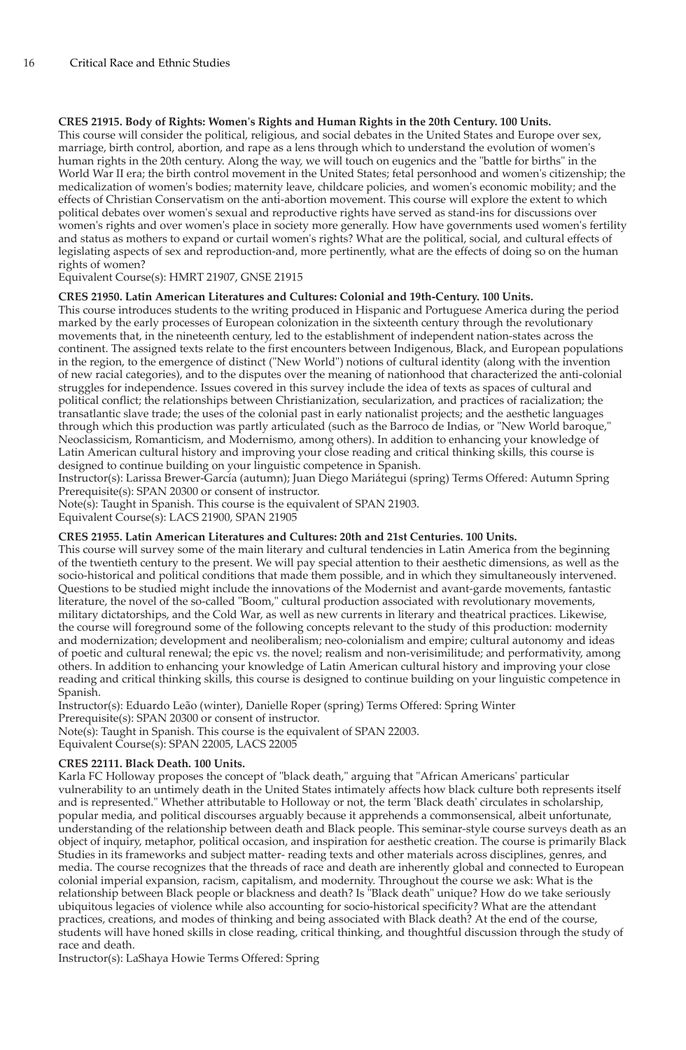# **CRES 21915. Body of Rights: Women's Rights and Human Rights in the 20th Century. 100 Units.**

This course will consider the political, religious, and social debates in the United States and Europe over sex, marriage, birth control, abortion, and rape as a lens through which to understand the evolution of women's human rights in the 20th century. Along the way, we will touch on eugenics and the "battle for births" in the World War II era; the birth control movement in the United States; fetal personhood and women's citizenship; the medicalization of women's bodies; maternity leave, childcare policies, and women's economic mobility; and the effects of Christian Conservatism on the anti-abortion movement. This course will explore the extent to which political debates over women's sexual and reproductive rights have served as stand-ins for discussions over women's rights and over women's place in society more generally. How have governments used women's fertility and status as mothers to expand or curtail women's rights? What are the political, social, and cultural effects of legislating aspects of sex and reproduction-and, more pertinently, what are the effects of doing so on the human rights of women?

Equivalent Course(s): HMRT 21907, GNSE 21915

#### **CRES 21950. Latin American Literatures and Cultures: Colonial and 19th-Century. 100 Units.**

This course introduces students to the writing produced in Hispanic and Portuguese America during the period marked by the early processes of European colonization in the sixteenth century through the revolutionary movements that, in the nineteenth century, led to the establishment of independent nation-states across the continent. The assigned texts relate to the first encounters between Indigenous, Black, and European populations in the region, to the emergence of distinct ("New World") notions of cultural identity (along with the invention of new racial categories), and to the disputes over the meaning of nationhood that characterized the anti-colonial struggles for independence. Issues covered in this survey include the idea of texts as spaces of cultural and political conflict; the relationships between Christianization, secularization, and practices of racialization; the transatlantic slave trade; the uses of the colonial past in early nationalist projects; and the aesthetic languages through which this production was partly articulated (such as the Barroco de Indias, or "New World baroque," Neoclassicism, Romanticism, and Modernismo, among others). In addition to enhancing your knowledge of Latin American cultural history and improving your close reading and critical thinking skills, this course is designed to continue building on your linguistic competence in Spanish.

Instructor(s): Larissa Brewer-García (autumn); Juan Diego Mariátegui (spring) Terms Offered: Autumn Spring Prerequisite(s): SPAN 20300 or consent of instructor.

Note(s): Taught in Spanish. This course is the equivalent of SPAN 21903. Equivalent Course(s): LACS 21900, SPAN 21905

#### **CRES 21955. Latin American Literatures and Cultures: 20th and 21st Centuries. 100 Units.**

This course will survey some of the main literary and cultural tendencies in Latin America from the beginning of the twentieth century to the present. We will pay special attention to their aesthetic dimensions, as well as the socio-historical and political conditions that made them possible, and in which they simultaneously intervened. Questions to be studied might include the innovations of the Modernist and avant-garde movements, fantastic literature, the novel of the so-called "Boom," cultural production associated with revolutionary movements, military dictatorships, and the Cold War, as well as new currents in literary and theatrical practices. Likewise, the course will foreground some of the following concepts relevant to the study of this production: modernity and modernization; development and neoliberalism; neo-colonialism and empire; cultural autonomy and ideas of poetic and cultural renewal; the epic vs. the novel; realism and non-verisimilitude; and performativity, among others. In addition to enhancing your knowledge of Latin American cultural history and improving your close reading and critical thinking skills, this course is designed to continue building on your linguistic competence in Spanish.

Instructor(s): Eduardo Leão (winter), Danielle Roper (spring) Terms Offered: Spring Winter Prerequisite(s): SPAN 20300 or consent of instructor. Note(s): Taught in Spanish. This course is the equivalent of SPAN 22003.

Equivalent Course(s): SPAN 22005, LACS 22005

#### **CRES 22111. Black Death. 100 Units.**

Karla FC Holloway proposes the concept of "black death," arguing that "African Americans' particular vulnerability to an untimely death in the United States intimately affects how black culture both represents itself and is represented." Whether attributable to Holloway or not, the term 'Black death' circulates in scholarship, popular media, and political discourses arguably because it apprehends a commonsensical, albeit unfortunate, understanding of the relationship between death and Black people. This seminar-style course surveys death as an object of inquiry, metaphor, political occasion, and inspiration for aesthetic creation. The course is primarily Black Studies in its frameworks and subject matter- reading texts and other materials across disciplines, genres, and media. The course recognizes that the threads of race and death are inherently global and connected to European colonial imperial expansion, racism, capitalism, and modernity. Throughout the course we ask: What is the relationship between Black people or blackness and death? Is "Black death" unique? How do we take seriously ubiquitous legacies of violence while also accounting for socio-historical specificity? What are the attendant practices, creations, and modes of thinking and being associated with Black death? At the end of the course, students will have honed skills in close reading, critical thinking, and thoughtful discussion through the study of race and death.

Instructor(s): LaShaya Howie Terms Offered: Spring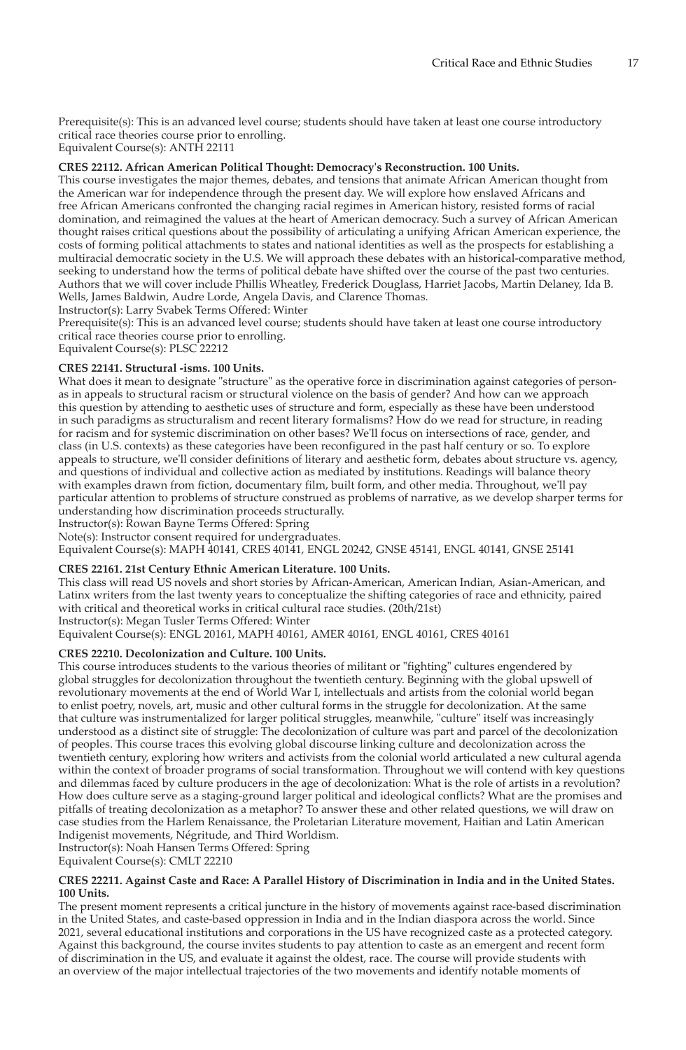Prerequisite(s): This is an advanced level course; students should have taken at least one course introductory critical race theories course prior to enrolling.

Equivalent Course(s): ANTH 22111

# **CRES 22112. African American Political Thought: Democracy's Reconstruction. 100 Units.**

This course investigates the major themes, debates, and tensions that animate African American thought from the American war for independence through the present day. We will explore how enslaved Africans and free African Americans confronted the changing racial regimes in American history, resisted forms of racial domination, and reimagined the values at the heart of American democracy. Such a survey of African American thought raises critical questions about the possibility of articulating a unifying African American experience, the costs of forming political attachments to states and national identities as well as the prospects for establishing a multiracial democratic society in the U.S. We will approach these debates with an historical-comparative method, seeking to understand how the terms of political debate have shifted over the course of the past two centuries. Authors that we will cover include Phillis Wheatley, Frederick Douglass, Harriet Jacobs, Martin Delaney, Ida B. Wells, James Baldwin, Audre Lorde, Angela Davis, and Clarence Thomas.

Instructor(s): Larry Svabek Terms Offered: Winter

Prerequisite(s): This is an advanced level course; students should have taken at least one course introductory critical race theories course prior to enrolling.

Equivalent Course(s): PLSC 22212

#### **CRES 22141. Structural -isms. 100 Units.**

What does it mean to designate "structure" as the operative force in discrimination against categories of personas in appeals to structural racism or structural violence on the basis of gender? And how can we approach this question by attending to aesthetic uses of structure and form, especially as these have been understood in such paradigms as structuralism and recent literary formalisms? How do we read for structure, in reading for racism and for systemic discrimination on other bases? We'll focus on intersections of race, gender, and class (in U.S. contexts) as these categories have been reconfigured in the past half century or so. To explore appeals to structure, we'll consider definitions of literary and aesthetic form, debates about structure vs. agency, and questions of individual and collective action as mediated by institutions. Readings will balance theory with examples drawn from fiction, documentary film, built form, and other media. Throughout, we'll pay particular attention to problems of structure construed as problems of narrative, as we develop sharper terms for understanding how discrimination proceeds structurally.

Instructor(s): Rowan Bayne Terms Offered: Spring

Note(s): Instructor consent required for undergraduates.

Equivalent Course(s): MAPH 40141, CRES 40141, ENGL 20242, GNSE 45141, ENGL 40141, GNSE 25141

#### **CRES 22161. 21st Century Ethnic American Literature. 100 Units.**

This class will read US novels and short stories by African-American, American Indian, Asian-American, and Latinx writers from the last twenty years to conceptualize the shifting categories of race and ethnicity, paired with critical and theoretical works in critical cultural race studies. (20th/21st)

Instructor(s): Megan Tusler Terms Offered: Winter

Equivalent Course(s): ENGL 20161, MAPH 40161, AMER 40161, ENGL 40161, CRES 40161

#### **CRES 22210. Decolonization and Culture. 100 Units.**

This course introduces students to the various theories of militant or "fighting" cultures engendered by global struggles for decolonization throughout the twentieth century. Beginning with the global upswell of revolutionary movements at the end of World War I, intellectuals and artists from the colonial world began to enlist poetry, novels, art, music and other cultural forms in the struggle for decolonization. At the same that culture was instrumentalized for larger political struggles, meanwhile, "culture" itself was increasingly understood as a distinct site of struggle: The decolonization of culture was part and parcel of the decolonization of peoples. This course traces this evolving global discourse linking culture and decolonization across the twentieth century, exploring how writers and activists from the colonial world articulated a new cultural agenda within the context of broader programs of social transformation. Throughout we will contend with key questions and dilemmas faced by culture producers in the age of decolonization: What is the role of artists in a revolution? How does culture serve as a staging-ground larger political and ideological conflicts? What are the promises and pitfalls of treating decolonization as a metaphor? To answer these and other related questions, we will draw on case studies from the Harlem Renaissance, the Proletarian Literature movement, Haitian and Latin American Indigenist movements, Négritude, and Third Worldism.

Instructor(s): Noah Hansen Terms Offered: Spring

Equivalent Course(s): CMLT 22210

#### **CRES 22211. Against Caste and Race: A Parallel History of Discrimination in India and in the United States. 100 Units.**

The present moment represents a critical juncture in the history of movements against race-based discrimination in the United States, and caste-based oppression in India and in the Indian diaspora across the world. Since 2021, several educational institutions and corporations in the US have recognized caste as a protected category. Against this background, the course invites students to pay attention to caste as an emergent and recent form of discrimination in the US, and evaluate it against the oldest, race. The course will provide students with an overview of the major intellectual trajectories of the two movements and identify notable moments of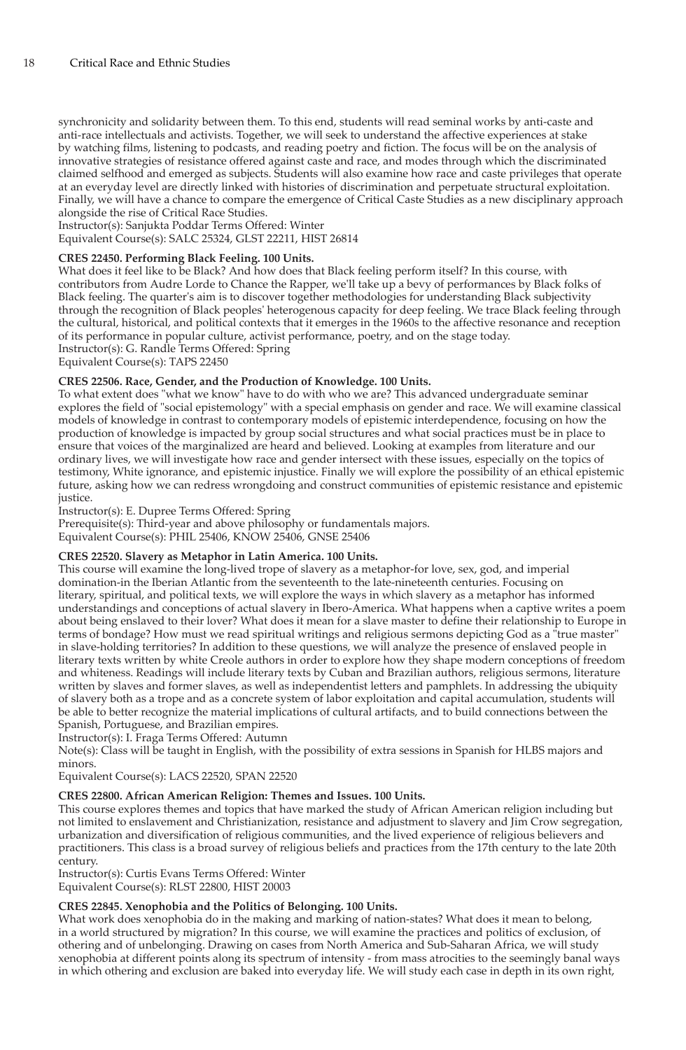synchronicity and solidarity between them. To this end, students will read seminal works by anti-caste and anti-race intellectuals and activists. Together, we will seek to understand the affective experiences at stake by watching films, listening to podcasts, and reading poetry and fiction. The focus will be on the analysis of innovative strategies of resistance offered against caste and race, and modes through which the discriminated claimed selfhood and emerged as subjects. Students will also examine how race and caste privileges that operate at an everyday level are directly linked with histories of discrimination and perpetuate structural exploitation. Finally, we will have a chance to compare the emergence of Critical Caste Studies as a new disciplinary approach alongside the rise of Critical Race Studies.

Instructor(s): Sanjukta Poddar Terms Offered: Winter

Equivalent Course(s): SALC 25324, GLST 22211, HIST 26814

# **CRES 22450. Performing Black Feeling. 100 Units.**

What does it feel like to be Black? And how does that Black feeling perform itself? In this course, with contributors from Audre Lorde to Chance the Rapper, we'll take up a bevy of performances by Black folks of Black feeling. The quarter's aim is to discover together methodologies for understanding Black subjectivity through the recognition of Black peoples' heterogenous capacity for deep feeling. We trace Black feeling through the cultural, historical, and political contexts that it emerges in the 1960s to the affective resonance and reception of its performance in popular culture, activist performance, poetry, and on the stage today. Instructor(s): G. Randle Terms Offered: Spring

Equivalent Course(s): TAPS 22450

# **CRES 22506. Race, Gender, and the Production of Knowledge. 100 Units.**

To what extent does "what we know" have to do with who we are? This advanced undergraduate seminar explores the field of "social epistemology" with a special emphasis on gender and race. We will examine classical models of knowledge in contrast to contemporary models of epistemic interdependence, focusing on how the production of knowledge is impacted by group social structures and what social practices must be in place to ensure that voices of the marginalized are heard and believed. Looking at examples from literature and our ordinary lives, we will investigate how race and gender intersect with these issues, especially on the topics of testimony, White ignorance, and epistemic injustice. Finally we will explore the possibility of an ethical epistemic future, asking how we can redress wrongdoing and construct communities of epistemic resistance and epistemic justice.

Instructor(s): E. Dupree Terms Offered: Spring

Prerequisite(s): Third-year and above philosophy or fundamentals majors. Equivalent Course(s): PHIL 25406, KNOW 25406, GNSE 25406

# **CRES 22520. Slavery as Metaphor in Latin America. 100 Units.**

This course will examine the long-lived trope of slavery as a metaphor-for love, sex, god, and imperial domination-in the Iberian Atlantic from the seventeenth to the late-nineteenth centuries. Focusing on literary, spiritual, and political texts, we will explore the ways in which slavery as a metaphor has informed understandings and conceptions of actual slavery in Ibero-America. What happens when a captive writes a poem about being enslaved to their lover? What does it mean for a slave master to define their relationship to Europe in terms of bondage? How must we read spiritual writings and religious sermons depicting God as a "true master" in slave-holding territories? In addition to these questions, we will analyze the presence of enslaved people in literary texts written by white Creole authors in order to explore how they shape modern conceptions of freedom and whiteness. Readings will include literary texts by Cuban and Brazilian authors, religious sermons, literature written by slaves and former slaves, as well as independentist letters and pamphlets. In addressing the ubiquity of slavery both as a trope and as a concrete system of labor exploitation and capital accumulation, students will be able to better recognize the material implications of cultural artifacts, and to build connections between the Spanish, Portuguese, and Brazilian empires.

Instructor(s): I. Fraga Terms Offered: Autumn

Note(s): Class will be taught in English, with the possibility of extra sessions in Spanish for HLBS majors and minors.

Equivalent Course(s): LACS 22520, SPAN 22520

#### **CRES 22800. African American Religion: Themes and Issues. 100 Units.**

This course explores themes and topics that have marked the study of African American religion including but not limited to enslavement and Christianization, resistance and adjustment to slavery and Jim Crow segregation, urbanization and diversification of religious communities, and the lived experience of religious believers and practitioners. This class is a broad survey of religious beliefs and practices from the 17th century to the late 20th century.

Instructor(s): Curtis Evans Terms Offered: Winter Equivalent Course(s): RLST 22800, HIST 20003

# **CRES 22845. Xenophobia and the Politics of Belonging. 100 Units.**

What work does xenophobia do in the making and marking of nation-states? What does it mean to belong, in a world structured by migration? In this course, we will examine the practices and politics of exclusion, of othering and of unbelonging. Drawing on cases from North America and Sub-Saharan Africa, we will study xenophobia at different points along its spectrum of intensity - from mass atrocities to the seemingly banal ways in which othering and exclusion are baked into everyday life. We will study each case in depth in its own right,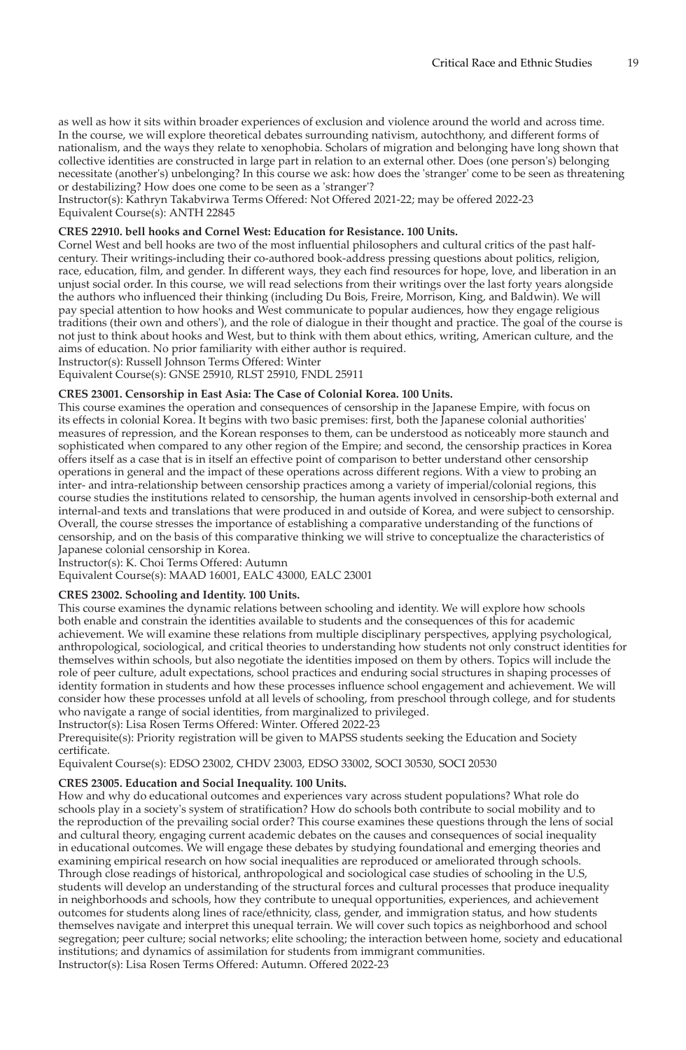as well as how it sits within broader experiences of exclusion and violence around the world and across time. In the course, we will explore theoretical debates surrounding nativism, autochthony, and different forms of nationalism, and the ways they relate to xenophobia. Scholars of migration and belonging have long shown that collective identities are constructed in large part in relation to an external other. Does (one person's) belonging necessitate (another's) unbelonging? In this course we ask: how does the 'stranger' come to be seen as threatening or destabilizing? How does one come to be seen as a 'stranger'?

Instructor(s): Kathryn Takabvirwa Terms Offered: Not Offered 2021-22; may be offered 2022-23 Equivalent Course(s): ANTH 22845

#### **CRES 22910. bell hooks and Cornel West: Education for Resistance. 100 Units.**

Cornel West and bell hooks are two of the most influential philosophers and cultural critics of the past halfcentury. Their writings-including their co-authored book-address pressing questions about politics, religion, race, education, film, and gender. In different ways, they each find resources for hope, love, and liberation in an unjust social order. In this course, we will read selections from their writings over the last forty years alongside the authors who influenced their thinking (including Du Bois, Freire, Morrison, King, and Baldwin). We will pay special attention to how hooks and West communicate to popular audiences, how they engage religious traditions (their own and others'), and the role of dialogue in their thought and practice. The goal of the course is not just to think about hooks and West, but to think with them about ethics, writing, American culture, and the aims of education. No prior familiarity with either author is required.

Instructor(s): Russell Johnson Terms Offered: Winter

Equivalent Course(s): GNSE 25910, RLST 25910, FNDL 25911

#### **CRES 23001. Censorship in East Asia: The Case of Colonial Korea. 100 Units.**

This course examines the operation and consequences of censorship in the Japanese Empire, with focus on its effects in colonial Korea. It begins with two basic premises: first, both the Japanese colonial authorities' measures of repression, and the Korean responses to them, can be understood as noticeably more staunch and sophisticated when compared to any other region of the Empire; and second, the censorship practices in Korea offers itself as a case that is in itself an effective point of comparison to better understand other censorship operations in general and the impact of these operations across different regions. With a view to probing an inter- and intra-relationship between censorship practices among a variety of imperial/colonial regions, this course studies the institutions related to censorship, the human agents involved in censorship-both external and internal-and texts and translations that were produced in and outside of Korea, and were subject to censorship. Overall, the course stresses the importance of establishing a comparative understanding of the functions of censorship, and on the basis of this comparative thinking we will strive to conceptualize the characteristics of Japanese colonial censorship in Korea.

Instructor(s): K. Choi Terms Offered: Autumn

Equivalent Course(s): MAAD 16001, EALC 43000, EALC 23001

#### **CRES 23002. Schooling and Identity. 100 Units.**

This course examines the dynamic relations between schooling and identity. We will explore how schools both enable and constrain the identities available to students and the consequences of this for academic achievement. We will examine these relations from multiple disciplinary perspectives, applying psychological, anthropological, sociological, and critical theories to understanding how students not only construct identities for themselves within schools, but also negotiate the identities imposed on them by others. Topics will include the role of peer culture, adult expectations, school practices and enduring social structures in shaping processes of identity formation in students and how these processes influence school engagement and achievement. We will consider how these processes unfold at all levels of schooling, from preschool through college, and for students who navigate a range of social identities, from marginalized to privileged.

Instructor(s): Lisa Rosen Terms Offered: Winter. Offered 2022-23

Prerequisite(s): Priority registration will be given to MAPSS students seeking the Education and Society certificate.

Equivalent Course(s): EDSO 23002, CHDV 23003, EDSO 33002, SOCI 30530, SOCI 20530

# **CRES 23005. Education and Social Inequality. 100 Units.**

How and why do educational outcomes and experiences vary across student populations? What role do schools play in a society's system of stratification? How do schools both contribute to social mobility and to the reproduction of the prevailing social order? This course examines these questions through the lens of social and cultural theory, engaging current academic debates on the causes and consequences of social inequality in educational outcomes. We will engage these debates by studying foundational and emerging theories and examining empirical research on how social inequalities are reproduced or ameliorated through schools. Through close readings of historical, anthropological and sociological case studies of schooling in the U.S, students will develop an understanding of the structural forces and cultural processes that produce inequality in neighborhoods and schools, how they contribute to unequal opportunities, experiences, and achievement outcomes for students along lines of race/ethnicity, class, gender, and immigration status, and how students themselves navigate and interpret this unequal terrain. We will cover such topics as neighborhood and school segregation; peer culture; social networks; elite schooling; the interaction between home, society and educational institutions; and dynamics of assimilation for students from immigrant communities. Instructor(s): Lisa Rosen Terms Offered: Autumn. Offered 2022-23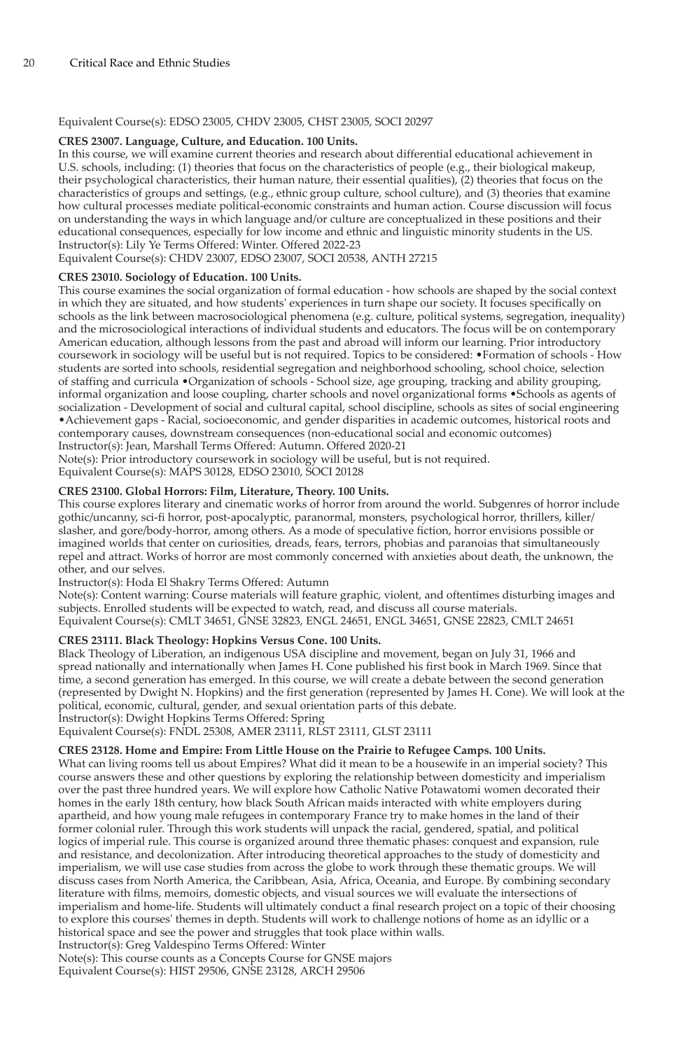# Equivalent Course(s): EDSO 23005, CHDV 23005, CHST 23005, SOCI 20297

# **CRES 23007. Language, Culture, and Education. 100 Units.**

In this course, we will examine current theories and research about differential educational achievement in U.S. schools, including: (1) theories that focus on the characteristics of people (e.g., their biological makeup, their psychological characteristics, their human nature, their essential qualities), (2) theories that focus on the characteristics of groups and settings, (e.g., ethnic group culture, school culture), and (3) theories that examine how cultural processes mediate political-economic constraints and human action. Course discussion will focus on understanding the ways in which language and/or culture are conceptualized in these positions and their educational consequences, especially for low income and ethnic and linguistic minority students in the US. Instructor(s): Lily Ye Terms Offered: Winter. Offered 2022-23

Equivalent Course(s): CHDV 23007, EDSO 23007, SOCI 20538, ANTH 27215

#### **CRES 23010. Sociology of Education. 100 Units.**

This course examines the social organization of formal education - how schools are shaped by the social context in which they are situated, and how students' experiences in turn shape our society. It focuses specifically on schools as the link between macrosociological phenomena (e.g. culture, political systems, segregation, inequality) and the microsociological interactions of individual students and educators. The focus will be on contemporary American education, although lessons from the past and abroad will inform our learning. Prior introductory coursework in sociology will be useful but is not required. Topics to be considered: •Formation of schools - How students are sorted into schools, residential segregation and neighborhood schooling, school choice, selection of staffing and curricula •Organization of schools - School size, age grouping, tracking and ability grouping, informal organization and loose coupling, charter schools and novel organizational forms •Schools as agents of socialization - Development of social and cultural capital, school discipline, schools as sites of social engineering •Achievement gaps - Racial, socioeconomic, and gender disparities in academic outcomes, historical roots and contemporary causes, downstream consequences (non-educational social and economic outcomes) Instructor(s): Jean, Marshall Terms Offered: Autumn. Offered 2020-21

Note(s): Prior introductory coursework in sociology will be useful, but is not required. Equivalent Course(s): MAPS 30128, EDSO 23010, SOCI 20128

# **CRES 23100. Global Horrors: Film, Literature, Theory. 100 Units.**

This course explores literary and cinematic works of horror from around the world. Subgenres of horror include gothic/uncanny, sci-fi horror, post-apocalyptic, paranormal, monsters, psychological horror, thrillers, killer/ slasher, and gore/body-horror, among others. As a mode of speculative fiction, horror envisions possible or imagined worlds that center on curiosities, dreads, fears, terrors, phobias and paranoias that simultaneously repel and attract. Works of horror are most commonly concerned with anxieties about death, the unknown, the other, and our selves.

Instructor(s): Hoda El Shakry Terms Offered: Autumn

Note(s): Content warning: Course materials will feature graphic, violent, and oftentimes disturbing images and subjects. Enrolled students will be expected to watch, read, and discuss all course materials. Equivalent Course(s): CMLT 34651, GNSE 32823, ENGL 24651, ENGL 34651, GNSE 22823, CMLT 24651

# **CRES 23111. Black Theology: Hopkins Versus Cone. 100 Units.**

Black Theology of Liberation, an indigenous USA discipline and movement, began on July 31, 1966 and spread nationally and internationally when James H. Cone published his first book in March 1969. Since that time, a second generation has emerged. In this course, we will create a debate between the second generation (represented by Dwight N. Hopkins) and the first generation (represented by James H. Cone). We will look at the political, economic, cultural, gender, and sexual orientation parts of this debate. Instructor(s): Dwight Hopkins Terms Offered: Spring

Equivalent Course(s): FNDL 25308, AMER 23111, RLST 23111, GLST 23111

#### **CRES 23128. Home and Empire: From Little House on the Prairie to Refugee Camps. 100 Units.**

What can living rooms tell us about Empires? What did it mean to be a housewife in an imperial society? This course answers these and other questions by exploring the relationship between domesticity and imperialism over the past three hundred years. We will explore how Catholic Native Potawatomi women decorated their homes in the early 18th century, how black South African maids interacted with white employers during apartheid, and how young male refugees in contemporary France try to make homes in the land of their former colonial ruler. Through this work students will unpack the racial, gendered, spatial, and political logics of imperial rule. This course is organized around three thematic phases: conquest and expansion, rule and resistance, and decolonization. After introducing theoretical approaches to the study of domesticity and imperialism, we will use case studies from across the globe to work through these thematic groups. We will discuss cases from North America, the Caribbean, Asia, Africa, Oceania, and Europe. By combining secondary literature with films, memoirs, domestic objects, and visual sources we will evaluate the intersections of imperialism and home-life. Students will ultimately conduct a final research project on a topic of their choosing to explore this courses' themes in depth. Students will work to challenge notions of home as an idyllic or a historical space and see the power and struggles that took place within walls.

Instructor(s): Greg Valdespino Terms Offered: Winter

Note(s): This course counts as a Concepts Course for GNSE majors Equivalent Course(s): HIST 29506, GNSE 23128, ARCH 29506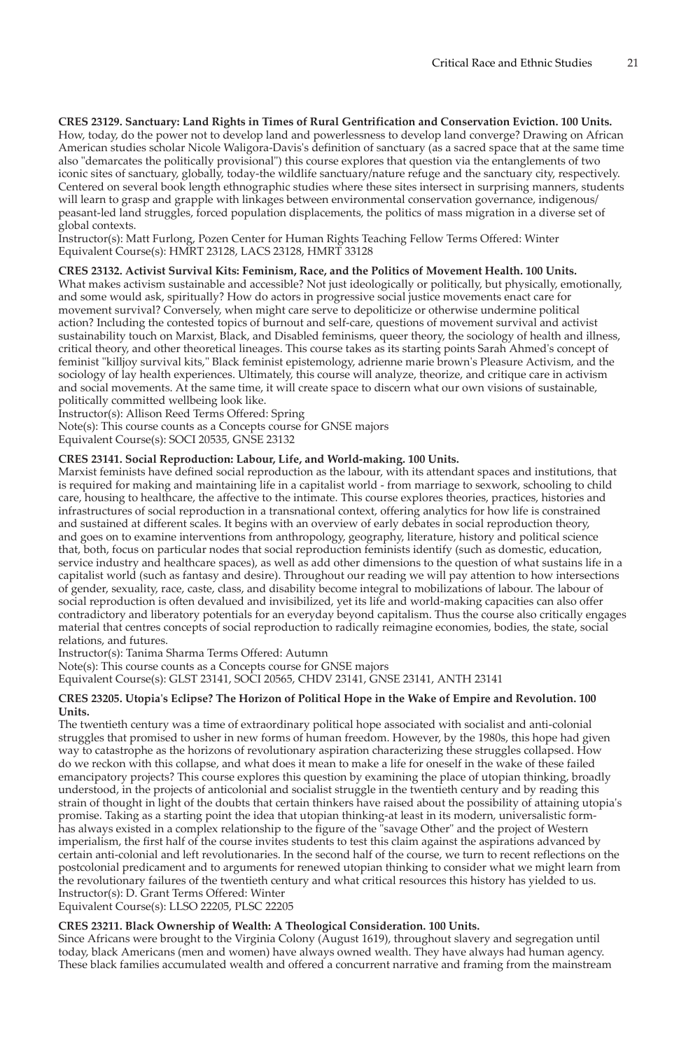#### **CRES 23129. Sanctuary: Land Rights in Times of Rural Gentrification and Conservation Eviction. 100 Units.** How, today, do the power not to develop land and powerlessness to develop land converge? Drawing on African American studies scholar Nicole Waligora-Davis's definition of sanctuary (as a sacred space that at the same time also "demarcates the politically provisional") this course explores that question via the entanglements of two iconic sites of sanctuary, globally, today-the wildlife sanctuary/nature refuge and the sanctuary city, respectively. Centered on several book length ethnographic studies where these sites intersect in surprising manners, students will learn to grasp and grapple with linkages between environmental conservation governance, indigenous/ peasant-led land struggles, forced population displacements, the politics of mass migration in a diverse set of global contexts.

Instructor(s): Matt Furlong, Pozen Center for Human Rights Teaching Fellow Terms Offered: Winter Equivalent Course(s): HMRT 23128, LACS 23128, HMRT 33128

# **CRES 23132. Activist Survival Kits: Feminism, Race, and the Politics of Movement Health. 100 Units.**

What makes activism sustainable and accessible? Not just ideologically or politically, but physically, emotionally, and some would ask, spiritually? How do actors in progressive social justice movements enact care for movement survival? Conversely, when might care serve to depoliticize or otherwise undermine political action? Including the contested topics of burnout and self-care, questions of movement survival and activist sustainability touch on Marxist, Black, and Disabled feminisms, queer theory, the sociology of health and illness, critical theory, and other theoretical lineages. This course takes as its starting points Sarah Ahmed's concept of feminist "killjoy survival kits," Black feminist epistemology, adrienne marie brown's Pleasure Activism, and the sociology of lay health experiences. Ultimately, this course will analyze, theorize, and critique care in activism and social movements. At the same time, it will create space to discern what our own visions of sustainable, politically committed wellbeing look like.

Instructor(s): Allison Reed Terms Offered: Spring

Note(s): This course counts as a Concepts course for GNSE majors

Equivalent Course(s): SOCI 20535, GNSE 23132

# **CRES 23141. Social Reproduction: Labour, Life, and World-making. 100 Units.**

Marxist feminists have defined social reproduction as the labour, with its attendant spaces and institutions, that is required for making and maintaining life in a capitalist world - from marriage to sexwork, schooling to child care, housing to healthcare, the affective to the intimate. This course explores theories, practices, histories and infrastructures of social reproduction in a transnational context, offering analytics for how life is constrained and sustained at different scales. It begins with an overview of early debates in social reproduction theory, and goes on to examine interventions from anthropology, geography, literature, history and political science that, both, focus on particular nodes that social reproduction feminists identify (such as domestic, education, service industry and healthcare spaces), as well as add other dimensions to the question of what sustains life in a capitalist world (such as fantasy and desire). Throughout our reading we will pay attention to how intersections of gender, sexuality, race, caste, class, and disability become integral to mobilizations of labour. The labour of social reproduction is often devalued and invisibilized, yet its life and world-making capacities can also offer contradictory and liberatory potentials for an everyday beyond capitalism. Thus the course also critically engages material that centres concepts of social reproduction to radically reimagine economies, bodies, the state, social relations, and futures.

Instructor(s): Tanima Sharma Terms Offered: Autumn

Note(s): This course counts as a Concepts course for GNSE majors

Equivalent Course(s): GLST 23141, SOCI 20565, CHDV 23141, GNSE 23141, ANTH 23141

#### **CRES 23205. Utopia's Eclipse? The Horizon of Political Hope in the Wake of Empire and Revolution. 100 Units.**

The twentieth century was a time of extraordinary political hope associated with socialist and anti-colonial struggles that promised to usher in new forms of human freedom. However, by the 1980s, this hope had given way to catastrophe as the horizons of revolutionary aspiration characterizing these struggles collapsed. How do we reckon with this collapse, and what does it mean to make a life for oneself in the wake of these failed emancipatory projects? This course explores this question by examining the place of utopian thinking, broadly understood, in the projects of anticolonial and socialist struggle in the twentieth century and by reading this strain of thought in light of the doubts that certain thinkers have raised about the possibility of attaining utopia's promise. Taking as a starting point the idea that utopian thinking-at least in its modern, universalistic formhas always existed in a complex relationship to the figure of the "savage Other" and the project of Western imperialism, the first half of the course invites students to test this claim against the aspirations advanced by certain anti-colonial and left revolutionaries. In the second half of the course, we turn to recent reflections on the postcolonial predicament and to arguments for renewed utopian thinking to consider what we might learn from the revolutionary failures of the twentieth century and what critical resources this history has yielded to us. Instructor(s): D. Grant Terms Offered: Winter

Equivalent Course(s): LLSO 22205, PLSC 22205

# **CRES 23211. Black Ownership of Wealth: A Theological Consideration. 100 Units.**

Since Africans were brought to the Virginia Colony (August 1619), throughout slavery and segregation until today, black Americans (men and women) have always owned wealth. They have always had human agency. These black families accumulated wealth and offered a concurrent narrative and framing from the mainstream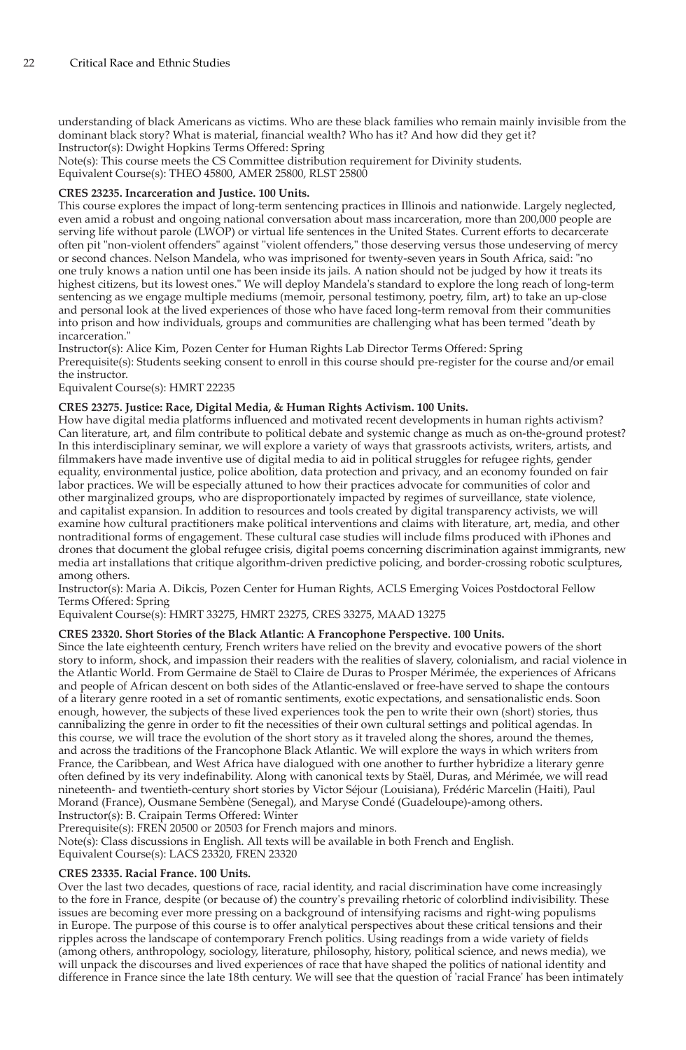understanding of black Americans as victims. Who are these black families who remain mainly invisible from the dominant black story? What is material, financial wealth? Who has it? And how did they get it? Instructor(s): Dwight Hopkins Terms Offered: Spring

Note(s): This course meets the CS Committee distribution requirement for Divinity students.

Equivalent Course(s): THEO 45800, AMER 25800, RLST 25800

# **CRES 23235. Incarceration and Justice. 100 Units.**

This course explores the impact of long-term sentencing practices in Illinois and nationwide. Largely neglected, even amid a robust and ongoing national conversation about mass incarceration, more than 200,000 people are serving life without parole (LWOP) or virtual life sentences in the United States. Current efforts to decarcerate often pit "non-violent offenders" against "violent offenders," those deserving versus those undeserving of mercy or second chances. Nelson Mandela, who was imprisoned for twenty-seven years in South Africa, said: "no one truly knows a nation until one has been inside its jails. A nation should not be judged by how it treats its highest citizens, but its lowest ones." We will deploy Mandela's standard to explore the long reach of long-term sentencing as we engage multiple mediums (memoir, personal testimony, poetry, film, art) to take an up-close and personal look at the lived experiences of those who have faced long-term removal from their communities into prison and how individuals, groups and communities are challenging what has been termed "death by incarceration.

Instructor(s): Alice Kim, Pozen Center for Human Rights Lab Director Terms Offered: Spring Prerequisite(s): Students seeking consent to enroll in this course should pre-register for the course and/or email the instructor.

Equivalent Course(s): HMRT 22235

# **CRES 23275. Justice: Race, Digital Media, & Human Rights Activism. 100 Units.**

How have digital media platforms influenced and motivated recent developments in human rights activism? Can literature, art, and film contribute to political debate and systemic change as much as on-the-ground protest? In this interdisciplinary seminar, we will explore a variety of ways that grassroots activists, writers, artists, and filmmakers have made inventive use of digital media to aid in political struggles for refugee rights, gender equality, environmental justice, police abolition, data protection and privacy, and an economy founded on fair labor practices. We will be especially attuned to how their practices advocate for communities of color and other marginalized groups, who are disproportionately impacted by regimes of surveillance, state violence, and capitalist expansion. In addition to resources and tools created by digital transparency activists, we will examine how cultural practitioners make political interventions and claims with literature, art, media, and other nontraditional forms of engagement. These cultural case studies will include films produced with iPhones and drones that document the global refugee crisis, digital poems concerning discrimination against immigrants, new media art installations that critique algorithm-driven predictive policing, and border-crossing robotic sculptures, among others.

Instructor(s): Maria A. Dikcis, Pozen Center for Human Rights, ACLS Emerging Voices Postdoctoral Fellow Terms Offered: Spring

Equivalent Course(s): HMRT 33275, HMRT 23275, CRES 33275, MAAD 13275

# **CRES 23320. Short Stories of the Black Atlantic: A Francophone Perspective. 100 Units.**

Since the late eighteenth century, French writers have relied on the brevity and evocative powers of the short story to inform, shock, and impassion their readers with the realities of slavery, colonialism, and racial violence in the Atlantic World. From Germaine de Staël to Claire de Duras to Prosper Mérimée, the experiences of Africans and people of African descent on both sides of the Atlantic-enslaved or free-have served to shape the contours of a literary genre rooted in a set of romantic sentiments, exotic expectations, and sensationalistic ends. Soon enough, however, the subjects of these lived experiences took the pen to write their own (short) stories, thus cannibalizing the genre in order to fit the necessities of their own cultural settings and political agendas. In this course, we will trace the evolution of the short story as it traveled along the shores, around the themes, and across the traditions of the Francophone Black Atlantic. We will explore the ways in which writers from France, the Caribbean, and West Africa have dialogued with one another to further hybridize a literary genre often defined by its very indefinability. Along with canonical texts by Staël, Duras, and Mérimée, we will read nineteenth- and twentieth-century short stories by Victor Séjour (Louisiana), Frédéric Marcelin (Haiti), Paul Morand (France), Ousmane Sembène (Senegal), and Maryse Condé (Guadeloupe)-among others. Instructor(s): B. Craipain Terms Offered: Winter

Prerequisite(s): FREN 20500 or 20503 for French majors and minors.

Note(s): Class discussions in English. All texts will be available in both French and English.

Equivalent Course(s): LACS 23320, FREN 23320

# **CRES 23335. Racial France. 100 Units.**

Over the last two decades, questions of race, racial identity, and racial discrimination have come increasingly to the fore in France, despite (or because of) the country's prevailing rhetoric of colorblind indivisibility. These issues are becoming ever more pressing on a background of intensifying racisms and right-wing populisms in Europe. The purpose of this course is to offer analytical perspectives about these critical tensions and their ripples across the landscape of contemporary French politics. Using readings from a wide variety of fields (among others, anthropology, sociology, literature, philosophy, history, political science, and news media), we will unpack the discourses and lived experiences of race that have shaped the politics of national identity and difference in France since the late 18th century. We will see that the question of 'racial France' has been intimately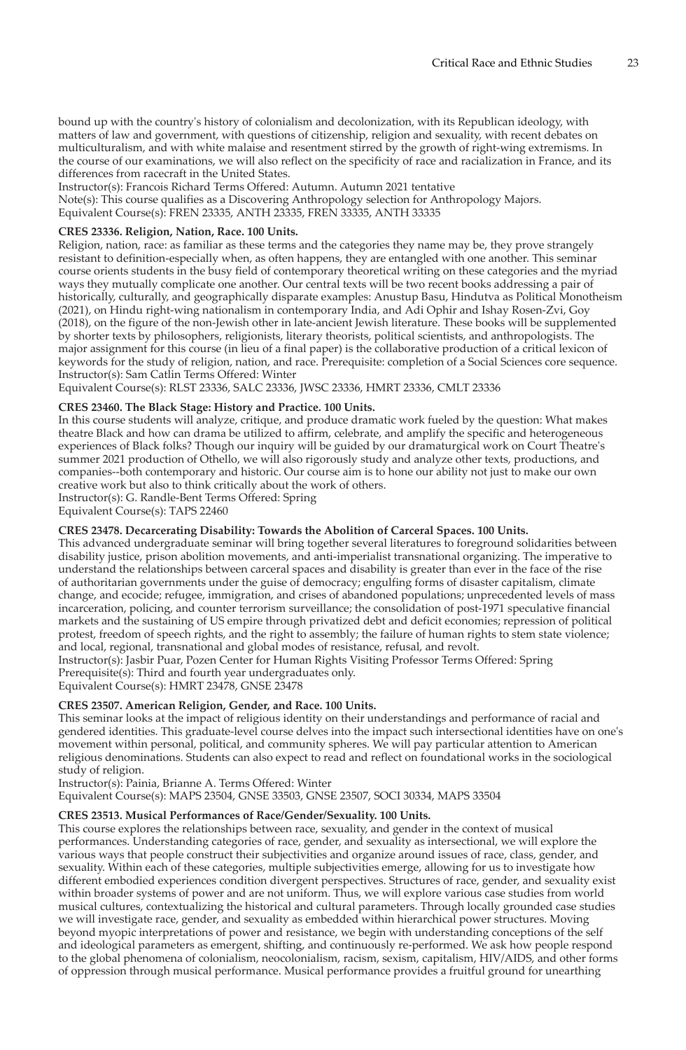bound up with the country's history of colonialism and decolonization, with its Republican ideology, with matters of law and government, with questions of citizenship, religion and sexuality, with recent debates on multiculturalism, and with white malaise and resentment stirred by the growth of right-wing extremisms. In the course of our examinations, we will also reflect on the specificity of race and racialization in France, and its differences from racecraft in the United States.

Instructor(s): Francois Richard Terms Offered: Autumn. Autumn 2021 tentative

Note(s): This course qualifies as a Discovering Anthropology selection for Anthropology Majors.

Equivalent Course(s): FREN 23335, ANTH 23335, FREN 33335, ANTH 33335

# **CRES 23336. Religion, Nation, Race. 100 Units.**

Religion, nation, race: as familiar as these terms and the categories they name may be, they prove strangely resistant to definition-especially when, as often happens, they are entangled with one another. This seminar course orients students in the busy field of contemporary theoretical writing on these categories and the myriad ways they mutually complicate one another. Our central texts will be two recent books addressing a pair of historically, culturally, and geographically disparate examples: Anustup Basu, Hindutva as Political Monotheism (2021), on Hindu right-wing nationalism in contemporary India, and Adi Ophir and Ishay Rosen-Zvi, Goy (2018), on the figure of the non-Jewish other in late-ancient Jewish literature. These books will be supplemented by shorter texts by philosophers, religionists, literary theorists, political scientists, and anthropologists. The major assignment for this course (in lieu of a final paper) is the collaborative production of a critical lexicon of keywords for the study of religion, nation, and race. Prerequisite: completion of a Social Sciences core sequence. Instructor(s): Sam Catlin Terms Offered: Winter

Equivalent Course(s): RLST 23336, SALC 23336, JWSC 23336, HMRT 23336, CMLT 23336

# **CRES 23460. The Black Stage: History and Practice. 100 Units.**

In this course students will analyze, critique, and produce dramatic work fueled by the question: What makes theatre Black and how can drama be utilized to affirm, celebrate, and amplify the specific and heterogeneous experiences of Black folks? Though our inquiry will be guided by our dramaturgical work on Court Theatre's summer 2021 production of Othello, we will also rigorously study and analyze other texts, productions, and companies--both contemporary and historic. Our course aim is to hone our ability not just to make our own creative work but also to think critically about the work of others. Instructor(s): G. Randle-Bent Terms Offered: Spring

Equivalent Course(s): TAPS 22460

#### **CRES 23478. Decarcerating Disability: Towards the Abolition of Carceral Spaces. 100 Units.**

This advanced undergraduate seminar will bring together several literatures to foreground solidarities between disability justice, prison abolition movements, and anti-imperialist transnational organizing. The imperative to understand the relationships between carceral spaces and disability is greater than ever in the face of the rise of authoritarian governments under the guise of democracy; engulfing forms of disaster capitalism, climate change, and ecocide; refugee, immigration, and crises of abandoned populations; unprecedented levels of mass incarceration, policing, and counter terrorism surveillance; the consolidation of post-1971 speculative financial markets and the sustaining of US empire through privatized debt and deficit economies; repression of political protest, freedom of speech rights, and the right to assembly; the failure of human rights to stem state violence; and local, regional, transnational and global modes of resistance, refusal, and revolt.

Instructor(s): Jasbir Puar, Pozen Center for Human Rights Visiting Professor Terms Offered: Spring Prerequisite(s): Third and fourth year undergraduates only.

Equivalent Course(s): HMRT 23478, GNSE 23478

# **CRES 23507. American Religion, Gender, and Race. 100 Units.**

This seminar looks at the impact of religious identity on their understandings and performance of racial and gendered identities. This graduate-level course delves into the impact such intersectional identities have on one's movement within personal, political, and community spheres. We will pay particular attention to American religious denominations. Students can also expect to read and reflect on foundational works in the sociological study of religion.

Instructor(s): Painia, Brianne A. Terms Offered: Winter

Equivalent Course(s): MAPS 23504, GNSE 33503, GNSE 23507, SOCI 30334, MAPS 33504

# **CRES 23513. Musical Performances of Race/Gender/Sexuality. 100 Units.**

This course explores the relationships between race, sexuality, and gender in the context of musical performances. Understanding categories of race, gender, and sexuality as intersectional, we will explore the various ways that people construct their subjectivities and organize around issues of race, class, gender, and sexuality. Within each of these categories, multiple subjectivities emerge, allowing for us to investigate how different embodied experiences condition divergent perspectives. Structures of race, gender, and sexuality exist within broader systems of power and are not uniform. Thus, we will explore various case studies from world musical cultures, contextualizing the historical and cultural parameters. Through locally grounded case studies we will investigate race, gender, and sexuality as embedded within hierarchical power structures. Moving beyond myopic interpretations of power and resistance, we begin with understanding conceptions of the self and ideological parameters as emergent, shifting, and continuously re-performed. We ask how people respond to the global phenomena of colonialism, neocolonialism, racism, sexism, capitalism, HIV/AIDS, and other forms of oppression through musical performance. Musical performance provides a fruitful ground for unearthing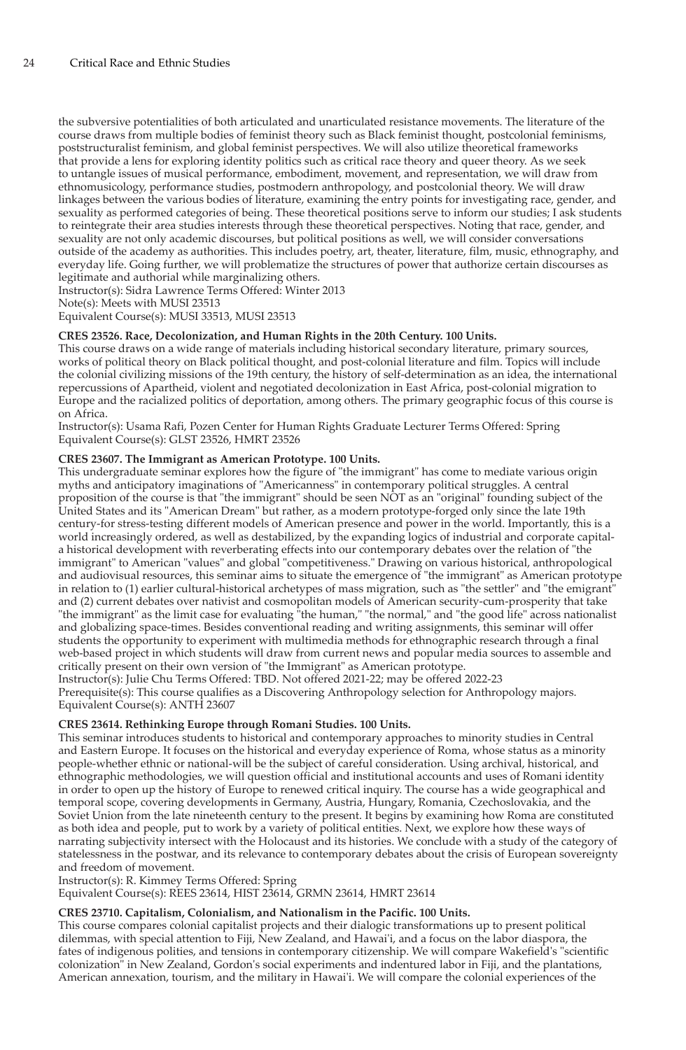the subversive potentialities of both articulated and unarticulated resistance movements. The literature of the course draws from multiple bodies of feminist theory such as Black feminist thought, postcolonial feminisms, poststructuralist feminism, and global feminist perspectives. We will also utilize theoretical frameworks that provide a lens for exploring identity politics such as critical race theory and queer theory. As we seek to untangle issues of musical performance, embodiment, movement, and representation, we will draw from ethnomusicology, performance studies, postmodern anthropology, and postcolonial theory. We will draw linkages between the various bodies of literature, examining the entry points for investigating race, gender, and sexuality as performed categories of being. These theoretical positions serve to inform our studies; I ask students to reintegrate their area studies interests through these theoretical perspectives. Noting that race, gender, and sexuality are not only academic discourses, but political positions as well, we will consider conversations outside of the academy as authorities. This includes poetry, art, theater, literature, film, music, ethnography, and everyday life. Going further, we will problematize the structures of power that authorize certain discourses as legitimate and authorial while marginalizing others.

Instructor(s): Sidra Lawrence Terms Offered: Winter 2013 Note(s): Meets with MUSI 23513

Equivalent Course(s): MUSI 33513, MUSI 23513

# **CRES 23526. Race, Decolonization, and Human Rights in the 20th Century. 100 Units.**

This course draws on a wide range of materials including historical secondary literature, primary sources, works of political theory on Black political thought, and post-colonial literature and film. Topics will include the colonial civilizing missions of the 19th century, the history of self-determination as an idea, the international repercussions of Apartheid, violent and negotiated decolonization in East Africa, post-colonial migration to Europe and the racialized politics of deportation, among others. The primary geographic focus of this course is on Africa.

Instructor(s): Usama Rafi, Pozen Center for Human Rights Graduate Lecturer Terms Offered: Spring Equivalent Course(s): GLST 23526, HMRT 23526

#### **CRES 23607. The Immigrant as American Prototype. 100 Units.**

This undergraduate seminar explores how the figure of "the immigrant" has come to mediate various origin myths and anticipatory imaginations of "Americanness" in contemporary political struggles. A central proposition of the course is that "the immigrant" should be seen NOT as an "original" founding subject of the United States and its "American Dream" but rather, as a modern prototype-forged only since the late 19th century-for stress-testing different models of American presence and power in the world. Importantly, this is a world increasingly ordered, as well as destabilized, by the expanding logics of industrial and corporate capitala historical development with reverberating effects into our contemporary debates over the relation of "the immigrant" to American "values" and global "competitiveness." Drawing on various historical, anthropological and audiovisual resources, this seminar aims to situate the emergence of "the immigrant" as American prototype in relation to (1) earlier cultural-historical archetypes of mass migration, such as "the settler" and "the emigrant" and (2) current debates over nativist and cosmopolitan models of American security-cum-prosperity that take "the immigrant" as the limit case for evaluating "the human," "the normal," and "the good life" across nationalist and globalizing space-times. Besides conventional reading and writing assignments, this seminar will offer students the opportunity to experiment with multimedia methods for ethnographic research through a final web-based project in which students will draw from current news and popular media sources to assemble and critically present on their own version of "the Immigrant" as American prototype.

Instructor(s): Julie Chu Terms Offered: TBD. Not offered 2021-22; may be offered 2022-23 Prerequisite(s): This course qualifies as a Discovering Anthropology selection for Anthropology majors. Equivalent Course(s): ANTH 23607

#### **CRES 23614. Rethinking Europe through Romani Studies. 100 Units.**

This seminar introduces students to historical and contemporary approaches to minority studies in Central and Eastern Europe. It focuses on the historical and everyday experience of Roma, whose status as a minority people-whether ethnic or national-will be the subject of careful consideration. Using archival, historical, and ethnographic methodologies, we will question official and institutional accounts and uses of Romani identity in order to open up the history of Europe to renewed critical inquiry. The course has a wide geographical and temporal scope, covering developments in Germany, Austria, Hungary, Romania, Czechoslovakia, and the Soviet Union from the late nineteenth century to the present. It begins by examining how Roma are constituted as both idea and people, put to work by a variety of political entities. Next, we explore how these ways of narrating subjectivity intersect with the Holocaust and its histories. We conclude with a study of the category of statelessness in the postwar, and its relevance to contemporary debates about the crisis of European sovereignty and freedom of movement.

Instructor(s): R. Kimmey Terms Offered: Spring

Equivalent Course(s): REES 23614, HIST 23614, GRMN 23614, HMRT 23614

# **CRES 23710. Capitalism, Colonialism, and Nationalism in the Pacific. 100 Units.**

This course compares colonial capitalist projects and their dialogic transformations up to present political dilemmas, with special attention to Fiji, New Zealand, and Hawai'i, and a focus on the labor diaspora, the fates of indigenous polities, and tensions in contemporary citizenship. We will compare Wakefield's "scientific colonization" in New Zealand, Gordon's social experiments and indentured labor in Fiji, and the plantations, American annexation, tourism, and the military in Hawai'i. We will compare the colonial experiences of the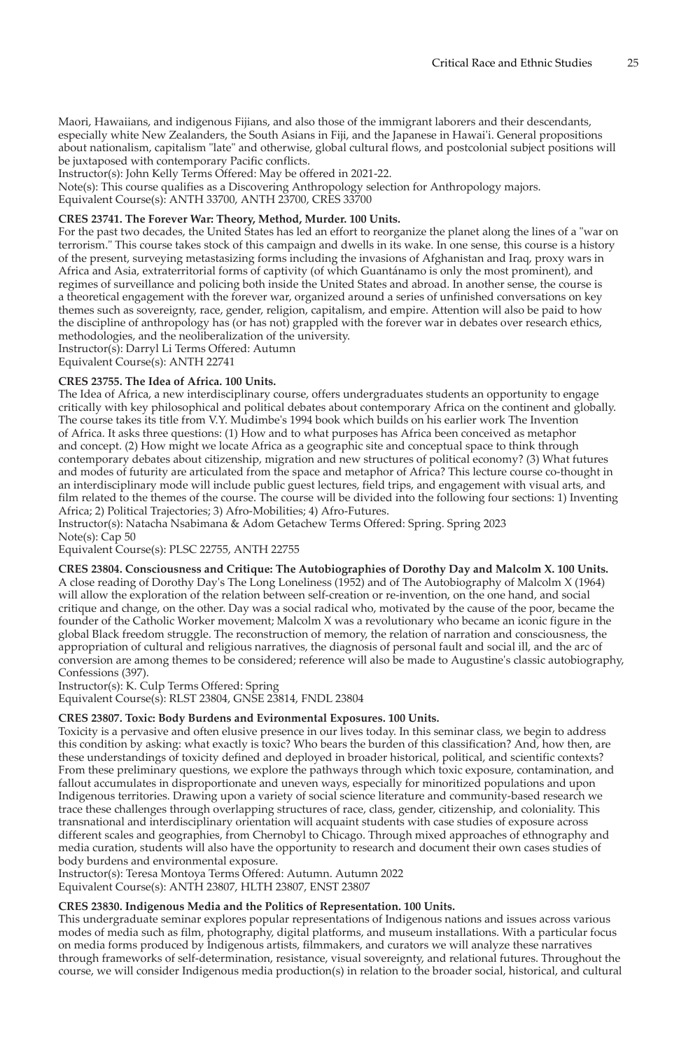Maori, Hawaiians, and indigenous Fijians, and also those of the immigrant laborers and their descendants, especially white New Zealanders, the South Asians in Fiji, and the Japanese in Hawai'i. General propositions about nationalism, capitalism "late" and otherwise, global cultural flows, and postcolonial subject positions will be juxtaposed with contemporary Pacific conflicts.

Instructor(s): John Kelly Terms Offered: May be offered in 2021-22.

Note(s): This course qualifies as a Discovering Anthropology selection for Anthropology majors.

Equivalent Course(s): ANTH 33700, ANTH 23700, CRES 33700

# **CRES 23741. The Forever War: Theory, Method, Murder. 100 Units.**

For the past two decades, the United States has led an effort to reorganize the planet along the lines of a "war on terrorism." This course takes stock of this campaign and dwells in its wake. In one sense, this course is a history of the present, surveying metastasizing forms including the invasions of Afghanistan and Iraq, proxy wars in Africa and Asia, extraterritorial forms of captivity (of which Guantánamo is only the most prominent), and regimes of surveillance and policing both inside the United States and abroad. In another sense, the course is a theoretical engagement with the forever war, organized around a series of unfinished conversations on key themes such as sovereignty, race, gender, religion, capitalism, and empire. Attention will also be paid to how the discipline of anthropology has (or has not) grappled with the forever war in debates over research ethics, methodologies, and the neoliberalization of the university.

Instructor(s): Darryl Li Terms Offered: Autumn

Equivalent Course(s): ANTH 22741

## **CRES 23755. The Idea of Africa. 100 Units.**

The Idea of Africa, a new interdisciplinary course, offers undergraduates students an opportunity to engage critically with key philosophical and political debates about contemporary Africa on the continent and globally. The course takes its title from V.Y. Mudimbe's 1994 book which builds on his earlier work The Invention of Africa. It asks three questions: (1) How and to what purposes has Africa been conceived as metaphor and concept. (2) How might we locate Africa as a geographic site and conceptual space to think through contemporary debates about citizenship, migration and new structures of political economy? (3) What futures and modes of futurity are articulated from the space and metaphor of Africa? This lecture course co-thought in an interdisciplinary mode will include public guest lectures, field trips, and engagement with visual arts, and film related to the themes of the course. The course will be divided into the following four sections: 1) Inventing Africa; 2) Political Trajectories; 3) Afro-Mobilities; 4) Afro-Futures.

Instructor(s): Natacha Nsabimana & Adom Getachew Terms Offered: Spring. Spring 2023 Note(s): Cap 50

Equivalent Course(s): PLSC 22755, ANTH 22755

**CRES 23804. Consciousness and Critique: The Autobiographies of Dorothy Day and Malcolm X. 100 Units.** A close reading of Dorothy Day's The Long Loneliness (1952) and of The Autobiography of Malcolm X (1964) will allow the exploration of the relation between self-creation or re-invention, on the one hand, and social critique and change, on the other. Day was a social radical who, motivated by the cause of the poor, became the founder of the Catholic Worker movement; Malcolm X was a revolutionary who became an iconic figure in the global Black freedom struggle. The reconstruction of memory, the relation of narration and consciousness, the appropriation of cultural and religious narratives, the diagnosis of personal fault and social ill, and the arc of conversion are among themes to be considered; reference will also be made to Augustine's classic autobiography, Confessions (397).

Instructor(s): K. Culp Terms Offered: Spring

Equivalent Course(s): RLST 23804, GNSE 23814, FNDL 23804

# **CRES 23807. Toxic: Body Burdens and Evironmental Exposures. 100 Units.**

Toxicity is a pervasive and often elusive presence in our lives today. In this seminar class, we begin to address this condition by asking: what exactly is toxic? Who bears the burden of this classification? And, how then, are these understandings of toxicity defined and deployed in broader historical, political, and scientific contexts? From these preliminary questions, we explore the pathways through which toxic exposure, contamination, and fallout accumulates in disproportionate and uneven ways, especially for minoritized populations and upon Indigenous territories. Drawing upon a variety of social science literature and community-based research we trace these challenges through overlapping structures of race, class, gender, citizenship, and coloniality. This transnational and interdisciplinary orientation will acquaint students with case studies of exposure across different scales and geographies, from Chernobyl to Chicago. Through mixed approaches of ethnography and media curation, students will also have the opportunity to research and document their own cases studies of body burdens and environmental exposure.

Instructor(s): Teresa Montoya Terms Offered: Autumn. Autumn 2022

Equivalent Course(s): ANTH 23807, HLTH 23807, ENST 23807

# **CRES 23830. Indigenous Media and the Politics of Representation. 100 Units.**

This undergraduate seminar explores popular representations of Indigenous nations and issues across various modes of media such as film, photography, digital platforms, and museum installations. With a particular focus on media forms produced by Indigenous artists, filmmakers, and curators we will analyze these narratives through frameworks of self-determination, resistance, visual sovereignty, and relational futures. Throughout the course, we will consider Indigenous media production(s) in relation to the broader social, historical, and cultural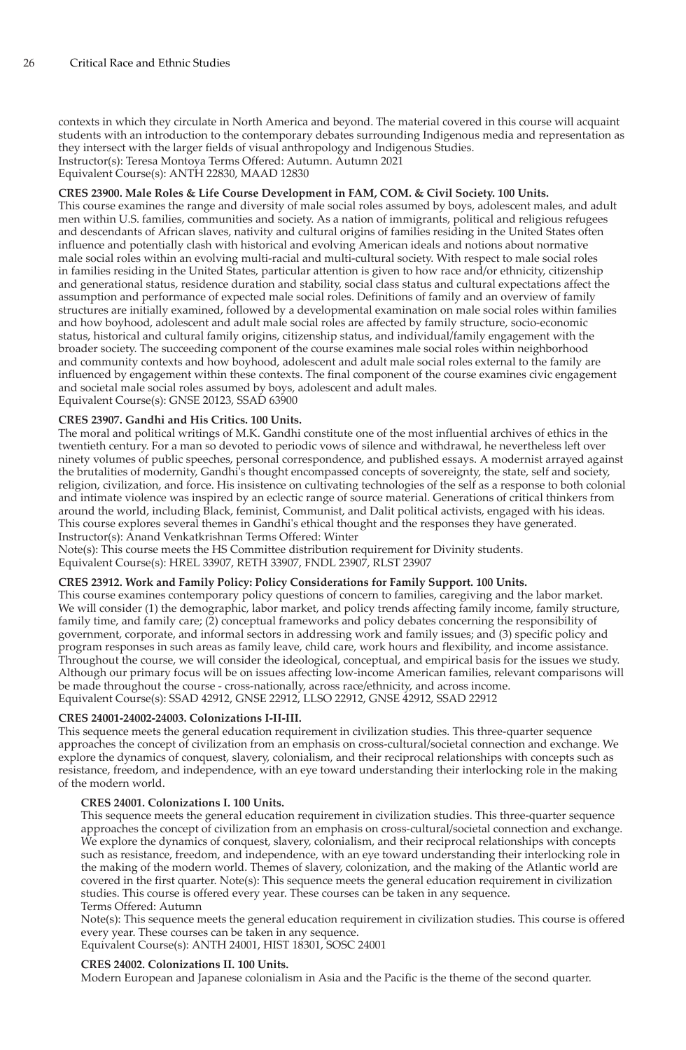contexts in which they circulate in North America and beyond. The material covered in this course will acquaint students with an introduction to the contemporary debates surrounding Indigenous media and representation as they intersect with the larger fields of visual anthropology and Indigenous Studies. Instructor(s): Teresa Montoya Terms Offered: Autumn. Autumn 2021

Equivalent Course(s): ANTH 22830, MAAD 12830

# **CRES 23900. Male Roles & Life Course Development in FAM, COM. & Civil Society. 100 Units.**

This course examines the range and diversity of male social roles assumed by boys, adolescent males, and adult men within U.S. families, communities and society. As a nation of immigrants, political and religious refugees and descendants of African slaves, nativity and cultural origins of families residing in the United States often influence and potentially clash with historical and evolving American ideals and notions about normative male social roles within an evolving multi-racial and multi-cultural society. With respect to male social roles in families residing in the United States, particular attention is given to how race and/or ethnicity, citizenship and generational status, residence duration and stability, social class status and cultural expectations affect the assumption and performance of expected male social roles. Definitions of family and an overview of family structures are initially examined, followed by a developmental examination on male social roles within families and how boyhood, adolescent and adult male social roles are affected by family structure, socio-economic status, historical and cultural family origins, citizenship status, and individual/family engagement with the broader society. The succeeding component of the course examines male social roles within neighborhood and community contexts and how boyhood, adolescent and adult male social roles external to the family are influenced by engagement within these contexts. The final component of the course examines civic engagement and societal male social roles assumed by boys, adolescent and adult males. Equivalent Course(s): GNSE 20123, SSAD 63900

#### **CRES 23907. Gandhi and His Critics. 100 Units.**

The moral and political writings of M.K. Gandhi constitute one of the most influential archives of ethics in the twentieth century. For a man so devoted to periodic vows of silence and withdrawal, he nevertheless left over ninety volumes of public speeches, personal correspondence, and published essays. A modernist arrayed against the brutalities of modernity, Gandhi's thought encompassed concepts of sovereignty, the state, self and society, religion, civilization, and force. His insistence on cultivating technologies of the self as a response to both colonial and intimate violence was inspired by an eclectic range of source material. Generations of critical thinkers from around the world, including Black, feminist, Communist, and Dalit political activists, engaged with his ideas. This course explores several themes in Gandhi's ethical thought and the responses they have generated. Instructor(s): Anand Venkatkrishnan Terms Offered: Winter

Note(s): This course meets the HS Committee distribution requirement for Divinity students.

Equivalent Course(s): HREL 33907, RETH 33907, FNDL 23907, RLST 23907

#### **CRES 23912. Work and Family Policy: Policy Considerations for Family Support. 100 Units.**

This course examines contemporary policy questions of concern to families, caregiving and the labor market. We will consider (1) the demographic, labor market, and policy trends affecting family income, family structure, family time, and family care; (2) conceptual frameworks and policy debates concerning the responsibility of government, corporate, and informal sectors in addressing work and family issues; and (3) specific policy and program responses in such areas as family leave, child care, work hours and flexibility, and income assistance. Throughout the course, we will consider the ideological, conceptual, and empirical basis for the issues we study. Although our primary focus will be on issues affecting low-income American families, relevant comparisons will be made throughout the course - cross-nationally, across race/ethnicity, and across income. Equivalent Course(s): SSAD 42912, GNSE 22912, LLSO 22912, GNSE 42912, SSAD 22912

#### **CRES 24001-24002-24003. Colonizations I-II-III.**

This sequence meets the general education requirement in civilization studies. This three-quarter sequence approaches the concept of civilization from an emphasis on cross-cultural/societal connection and exchange. We explore the dynamics of conquest, slavery, colonialism, and their reciprocal relationships with concepts such as resistance, freedom, and independence, with an eye toward understanding their interlocking role in the making of the modern world.

#### **CRES 24001. Colonizations I. 100 Units.**

This sequence meets the general education requirement in civilization studies. This three-quarter sequence approaches the concept of civilization from an emphasis on cross-cultural/societal connection and exchange. We explore the dynamics of conquest, slavery, colonialism, and their reciprocal relationships with concepts such as resistance, freedom, and independence, with an eye toward understanding their interlocking role in the making of the modern world. Themes of slavery, colonization, and the making of the Atlantic world are covered in the first quarter. Note(s): This sequence meets the general education requirement in civilization studies. This course is offered every year. These courses can be taken in any sequence. Terms Offered: Autumn

Note(s): This sequence meets the general education requirement in civilization studies. This course is offered every year. These courses can be taken in any sequence.

Equivalent Course(s): ANTH 24001, HIST 18301, SOSC 24001

#### **CRES 24002. Colonizations II. 100 Units.**

Modern European and Japanese colonialism in Asia and the Pacific is the theme of the second quarter.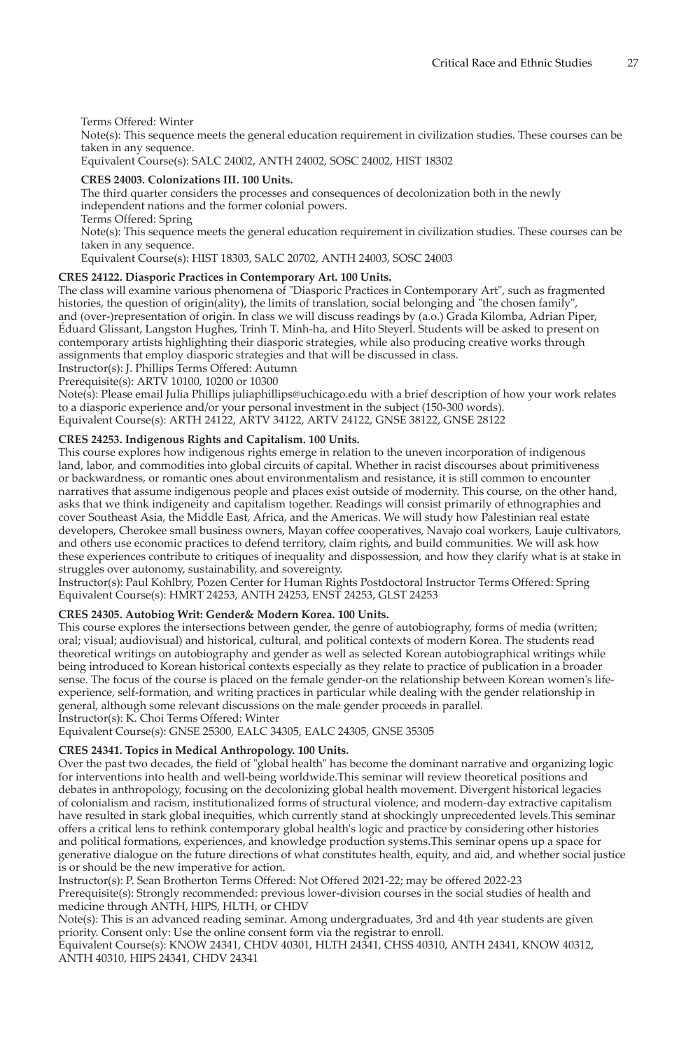## Terms Offered: Winter

Note(s): This sequence meets the general education requirement in civilization studies. These courses can be taken in any sequence.

Equivalent Course(s): SALC 24002, ANTH 24002, SOSC 24002, HIST 18302

# **CRES 24003. Colonizations III. 100 Units.**

The third quarter considers the processes and consequences of decolonization both in the newly independent nations and the former colonial powers. Terms Offered: Spring Note(s): This sequence meets the general education requirement in civilization studies. These courses can be taken in any sequence. Equivalent Course(s): HIST 18303, SALC 20702, ANTH 24003, SOSC 24003

# **CRES 24122. Diasporic Practices in Contemporary Art. 100 Units.**

The class will examine various phenomena of "Diasporic Practices in Contemporary Art", such as fragmented histories, the question of origin(ality), the limits of translation, social belonging and "the chosen family", and (over-)representation of origin. In class we will discuss readings by (a.o.) Grada Kilomba, Adrian Piper, Éduard Glissant, Langston Hughes, Trinh T. Minh-ha, and Hito Steyerl. Students will be asked to present on contemporary artists highlighting their diasporic strategies, while also producing creative works through assignments that employ diasporic strategies and that will be discussed in class.

Instructor(s): J. Phillips Terms Offered: Autumn

Prerequisite(s): ARTV 10100, 10200 or 10300

Note(s): Please email Julia Phillips juliaphillips@uchicago.edu with a brief description of how your work relates to a diasporic experience and/or your personal investment in the subject (150-300 words). Equivalent Course(s): ARTH 24122, ARTV 34122, ARTV 24122, GNSE 38122, GNSE 28122

# **CRES 24253. Indigenous Rights and Capitalism. 100 Units.**

This course explores how indigenous rights emerge in relation to the uneven incorporation of indigenous land, labor, and commodities into global circuits of capital. Whether in racist discourses about primitiveness or backwardness, or romantic ones about environmentalism and resistance, it is still common to encounter narratives that assume indigenous people and places exist outside of modernity. This course, on the other hand, asks that we think indigeneity and capitalism together. Readings will consist primarily of ethnographies and cover Southeast Asia, the Middle East, Africa, and the Americas. We will study how Palestinian real estate developers, Cherokee small business owners, Mayan coffee cooperatives, Navajo coal workers, Lauje cultivators, and others use economic practices to defend territory, claim rights, and build communities. We will ask how these experiences contribute to critiques of inequality and dispossession, and how they clarify what is at stake in struggles over autonomy, sustainability, and sovereignty.

Instructor(s): Paul Kohlbry, Pozen Center for Human Rights Postdoctoral Instructor Terms Offered: Spring Equivalent Course(s): HMRT 24253, ANTH 24253, ENST 24253, GLST 24253

# **CRES 24305. Autobiog Writ: Gender& Modern Korea. 100 Units.**

This course explores the intersections between gender, the genre of autobiography, forms of media (written; oral; visual; audiovisual) and historical, cultural, and political contexts of modern Korea. The students read theoretical writings on autobiography and gender as well as selected Korean autobiographical writings while being introduced to Korean historical contexts especially as they relate to practice of publication in a broader sense. The focus of the course is placed on the female gender-on the relationship between Korean women's lifeexperience, self-formation, and writing practices in particular while dealing with the gender relationship in general, although some relevant discussions on the male gender proceeds in parallel. Instructor(s): K. Choi Terms Offered: Winter

Equivalent Course(s): GNSE 25300, EALC 34305, EALC 24305, GNSE 35305

# **CRES 24341. Topics in Medical Anthropology. 100 Units.**

Over the past two decades, the field of "global health" has become the dominant narrative and organizing logic for interventions into health and well-being worldwide.This seminar will review theoretical positions and debates in anthropology, focusing on the decolonizing global health movement. Divergent historical legacies of colonialism and racism, institutionalized forms of structural violence, and modern-day extractive capitalism have resulted in stark global inequities, which currently stand at shockingly unprecedented levels.This seminar offers a critical lens to rethink contemporary global health's logic and practice by considering other histories and political formations, experiences, and knowledge production systems.This seminar opens up a space for generative dialogue on the future directions of what constitutes health, equity, and aid, and whether social justice is or should be the new imperative for action.

Instructor(s): P. Sean Brotherton Terms Offered: Not Offered 2021-22; may be offered 2022-23 Prerequisite(s): Strongly recommended: previous lower-division courses in the social studies of health and medicine through ANTH, HIPS, HLTH, or CHDV

Note(s): This is an advanced reading seminar. Among undergraduates, 3rd and 4th year students are given priority. Consent only: Use the online consent form via the registrar to enroll.

Equivalent Course(s): KNOW 24341, CHDV 40301, HLTH 24341, CHSS 40310, ANTH 24341, KNOW 40312, ANTH 40310, HIPS 24341, CHDV 24341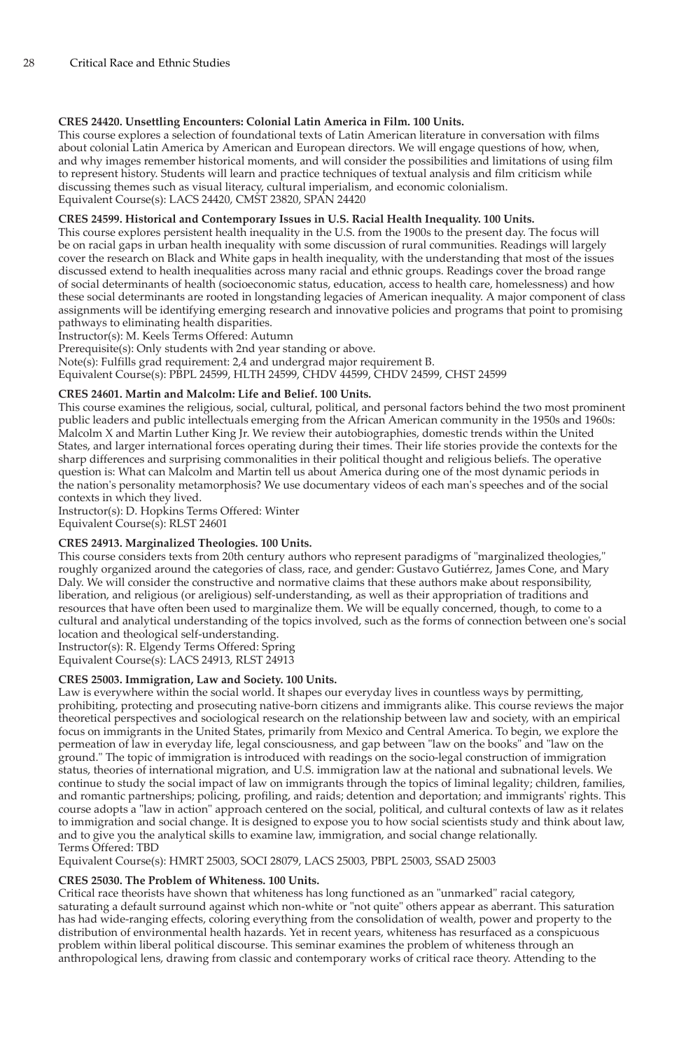# **CRES 24420. Unsettling Encounters: Colonial Latin America in Film. 100 Units.**

This course explores a selection of foundational texts of Latin American literature in conversation with films about colonial Latin America by American and European directors. We will engage questions of how, when, and why images remember historical moments, and will consider the possibilities and limitations of using film to represent history. Students will learn and practice techniques of textual analysis and film criticism while discussing themes such as visual literacy, cultural imperialism, and economic colonialism. Equivalent Course(s): LACS 24420, CMST 23820, SPAN 24420

#### **CRES 24599. Historical and Contemporary Issues in U.S. Racial Health Inequality. 100 Units.**

This course explores persistent health inequality in the U.S. from the 1900s to the present day. The focus will be on racial gaps in urban health inequality with some discussion of rural communities. Readings will largely cover the research on Black and White gaps in health inequality, with the understanding that most of the issues discussed extend to health inequalities across many racial and ethnic groups. Readings cover the broad range of social determinants of health (socioeconomic status, education, access to health care, homelessness) and how these social determinants are rooted in longstanding legacies of American inequality. A major component of class assignments will be identifying emerging research and innovative policies and programs that point to promising pathways to eliminating health disparities.

Instructor(s): M. Keels Terms Offered: Autumn

Prerequisite(s): Only students with 2nd year standing or above.

Note(s): Fulfills grad requirement: 2,4 and undergrad major requirement B.

Equivalent Course(s): PBPL 24599, HLTH 24599, CHDV 44599, CHDV 24599, CHST 24599

#### **CRES 24601. Martin and Malcolm: Life and Belief. 100 Units.**

This course examines the religious, social, cultural, political, and personal factors behind the two most prominent public leaders and public intellectuals emerging from the African American community in the 1950s and 1960s: Malcolm X and Martin Luther King Jr. We review their autobiographies, domestic trends within the United States, and larger international forces operating during their times. Their life stories provide the contexts for the sharp differences and surprising commonalities in their political thought and religious beliefs. The operative question is: What can Malcolm and Martin tell us about America during one of the most dynamic periods in the nation's personality metamorphosis? We use documentary videos of each man's speeches and of the social contexts in which they lived.

Instructor(s): D. Hopkins Terms Offered: Winter

Equivalent Course(s): RLST 24601

# **CRES 24913. Marginalized Theologies. 100 Units.**

This course considers texts from 20th century authors who represent paradigms of "marginalized theologies," roughly organized around the categories of class, race, and gender: Gustavo Gutiérrez, James Cone, and Mary Daly. We will consider the constructive and normative claims that these authors make about responsibility, liberation, and religious (or areligious) self-understanding, as well as their appropriation of traditions and resources that have often been used to marginalize them. We will be equally concerned, though, to come to a cultural and analytical understanding of the topics involved, such as the forms of connection between one's social location and theological self-understanding.

Instructor(s): R. Elgendy Terms Offered: Spring Equivalent Course(s): LACS 24913, RLST 24913

# **CRES 25003. Immigration, Law and Society. 100 Units.**

Law is everywhere within the social world. It shapes our everyday lives in countless ways by permitting, prohibiting, protecting and prosecuting native-born citizens and immigrants alike. This course reviews the major theoretical perspectives and sociological research on the relationship between law and society, with an empirical focus on immigrants in the United States, primarily from Mexico and Central America. To begin, we explore the permeation of law in everyday life, legal consciousness, and gap between "law on the books" and "law on the ground." The topic of immigration is introduced with readings on the socio-legal construction of immigration status, theories of international migration, and U.S. immigration law at the national and subnational levels. We continue to study the social impact of law on immigrants through the topics of liminal legality; children, families, and romantic partnerships; policing, profiling, and raids; detention and deportation; and immigrants' rights. This course adopts a "law in action" approach centered on the social, political, and cultural contexts of law as it relates to immigration and social change. It is designed to expose you to how social scientists study and think about law, and to give you the analytical skills to examine law, immigration, and social change relationally. Terms Offered: TBD

Equivalent Course(s): HMRT 25003, SOCI 28079, LACS 25003, PBPL 25003, SSAD 25003

#### **CRES 25030. The Problem of Whiteness. 100 Units.**

Critical race theorists have shown that whiteness has long functioned as an "unmarked" racial category, saturating a default surround against which non-white or "not quite" others appear as aberrant. This saturation has had wide-ranging effects, coloring everything from the consolidation of wealth, power and property to the distribution of environmental health hazards. Yet in recent years, whiteness has resurfaced as a conspicuous problem within liberal political discourse. This seminar examines the problem of whiteness through an anthropological lens, drawing from classic and contemporary works of critical race theory. Attending to the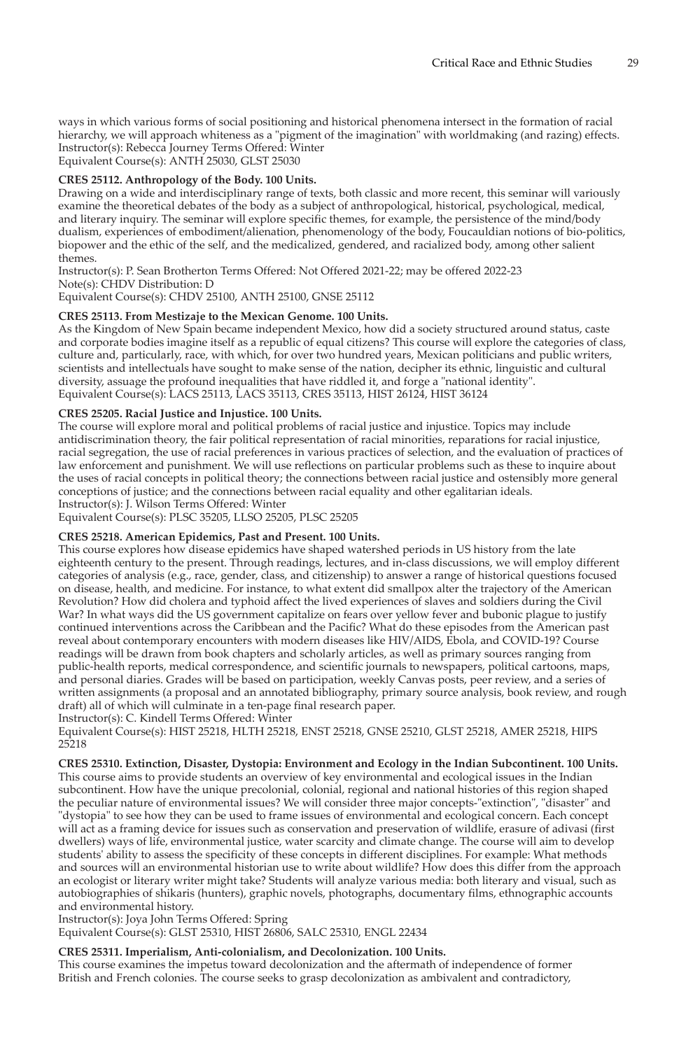ways in which various forms of social positioning and historical phenomena intersect in the formation of racial hierarchy, we will approach whiteness as a "pigment of the imagination" with worldmaking (and razing) effects. Instructor(s): Rebecca Journey Terms Offered: Winter

Equivalent Course(s): ANTH 25030, GLST 25030

# **CRES 25112. Anthropology of the Body. 100 Units.**

Drawing on a wide and interdisciplinary range of texts, both classic and more recent, this seminar will variously examine the theoretical debates of the body as a subject of anthropological, historical, psychological, medical, and literary inquiry. The seminar will explore specific themes, for example, the persistence of the mind/body dualism, experiences of embodiment/alienation, phenomenology of the body, Foucauldian notions of bio-politics, biopower and the ethic of the self, and the medicalized, gendered, and racialized body, among other salient themes.

Instructor(s): P. Sean Brotherton Terms Offered: Not Offered 2021-22; may be offered 2022-23 Note(s): CHDV Distribution: D Equivalent Course(s): CHDV 25100, ANTH 25100, GNSE 25112

# **CRES 25113. From Mestizaje to the Mexican Genome. 100 Units.**

As the Kingdom of New Spain became independent Mexico, how did a society structured around status, caste and corporate bodies imagine itself as a republic of equal citizens? This course will explore the categories of class, culture and, particularly, race, with which, for over two hundred years, Mexican politicians and public writers, scientists and intellectuals have sought to make sense of the nation, decipher its ethnic, linguistic and cultural diversity, assuage the profound inequalities that have riddled it, and forge a "national identity". Equivalent Course(s): LACS 25113, LACS 35113, CRES 35113, HIST 26124, HIST 36124

# **CRES 25205. Racial Justice and Injustice. 100 Units.**

The course will explore moral and political problems of racial justice and injustice. Topics may include antidiscrimination theory, the fair political representation of racial minorities, reparations for racial injustice, racial segregation, the use of racial preferences in various practices of selection, and the evaluation of practices of law enforcement and punishment. We will use reflections on particular problems such as these to inquire about the uses of racial concepts in political theory; the connections between racial justice and ostensibly more general conceptions of justice; and the connections between racial equality and other egalitarian ideals. Instructor(s): J. Wilson Terms Offered: Winter

Equivalent Course(s): PLSC 35205, LLSO 25205, PLSC 25205

# **CRES 25218. American Epidemics, Past and Present. 100 Units.**

This course explores how disease epidemics have shaped watershed periods in US history from the late eighteenth century to the present. Through readings, lectures, and in-class discussions, we will employ different categories of analysis (e.g., race, gender, class, and citizenship) to answer a range of historical questions focused on disease, health, and medicine. For instance, to what extent did smallpox alter the trajectory of the American Revolution? How did cholera and typhoid affect the lived experiences of slaves and soldiers during the Civil War? In what ways did the US government capitalize on fears over yellow fever and bubonic plague to justify continued interventions across the Caribbean and the Pacific? What do these episodes from the American past reveal about contemporary encounters with modern diseases like HIV/AIDS, Ebola, and COVID-19? Course readings will be drawn from book chapters and scholarly articles, as well as primary sources ranging from public-health reports, medical correspondence, and scientific journals to newspapers, political cartoons, maps, and personal diaries. Grades will be based on participation, weekly Canvas posts, peer review, and a series of written assignments (a proposal and an annotated bibliography, primary source analysis, book review, and rough draft) all of which will culminate in a ten-page final research paper. Instructor(s): C. Kindell Terms Offered: Winter

Equivalent Course(s): HIST 25218, HLTH 25218, ENST 25218, GNSE 25210, GLST 25218, AMER 25218, HIPS 25218

**CRES 25310. Extinction, Disaster, Dystopia: Environment and Ecology in the Indian Subcontinent. 100 Units.** This course aims to provide students an overview of key environmental and ecological issues in the Indian subcontinent. How have the unique precolonial, colonial, regional and national histories of this region shaped the peculiar nature of environmental issues? We will consider three major concepts-"extinction", "disaster" and "dystopia" to see how they can be used to frame issues of environmental and ecological concern. Each concept will act as a framing device for issues such as conservation and preservation of wildlife, erasure of adivasi (first dwellers) ways of life, environmental justice, water scarcity and climate change. The course will aim to develop students' ability to assess the specificity of these concepts in different disciplines. For example: What methods and sources will an environmental historian use to write about wildlife? How does this differ from the approach an ecologist or literary writer might take? Students will analyze various media: both literary and visual, such as autobiographies of shikaris (hunters), graphic novels, photographs, documentary films, ethnographic accounts and environmental history.

Instructor(s): Joya John Terms Offered: Spring

Equivalent Course(s): GLST 25310, HIST 26806, SALC 25310, ENGL 22434

# **CRES 25311. Imperialism, Anti-colonialism, and Decolonization. 100 Units.**

This course examines the impetus toward decolonization and the aftermath of independence of former British and French colonies. The course seeks to grasp decolonization as ambivalent and contradictory,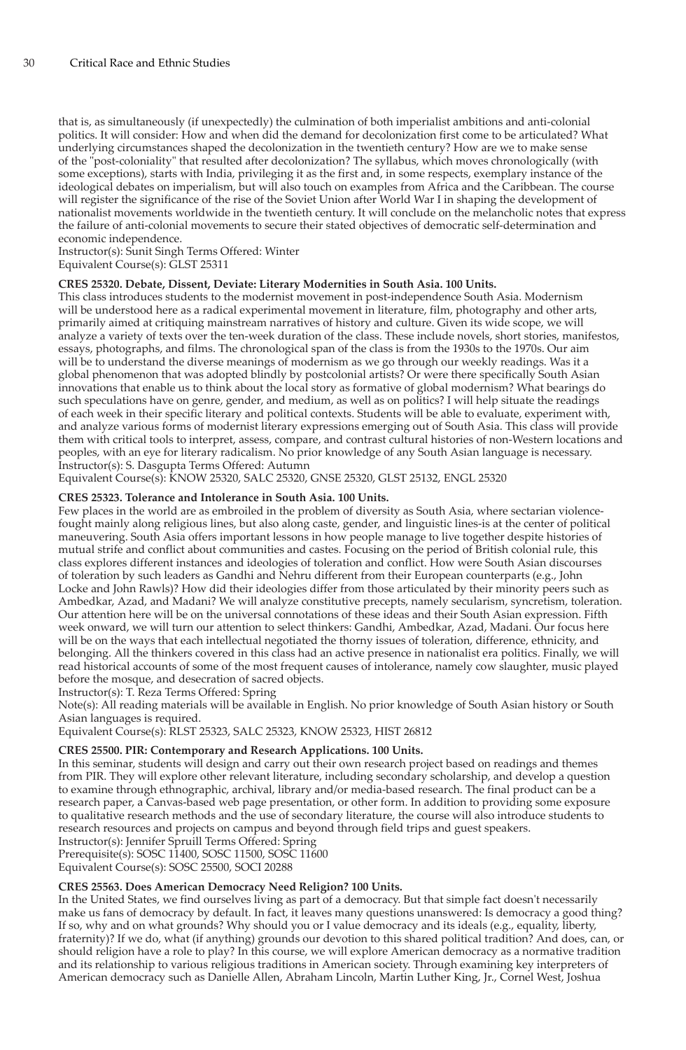that is, as simultaneously (if unexpectedly) the culmination of both imperialist ambitions and anti-colonial politics. It will consider: How and when did the demand for decolonization first come to be articulated? What underlying circumstances shaped the decolonization in the twentieth century? How are we to make sense of the "post-coloniality" that resulted after decolonization? The syllabus, which moves chronologically (with some exceptions), starts with India, privileging it as the first and, in some respects, exemplary instance of the ideological debates on imperialism, but will also touch on examples from Africa and the Caribbean. The course will register the significance of the rise of the Soviet Union after World War I in shaping the development of nationalist movements worldwide in the twentieth century. It will conclude on the melancholic notes that express the failure of anti-colonial movements to secure their stated objectives of democratic self-determination and economic independence.

Instructor(s): Sunit Singh Terms Offered: Winter

Equivalent Course(s): GLST 25311

#### **CRES 25320. Debate, Dissent, Deviate: Literary Modernities in South Asia. 100 Units.**

This class introduces students to the modernist movement in post-independence South Asia. Modernism will be understood here as a radical experimental movement in literature, film, photography and other arts, primarily aimed at critiquing mainstream narratives of history and culture. Given its wide scope, we will analyze a variety of texts over the ten-week duration of the class. These include novels, short stories, manifestos, essays, photographs, and films. The chronological span of the class is from the 1930s to the 1970s. Our aim will be to understand the diverse meanings of modernism as we go through our weekly readings. Was it a global phenomenon that was adopted blindly by postcolonial artists? Or were there specifically South Asian innovations that enable us to think about the local story as formative of global modernism? What bearings do such speculations have on genre, gender, and medium, as well as on politics? I will help situate the readings of each week in their specific literary and political contexts. Students will be able to evaluate, experiment with, and analyze various forms of modernist literary expressions emerging out of South Asia. This class will provide them with critical tools to interpret, assess, compare, and contrast cultural histories of non-Western locations and peoples, with an eye for literary radicalism. No prior knowledge of any South Asian language is necessary. Instructor(s): S. Dasgupta Terms Offered: Autumn

Equivalent Course(s): KNOW 25320, SALC 25320, GNSE 25320, GLST 25132, ENGL 25320

# **CRES 25323. Tolerance and Intolerance in South Asia. 100 Units.**

Few places in the world are as embroiled in the problem of diversity as South Asia, where sectarian violencefought mainly along religious lines, but also along caste, gender, and linguistic lines-is at the center of political maneuvering. South Asia offers important lessons in how people manage to live together despite histories of mutual strife and conflict about communities and castes. Focusing on the period of British colonial rule, this class explores different instances and ideologies of toleration and conflict. How were South Asian discourses of toleration by such leaders as Gandhi and Nehru different from their European counterparts (e.g., John Locke and John Rawls)? How did their ideologies differ from those articulated by their minority peers such as Ambedkar, Azad, and Madani? We will analyze constitutive precepts, namely secularism, syncretism, toleration. Our attention here will be on the universal connotations of these ideas and their South Asian expression. Fifth week onward, we will turn our attention to select thinkers: Gandhi, Ambedkar, Azad, Madani. Our focus here will be on the ways that each intellectual negotiated the thorny issues of toleration, difference, ethnicity, and belonging. All the thinkers covered in this class had an active presence in nationalist era politics. Finally, we will read historical accounts of some of the most frequent causes of intolerance, namely cow slaughter, music played before the mosque, and desecration of sacred objects.

Instructor(s): T. Reza Terms Offered: Spring

Note(s): All reading materials will be available in English. No prior knowledge of South Asian history or South Asian languages is required.

Equivalent Course(s): RLST 25323, SALC 25323, KNOW 25323, HIST 26812

#### **CRES 25500. PIR: Contemporary and Research Applications. 100 Units.**

In this seminar, students will design and carry out their own research project based on readings and themes from PIR. They will explore other relevant literature, including secondary scholarship, and develop a question to examine through ethnographic, archival, library and/or media-based research. The final product can be a research paper, a Canvas-based web page presentation, or other form. In addition to providing some exposure to qualitative research methods and the use of secondary literature, the course will also introduce students to research resources and projects on campus and beyond through field trips and guest speakers.

Instructor(s): Jennifer Spruill Terms Offered: Spring Prerequisite(s): SOSC 11400, SOSC 11500, SOSC 11600

Equivalent Course(s): SOSC 25500, SOCI 20288

# **CRES 25563. Does American Democracy Need Religion? 100 Units.**

In the United States, we find ourselves living as part of a democracy. But that simple fact doesn't necessarily make us fans of democracy by default. In fact, it leaves many questions unanswered: Is democracy a good thing? If so, why and on what grounds? Why should you or I value democracy and its ideals (e.g., equality, liberty, fraternity)? If we do, what (if anything) grounds our devotion to this shared political tradition? And does, can, or should religion have a role to play? In this course, we will explore American democracy as a normative tradition and its relationship to various religious traditions in American society. Through examining key interpreters of American democracy such as Danielle Allen, Abraham Lincoln, Martin Luther King, Jr., Cornel West, Joshua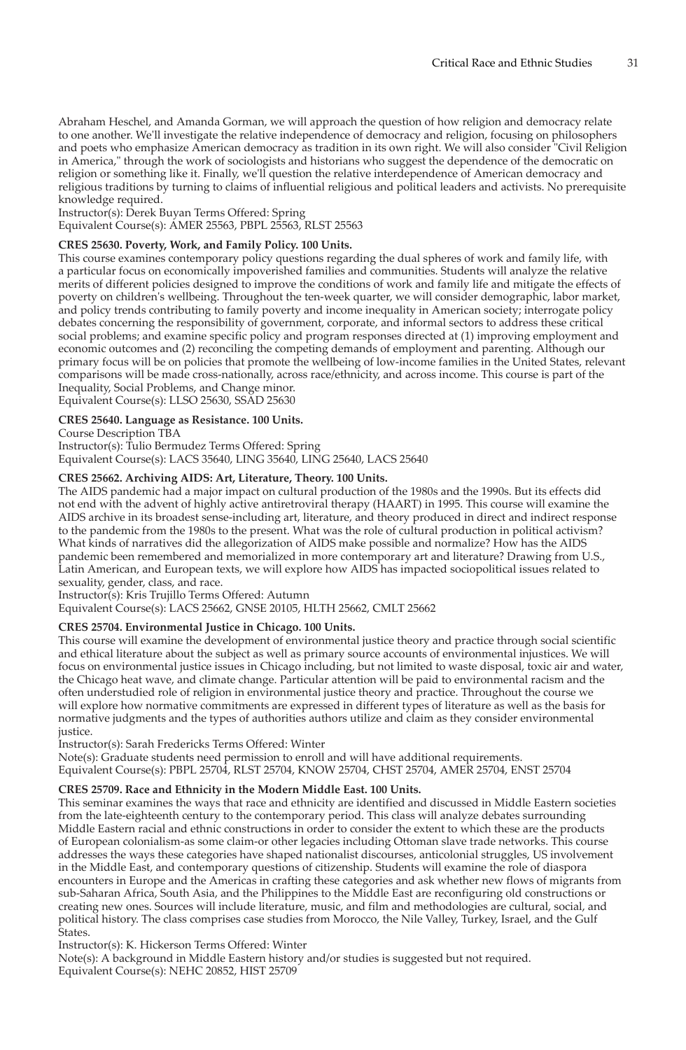Abraham Heschel, and Amanda Gorman, we will approach the question of how religion and democracy relate to one another. We'll investigate the relative independence of democracy and religion, focusing on philosophers and poets who emphasize American democracy as tradition in its own right. We will also consider "Civil Religion in America," through the work of sociologists and historians who suggest the dependence of the democratic on religion or something like it. Finally, we'll question the relative interdependence of American democracy and religious traditions by turning to claims of influential religious and political leaders and activists. No prerequisite knowledge required.

Instructor(s): Derek Buyan Terms Offered: Spring

Equivalent Course(s): AMER 25563, PBPL 25563, RLST 25563

# **CRES 25630. Poverty, Work, and Family Policy. 100 Units.**

This course examines contemporary policy questions regarding the dual spheres of work and family life, with a particular focus on economically impoverished families and communities. Students will analyze the relative merits of different policies designed to improve the conditions of work and family life and mitigate the effects of poverty on children's wellbeing. Throughout the ten-week quarter, we will consider demographic, labor market, and policy trends contributing to family poverty and income inequality in American society; interrogate policy debates concerning the responsibility of government, corporate, and informal sectors to address these critical social problems; and examine specific policy and program responses directed at (1) improving employment and economic outcomes and (2) reconciling the competing demands of employment and parenting. Although our primary focus will be on policies that promote the wellbeing of low-income families in the United States, relevant comparisons will be made cross-nationally, across race/ethnicity, and across income. This course is part of the Inequality, Social Problems, and Change minor.

Equivalent Course(s): LLSO 25630, SSAD 25630

#### **CRES 25640. Language as Resistance. 100 Units.**

Course Description TBA

Instructor(s): Tulio Bermudez Terms Offered: Spring Equivalent Course(s): LACS 35640, LING 35640, LING 25640, LACS 25640

#### **CRES 25662. Archiving AIDS: Art, Literature, Theory. 100 Units.**

The AIDS pandemic had a major impact on cultural production of the 1980s and the 1990s. But its effects did not end with the advent of highly active antiretroviral therapy (HAART) in 1995. This course will examine the AIDS archive in its broadest sense-including art, literature, and theory produced in direct and indirect response to the pandemic from the 1980s to the present. What was the role of cultural production in political activism? What kinds of narratives did the allegorization of AIDS make possible and normalize? How has the AIDS pandemic been remembered and memorialized in more contemporary art and literature? Drawing from U.S., Latin American, and European texts, we will explore how AIDS has impacted sociopolitical issues related to sexuality, gender, class, and race.

Instructor(s): Kris Trujillo Terms Offered: Autumn

Equivalent Course(s): LACS 25662, GNSE 20105, HLTH 25662, CMLT 25662

#### **CRES 25704. Environmental Justice in Chicago. 100 Units.**

This course will examine the development of environmental justice theory and practice through social scientific and ethical literature about the subject as well as primary source accounts of environmental injustices. We will focus on environmental justice issues in Chicago including, but not limited to waste disposal, toxic air and water, the Chicago heat wave, and climate change. Particular attention will be paid to environmental racism and the often understudied role of religion in environmental justice theory and practice. Throughout the course we will explore how normative commitments are expressed in different types of literature as well as the basis for normative judgments and the types of authorities authors utilize and claim as they consider environmental justice.

Instructor(s): Sarah Fredericks Terms Offered: Winter

Note(s): Graduate students need permission to enroll and will have additional requirements. Equivalent Course(s): PBPL 25704, RLST 25704, KNOW 25704, CHST 25704, AMER 25704, ENST 25704

#### **CRES 25709. Race and Ethnicity in the Modern Middle East. 100 Units.**

This seminar examines the ways that race and ethnicity are identified and discussed in Middle Eastern societies from the late-eighteenth century to the contemporary period. This class will analyze debates surrounding Middle Eastern racial and ethnic constructions in order to consider the extent to which these are the products of European colonialism-as some claim-or other legacies including Ottoman slave trade networks. This course addresses the ways these categories have shaped nationalist discourses, anticolonial struggles, US involvement in the Middle East, and contemporary questions of citizenship. Students will examine the role of diaspora encounters in Europe and the Americas in crafting these categories and ask whether new flows of migrants from sub-Saharan Africa, South Asia, and the Philippines to the Middle East are reconfiguring old constructions or creating new ones. Sources will include literature, music, and film and methodologies are cultural, social, and political history. The class comprises case studies from Morocco, the Nile Valley, Turkey, Israel, and the Gulf States.

Instructor(s): K. Hickerson Terms Offered: Winter

Note(s): A background in Middle Eastern history and/or studies is suggested but not required. Equivalent Course(s): NEHC 20852, HIST 25709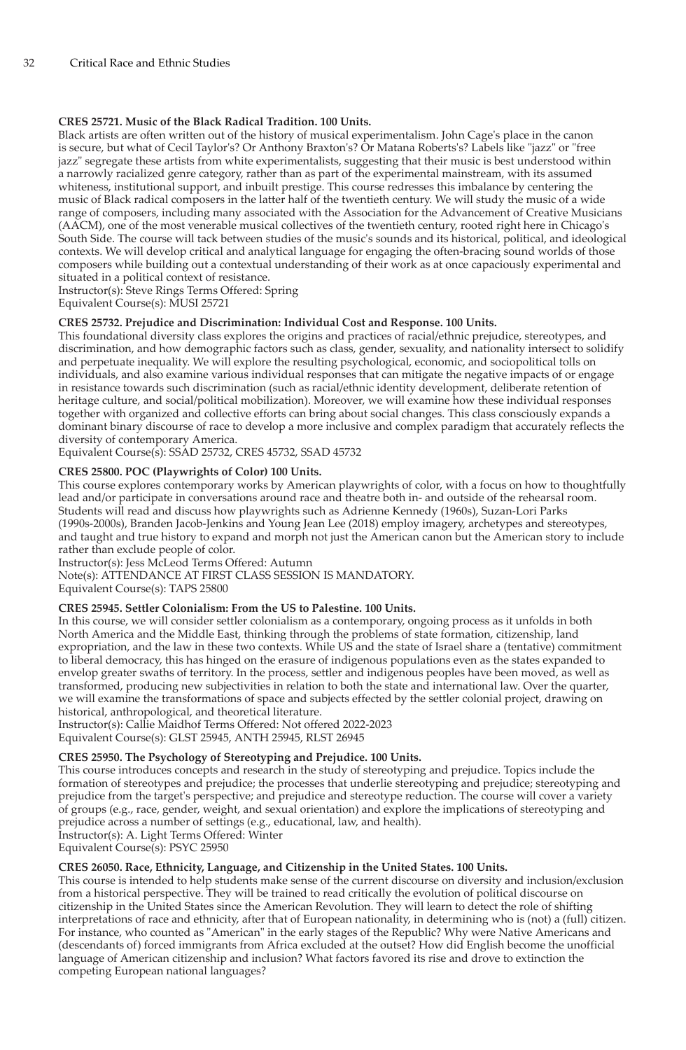# **CRES 25721. Music of the Black Radical Tradition. 100 Units.**

Black artists are often written out of the history of musical experimentalism. John Cage's place in the canon is secure, but what of Cecil Taylor's? Or Anthony Braxton's? Or Matana Roberts's? Labels like "jazz" or "free jazz" segregate these artists from white experimentalists, suggesting that their music is best understood within a narrowly racialized genre category, rather than as part of the experimental mainstream, with its assumed whiteness, institutional support, and inbuilt prestige. This course redresses this imbalance by centering the music of Black radical composers in the latter half of the twentieth century. We will study the music of a wide range of composers, including many associated with the Association for the Advancement of Creative Musicians (AACM), one of the most venerable musical collectives of the twentieth century, rooted right here in Chicago's South Side. The course will tack between studies of the music's sounds and its historical, political, and ideological contexts. We will develop critical and analytical language for engaging the often-bracing sound worlds of those composers while building out a contextual understanding of their work as at once capaciously experimental and situated in a political context of resistance.

Instructor(s): Steve Rings Terms Offered: Spring

Equivalent Course(s): MUSI 25721

# **CRES 25732. Prejudice and Discrimination: Individual Cost and Response. 100 Units.**

This foundational diversity class explores the origins and practices of racial/ethnic prejudice, stereotypes, and discrimination, and how demographic factors such as class, gender, sexuality, and nationality intersect to solidify and perpetuate inequality. We will explore the resulting psychological, economic, and sociopolitical tolls on individuals, and also examine various individual responses that can mitigate the negative impacts of or engage in resistance towards such discrimination (such as racial/ethnic identity development, deliberate retention of heritage culture, and social/political mobilization). Moreover, we will examine how these individual responses together with organized and collective efforts can bring about social changes. This class consciously expands a dominant binary discourse of race to develop a more inclusive and complex paradigm that accurately reflects the diversity of contemporary America.

Equivalent Course(s): SSAD 25732, CRES 45732, SSAD 45732

# **CRES 25800. POC (Playwrights of Color) 100 Units.**

This course explores contemporary works by American playwrights of color, with a focus on how to thoughtfully lead and/or participate in conversations around race and theatre both in- and outside of the rehearsal room. Students will read and discuss how playwrights such as Adrienne Kennedy (1960s), Suzan-Lori Parks (1990s-2000s), Branden Jacob-Jenkins and Young Jean Lee (2018) employ imagery, archetypes and stereotypes, and taught and true history to expand and morph not just the American canon but the American story to include rather than exclude people of color.

Instructor(s): Jess McLeod Terms Offered: Autumn

Note(s): ATTENDANCE AT FIRST CLASS SESSION IS MANDATORY.

Equivalent Course(s): TAPS 25800

#### **CRES 25945. Settler Colonialism: From the US to Palestine. 100 Units.**

In this course, we will consider settler colonialism as a contemporary, ongoing process as it unfolds in both North America and the Middle East, thinking through the problems of state formation, citizenship, land expropriation, and the law in these two contexts. While US and the state of Israel share a (tentative) commitment to liberal democracy, this has hinged on the erasure of indigenous populations even as the states expanded to envelop greater swaths of territory. In the process, settler and indigenous peoples have been moved, as well as transformed, producing new subjectivities in relation to both the state and international law. Over the quarter, we will examine the transformations of space and subjects effected by the settler colonial project, drawing on historical, anthropological, and theoretical literature.

Instructor(s): Callie Maidhof Terms Offered: Not offered 2022-2023 Equivalent Course(s): GLST 25945, ANTH 25945, RLST 26945

# **CRES 25950. The Psychology of Stereotyping and Prejudice. 100 Units.**

This course introduces concepts and research in the study of stereotyping and prejudice. Topics include the formation of stereotypes and prejudice; the processes that underlie stereotyping and prejudice; stereotyping and prejudice from the target's perspective; and prejudice and stereotype reduction. The course will cover a variety of groups (e.g., race, gender, weight, and sexual orientation) and explore the implications of stereotyping and prejudice across a number of settings (e.g., educational, law, and health). Instructor(s): A. Light Terms Offered: Winter

Equivalent Course(s): PSYC 25950

# **CRES 26050. Race, Ethnicity, Language, and Citizenship in the United States. 100 Units.**

This course is intended to help students make sense of the current discourse on diversity and inclusion/exclusion from a historical perspective. They will be trained to read critically the evolution of political discourse on citizenship in the United States since the American Revolution. They will learn to detect the role of shifting interpretations of race and ethnicity, after that of European nationality, in determining who is (not) a (full) citizen. For instance, who counted as "American" in the early stages of the Republic? Why were Native Americans and (descendants of) forced immigrants from Africa excluded at the outset? How did English become the unofficial language of American citizenship and inclusion? What factors favored its rise and drove to extinction the competing European national languages?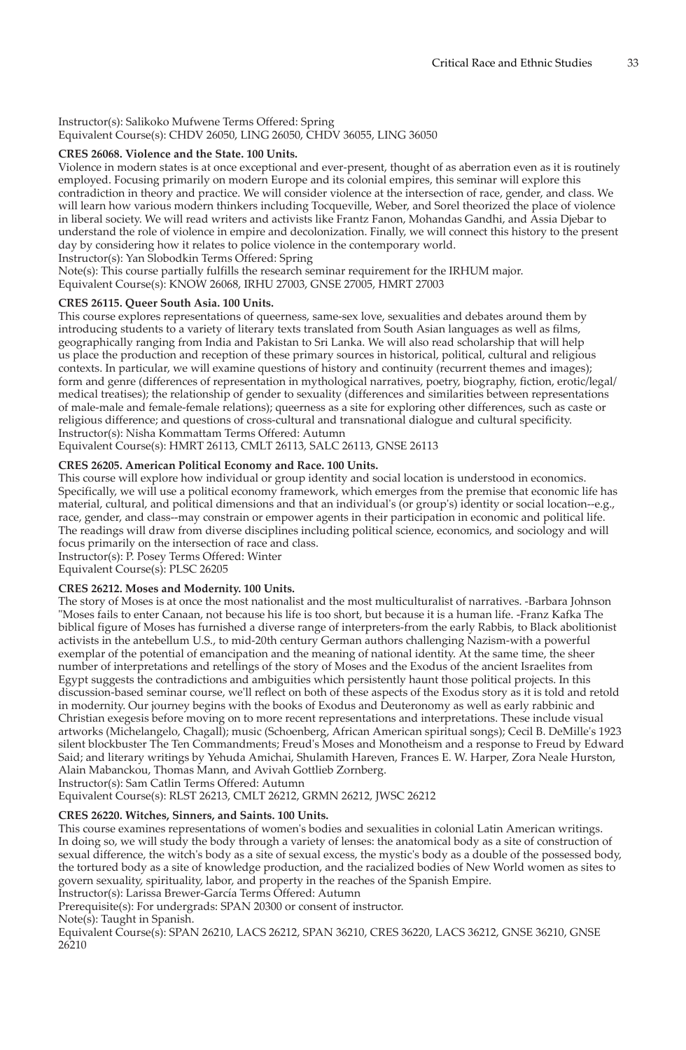#### Instructor(s): Salikoko Mufwene Terms Offered: Spring Equivalent Course(s): CHDV 26050, LING 26050, CHDV 36055, LING 36050

# **CRES 26068. Violence and the State. 100 Units.**

Violence in modern states is at once exceptional and ever-present, thought of as aberration even as it is routinely employed. Focusing primarily on modern Europe and its colonial empires, this seminar will explore this contradiction in theory and practice. We will consider violence at the intersection of race, gender, and class. We will learn how various modern thinkers including Tocqueville, Weber, and Sorel theorized the place of violence in liberal society. We will read writers and activists like Frantz Fanon, Mohandas Gandhi, and Assia Djebar to understand the role of violence in empire and decolonization. Finally, we will connect this history to the present day by considering how it relates to police violence in the contemporary world.

Instructor(s): Yan Slobodkin Terms Offered: Spring Note(s): This course partially fulfills the research seminar requirement for the IRHUM major.

Equivalent Course(s): KNOW 26068, IRHU 27003, GNSE 27005, HMRT 27003

# **CRES 26115. Queer South Asia. 100 Units.**

This course explores representations of queerness, same-sex love, sexualities and debates around them by introducing students to a variety of literary texts translated from South Asian languages as well as films, geographically ranging from India and Pakistan to Sri Lanka. We will also read scholarship that will help us place the production and reception of these primary sources in historical, political, cultural and religious contexts. In particular, we will examine questions of history and continuity (recurrent themes and images); form and genre (differences of representation in mythological narratives, poetry, biography, fiction, erotic/legal/ medical treatises); the relationship of gender to sexuality (differences and similarities between representations of male-male and female-female relations); queerness as a site for exploring other differences, such as caste or religious difference; and questions of cross-cultural and transnational dialogue and cultural specificity. Instructor(s): Nisha Kommattam Terms Offered: Autumn

Equivalent Course(s): HMRT 26113, CMLT 26113, SALC 26113, GNSE 26113

# **CRES 26205. American Political Economy and Race. 100 Units.**

This course will explore how individual or group identity and social location is understood in economics. Specifically, we will use a political economy framework, which emerges from the premise that economic life has material, cultural, and political dimensions and that an individual's (or group's) identity or social location--e.g., race, gender, and class--may constrain or empower agents in their participation in economic and political life. The readings will draw from diverse disciplines including political science, economics, and sociology and will focus primarily on the intersection of race and class.

Instructor(s): P. Posey Terms Offered: Winter

Equivalent Course(s): PLSC 26205

# **CRES 26212. Moses and Modernity. 100 Units.**

The story of Moses is at once the most nationalist and the most multiculturalist of narratives. -Barbara Johnson "Moses fails to enter Canaan, not because his life is too short, but because it is a human life. -Franz Kafka The biblical figure of Moses has furnished a diverse range of interpreters-from the early Rabbis, to Black abolitionist activists in the antebellum U.S., to mid-20th century German authors challenging Nazism-with a powerful exemplar of the potential of emancipation and the meaning of national identity. At the same time, the sheer number of interpretations and retellings of the story of Moses and the Exodus of the ancient Israelites from Egypt suggests the contradictions and ambiguities which persistently haunt those political projects. In this discussion-based seminar course, we'll reflect on both of these aspects of the Exodus story as it is told and retold in modernity. Our journey begins with the books of Exodus and Deuteronomy as well as early rabbinic and Christian exegesis before moving on to more recent representations and interpretations. These include visual artworks (Michelangelo, Chagall); music (Schoenberg, African American spiritual songs); Cecil B. DeMille's 1923 silent blockbuster The Ten Commandments; Freud's Moses and Monotheism and a response to Freud by Edward Said; and literary writings by Yehuda Amichai, Shulamith Hareven, Frances E. W. Harper, Zora Neale Hurston, Alain Mabanckou, Thomas Mann, and Avivah Gottlieb Zornberg.

Instructor(s): Sam Catlin Terms Offered: Autumn

Equivalent Course(s): RLST 26213, CMLT 26212, GRMN 26212, JWSC 26212

# **CRES 26220. Witches, Sinners, and Saints. 100 Units.**

This course examines representations of women's bodies and sexualities in colonial Latin American writings. In doing so, we will study the body through a variety of lenses: the anatomical body as a site of construction of sexual difference, the witch's body as a site of sexual excess, the mystic's body as a double of the possessed body, the tortured body as a site of knowledge production, and the racialized bodies of New World women as sites to govern sexuality, spirituality, labor, and property in the reaches of the Spanish Empire. Instructor(s): Larissa Brewer-García Terms Offered: Autumn

Prerequisite(s): For undergrads: SPAN 20300 or consent of instructor.

Note(s): Taught in Spanish.

Equivalent Course(s): SPAN 26210, LACS 26212, SPAN 36210, CRES 36220, LACS 36212, GNSE 36210, GNSE 26210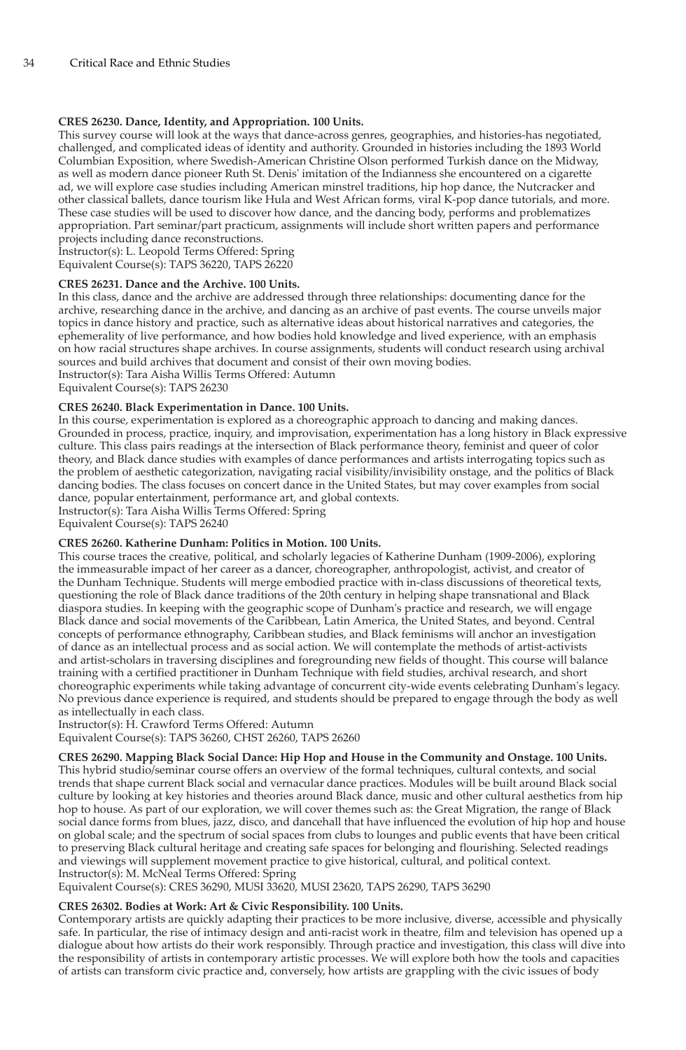# **CRES 26230. Dance, Identity, and Appropriation. 100 Units.**

This survey course will look at the ways that dance-across genres, geographies, and histories-has negotiated, challenged, and complicated ideas of identity and authority. Grounded in histories including the 1893 World Columbian Exposition, where Swedish-American Christine Olson performed Turkish dance on the Midway, as well as modern dance pioneer Ruth St. Denis' imitation of the Indianness she encountered on a cigarette ad, we will explore case studies including American minstrel traditions, hip hop dance, the Nutcracker and other classical ballets, dance tourism like Hula and West African forms, viral K-pop dance tutorials, and more. These case studies will be used to discover how dance, and the dancing body, performs and problematizes appropriation. Part seminar/part practicum, assignments will include short written papers and performance projects including dance reconstructions.

Instructor(s): L. Leopold Terms Offered: Spring Equivalent Course(s): TAPS 36220, TAPS 26220

#### **CRES 26231. Dance and the Archive. 100 Units.**

In this class, dance and the archive are addressed through three relationships: documenting dance for the archive, researching dance in the archive, and dancing as an archive of past events. The course unveils major topics in dance history and practice, such as alternative ideas about historical narratives and categories, the ephemerality of live performance, and how bodies hold knowledge and lived experience, with an emphasis on how racial structures shape archives. In course assignments, students will conduct research using archival sources and build archives that document and consist of their own moving bodies. Instructor(s): Tara Aisha Willis Terms Offered: Autumn

Equivalent Course(s): TAPS 26230

# **CRES 26240. Black Experimentation in Dance. 100 Units.**

In this course, experimentation is explored as a choreographic approach to dancing and making dances. Grounded in process, practice, inquiry, and improvisation, experimentation has a long history in Black expressive culture. This class pairs readings at the intersection of Black performance theory, feminist and queer of color theory, and Black dance studies with examples of dance performances and artists interrogating topics such as the problem of aesthetic categorization, navigating racial visibility/invisibility onstage, and the politics of Black dancing bodies. The class focuses on concert dance in the United States, but may cover examples from social dance, popular entertainment, performance art, and global contexts.

Instructor(s): Tara Aisha Willis Terms Offered: Spring Equivalent Course(s): TAPS 26240

#### **CRES 26260. Katherine Dunham: Politics in Motion. 100 Units.**

This course traces the creative, political, and scholarly legacies of Katherine Dunham (1909-2006), exploring the immeasurable impact of her career as a dancer, choreographer, anthropologist, activist, and creator of the Dunham Technique. Students will merge embodied practice with in-class discussions of theoretical texts, questioning the role of Black dance traditions of the 20th century in helping shape transnational and Black diaspora studies. In keeping with the geographic scope of Dunham's practice and research, we will engage Black dance and social movements of the Caribbean, Latin America, the United States, and beyond. Central concepts of performance ethnography, Caribbean studies, and Black feminisms will anchor an investigation of dance as an intellectual process and as social action. We will contemplate the methods of artist-activists and artist-scholars in traversing disciplines and foregrounding new fields of thought. This course will balance training with a certified practitioner in Dunham Technique with field studies, archival research, and short choreographic experiments while taking advantage of concurrent city-wide events celebrating Dunham's legacy. No previous dance experience is required, and students should be prepared to engage through the body as well as intellectually in each class.

Instructor(s): H. Crawford Terms Offered: Autumn Equivalent Course(s): TAPS 36260, CHST 26260, TAPS 26260

**CRES 26290. Mapping Black Social Dance: Hip Hop and House in the Community and Onstage. 100 Units.**

This hybrid studio/seminar course offers an overview of the formal techniques, cultural contexts, and social trends that shape current Black social and vernacular dance practices. Modules will be built around Black social culture by looking at key histories and theories around Black dance, music and other cultural aesthetics from hip hop to house. As part of our exploration, we will cover themes such as: the Great Migration, the range of Black social dance forms from blues, jazz, disco, and dancehall that have influenced the evolution of hip hop and house on global scale; and the spectrum of social spaces from clubs to lounges and public events that have been critical to preserving Black cultural heritage and creating safe spaces for belonging and flourishing. Selected readings and viewings will supplement movement practice to give historical, cultural, and political context. Instructor(s): M. McNeal Terms Offered: Spring

Equivalent Course(s): CRES 36290, MUSI 33620, MUSI 23620, TAPS 26290, TAPS 36290

## **CRES 26302. Bodies at Work: Art & Civic Responsibility. 100 Units.**

Contemporary artists are quickly adapting their practices to be more inclusive, diverse, accessible and physically safe. In particular, the rise of intimacy design and anti-racist work in theatre, film and television has opened up a dialogue about how artists do their work responsibly. Through practice and investigation, this class will dive into the responsibility of artists in contemporary artistic processes. We will explore both how the tools and capacities of artists can transform civic practice and, conversely, how artists are grappling with the civic issues of body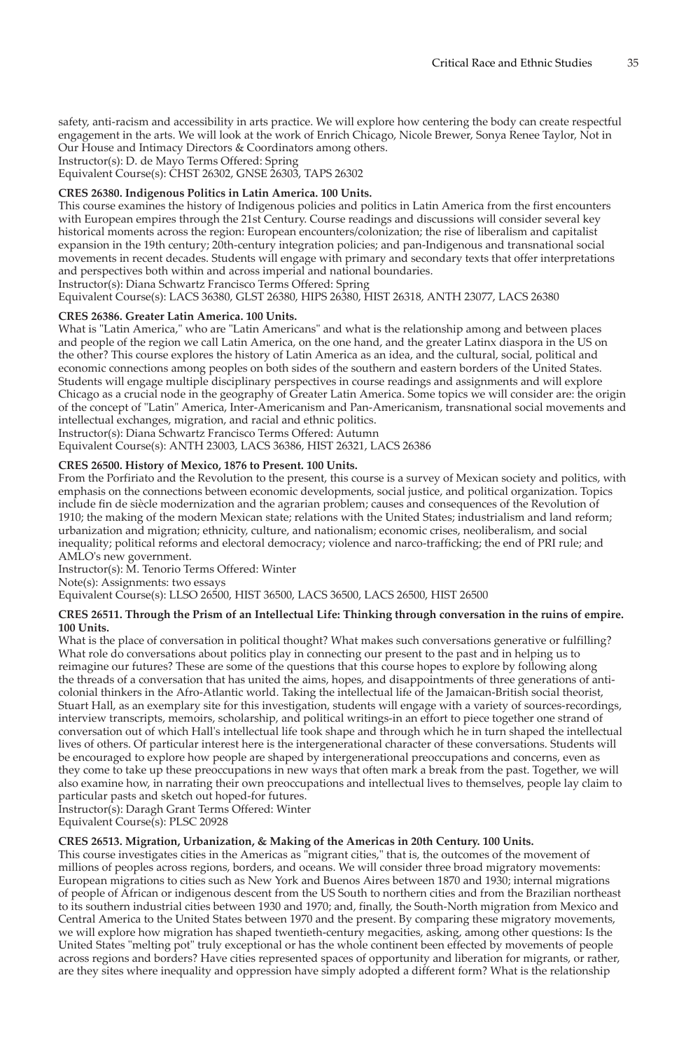safety, anti-racism and accessibility in arts practice. We will explore how centering the body can create respectful engagement in the arts. We will look at the work of Enrich Chicago, Nicole Brewer, Sonya Renee Taylor, Not in Our House and Intimacy Directors & Coordinators among others.

Instructor(s): D. de Mayo Terms Offered: Spring

Equivalent Course(s): CHST 26302, GNSE 26303, TAPS 26302

# **CRES 26380. Indigenous Politics in Latin America. 100 Units.**

This course examines the history of Indigenous policies and politics in Latin America from the first encounters with European empires through the 21st Century. Course readings and discussions will consider several key historical moments across the region: European encounters/colonization; the rise of liberalism and capitalist expansion in the 19th century; 20th-century integration policies; and pan-Indigenous and transnational social movements in recent decades. Students will engage with primary and secondary texts that offer interpretations and perspectives both within and across imperial and national boundaries.

Instructor(s): Diana Schwartz Francisco Terms Offered: Spring

Equivalent Course(s): LACS 36380, GLST 26380, HIPS 26380, HIST 26318, ANTH 23077, LACS 26380

# **CRES 26386. Greater Latin America. 100 Units.**

What is "Latin America," who are "Latin Americans" and what is the relationship among and between places and people of the region we call Latin America, on the one hand, and the greater Latinx diaspora in the US on the other? This course explores the history of Latin America as an idea, and the cultural, social, political and economic connections among peoples on both sides of the southern and eastern borders of the United States. Students will engage multiple disciplinary perspectives in course readings and assignments and will explore Chicago as a crucial node in the geography of Greater Latin America. Some topics we will consider are: the origin of the concept of "Latin" America, Inter-Americanism and Pan-Americanism, transnational social movements and intellectual exchanges, migration, and racial and ethnic politics. Instructor(s): Diana Schwartz Francisco Terms Offered: Autumn

Equivalent Course(s): ANTH 23003, LACS 36386, HIST 26321, LACS 26386

# **CRES 26500. History of Mexico, 1876 to Present. 100 Units.**

From the Porfiriato and the Revolution to the present, this course is a survey of Mexican society and politics, with emphasis on the connections between economic developments, social justice, and political organization. Topics include fin de siècle modernization and the agrarian problem; causes and consequences of the Revolution of 1910; the making of the modern Mexican state; relations with the United States; industrialism and land reform; urbanization and migration; ethnicity, culture, and nationalism; economic crises, neoliberalism, and social inequality; political reforms and electoral democracy; violence and narco-trafficking; the end of PRI rule; and AMLO's new government.

Instructor(s): M. Tenorio Terms Offered: Winter

Note(s): Assignments: two essays

Equivalent Course(s): LLSO 26500, HIST 36500, LACS 36500, LACS 26500, HIST 26500

#### **CRES 26511. Through the Prism of an Intellectual Life: Thinking through conversation in the ruins of empire. 100 Units.**

What is the place of conversation in political thought? What makes such conversations generative or fulfilling? What role do conversations about politics play in connecting our present to the past and in helping us to reimagine our futures? These are some of the questions that this course hopes to explore by following along the threads of a conversation that has united the aims, hopes, and disappointments of three generations of anticolonial thinkers in the Afro-Atlantic world. Taking the intellectual life of the Jamaican-British social theorist, Stuart Hall, as an exemplary site for this investigation, students will engage with a variety of sources-recordings, interview transcripts, memoirs, scholarship, and political writings-in an effort to piece together one strand of conversation out of which Hall's intellectual life took shape and through which he in turn shaped the intellectual lives of others. Of particular interest here is the intergenerational character of these conversations. Students will be encouraged to explore how people are shaped by intergenerational preoccupations and concerns, even as they come to take up these preoccupations in new ways that often mark a break from the past. Together, we will also examine how, in narrating their own preoccupations and intellectual lives to themselves, people lay claim to particular pasts and sketch out hoped-for futures.

Instructor(s): Daragh Grant Terms Offered: Winter

Equivalent Course(s): PLSC 20928

#### **CRES 26513. Migration, Urbanization, & Making of the Americas in 20th Century. 100 Units.**

This course investigates cities in the Americas as "migrant cities," that is, the outcomes of the movement of millions of peoples across regions, borders, and oceans. We will consider three broad migratory movements: European migrations to cities such as New York and Buenos Aires between 1870 and 1930; internal migrations of people of African or indigenous descent from the US South to northern cities and from the Brazilian northeast to its southern industrial cities between 1930 and 1970; and, finally, the South-North migration from Mexico and Central America to the United States between 1970 and the present. By comparing these migratory movements, we will explore how migration has shaped twentieth-century megacities, asking, among other questions: Is the United States "melting pot" truly exceptional or has the whole continent been effected by movements of people across regions and borders? Have cities represented spaces of opportunity and liberation for migrants, or rather, are they sites where inequality and oppression have simply adopted a different form? What is the relationship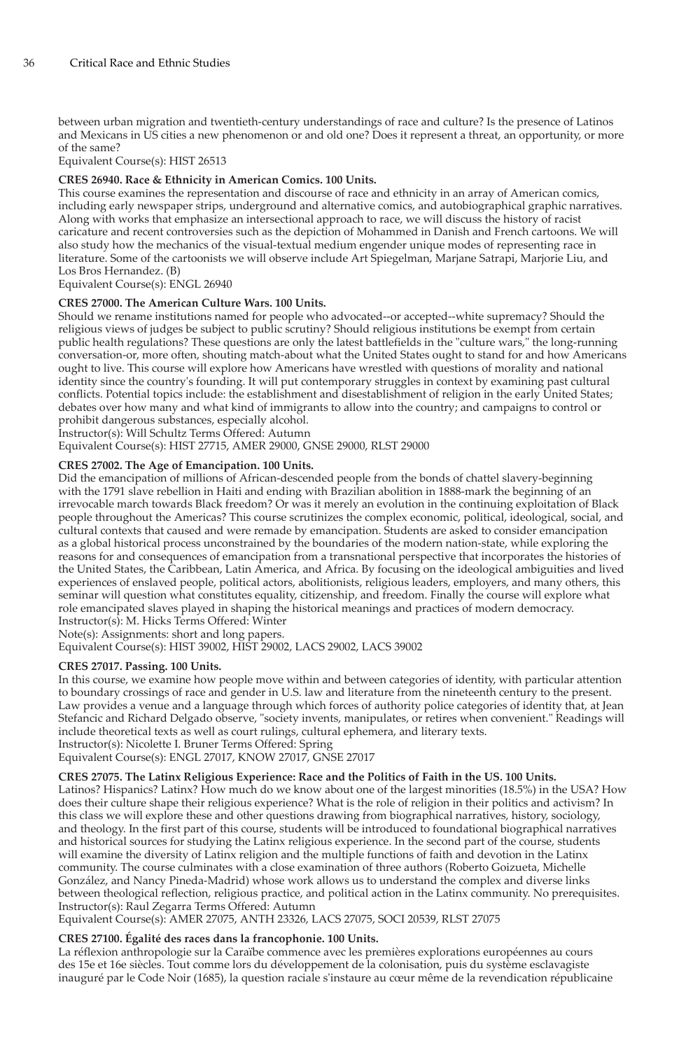between urban migration and twentieth-century understandings of race and culture? Is the presence of Latinos and Mexicans in US cities a new phenomenon or and old one? Does it represent a threat, an opportunity, or more of the same?

Equivalent Course(s): HIST 26513

# **CRES 26940. Race & Ethnicity in American Comics. 100 Units.**

This course examines the representation and discourse of race and ethnicity in an array of American comics, including early newspaper strips, underground and alternative comics, and autobiographical graphic narratives. Along with works that emphasize an intersectional approach to race, we will discuss the history of racist caricature and recent controversies such as the depiction of Mohammed in Danish and French cartoons. We will also study how the mechanics of the visual-textual medium engender unique modes of representing race in literature. Some of the cartoonists we will observe include Art Spiegelman, Marjane Satrapi, Marjorie Liu, and Los Bros Hernandez. (B)

Equivalent Course(s): ENGL 26940

# **CRES 27000. The American Culture Wars. 100 Units.**

Should we rename institutions named for people who advocated--or accepted--white supremacy? Should the religious views of judges be subject to public scrutiny? Should religious institutions be exempt from certain public health regulations? These questions are only the latest battlefields in the "culture wars," the long-running conversation-or, more often, shouting match-about what the United States ought to stand for and how Americans ought to live. This course will explore how Americans have wrestled with questions of morality and national identity since the country's founding. It will put contemporary struggles in context by examining past cultural conflicts. Potential topics include: the establishment and disestablishment of religion in the early United States; debates over how many and what kind of immigrants to allow into the country; and campaigns to control or prohibit dangerous substances, especially alcohol.

Instructor(s): Will Schultz Terms Offered: Autumn

Equivalent Course(s): HIST 27715, AMER 29000, GNSE 29000, RLST 29000

# **CRES 27002. The Age of Emancipation. 100 Units.**

Did the emancipation of millions of African-descended people from the bonds of chattel slavery-beginning with the 1791 slave rebellion in Haiti and ending with Brazilian abolition in 1888-mark the beginning of an irrevocable march towards Black freedom? Or was it merely an evolution in the continuing exploitation of Black people throughout the Americas? This course scrutinizes the complex economic, political, ideological, social, and cultural contexts that caused and were remade by emancipation. Students are asked to consider emancipation as a global historical process unconstrained by the boundaries of the modern nation-state, while exploring the reasons for and consequences of emancipation from a transnational perspective that incorporates the histories of the United States, the Caribbean, Latin America, and Africa. By focusing on the ideological ambiguities and lived experiences of enslaved people, political actors, abolitionists, religious leaders, employers, and many others, this seminar will question what constitutes equality, citizenship, and freedom. Finally the course will explore what role emancipated slaves played in shaping the historical meanings and practices of modern democracy. Instructor(s): M. Hicks Terms Offered: Winter

Note(s): Assignments: short and long papers.

Equivalent Course(s): HIST 39002, HIST 29002, LACS 29002, LACS 39002

#### **CRES 27017. Passing. 100 Units.**

In this course, we examine how people move within and between categories of identity, with particular attention to boundary crossings of race and gender in U.S. law and literature from the nineteenth century to the present. Law provides a venue and a language through which forces of authority police categories of identity that, at Jean Stefancic and Richard Delgado observe, "society invents, manipulates, or retires when convenient." Readings will include theoretical texts as well as court rulings, cultural ephemera, and literary texts.

Instructor(s): Nicolette I. Bruner Terms Offered: Spring Equivalent Course(s): ENGL 27017, KNOW 27017, GNSE 27017

# **CRES 27075. The Latinx Religious Experience: Race and the Politics of Faith in the US. 100 Units.**

Latinos? Hispanics? Latinx? How much do we know about one of the largest minorities (18.5%) in the USA? How does their culture shape their religious experience? What is the role of religion in their politics and activism? In this class we will explore these and other questions drawing from biographical narratives, history, sociology, and theology. In the first part of this course, students will be introduced to foundational biographical narratives and historical sources for studying the Latinx religious experience. In the second part of the course, students will examine the diversity of Latinx religion and the multiple functions of faith and devotion in the Latinx community. The course culminates with a close examination of three authors (Roberto Goizueta, Michelle González, and Nancy Pineda-Madrid) whose work allows us to understand the complex and diverse links between theological reflection, religious practice, and political action in the Latinx community. No prerequisites. Instructor(s): Raul Zegarra Terms Offered: Autumn

Equivalent Course(s): AMER 27075, ANTH 23326, LACS 27075, SOCI 20539, RLST 27075

# **CRES 27100. Égalité des races dans la francophonie. 100 Units.**

La réflexion anthropologie sur la Caraïbe commence avec les premières explorations européennes au cours des 15e et 16e siècles. Tout comme lors du développement de la colonisation, puis du système esclavagiste inauguré par le Code Noir (1685), la question raciale s'instaure au cœur même de la revendication républicaine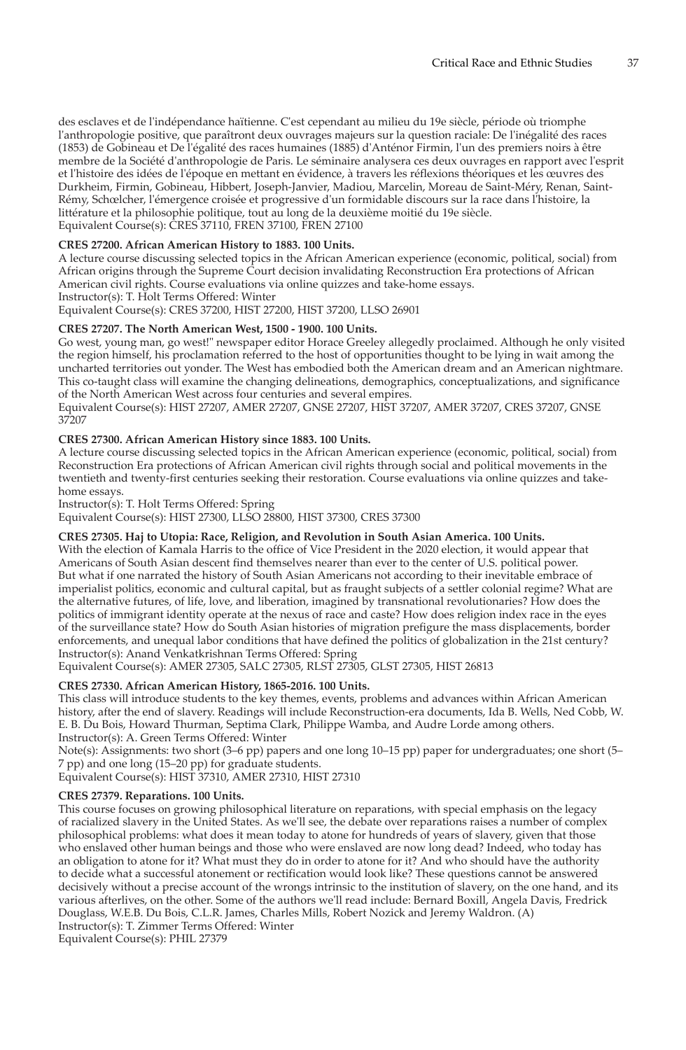des esclaves et de l'indépendance haïtienne. C'est cependant au milieu du 19e siècle, période où triomphe l'anthropologie positive, que paraîtront deux ouvrages majeurs sur la question raciale: De l'inégalité des races (1853) de Gobineau et De l'égalité des races humaines (1885) d'Anténor Firmin, l'un des premiers noirs à être membre de la Société d'anthropologie de Paris. Le séminaire analysera ces deux ouvrages en rapport avec l'esprit et l'histoire des idées de l'époque en mettant en évidence, à travers les réflexions théoriques et les œuvres des Durkheim, Firmin, Gobineau, Hibbert, Joseph-Janvier, Madiou, Marcelin, Moreau de Saint-Méry, Renan, Saint-Rémy, Schœlcher, l'émergence croisée et progressive d'un formidable discours sur la race dans l'histoire, la littérature et la philosophie politique, tout au long de la deuxième moitié du 19e siècle. Equivalent Course(s): CRES 37110, FREN 37100, FREN 27100

#### **CRES 27200. African American History to 1883. 100 Units.**

A lecture course discussing selected topics in the African American experience (economic, political, social) from African origins through the Supreme Court decision invalidating Reconstruction Era protections of African American civil rights. Course evaluations via online quizzes and take-home essays.

Instructor(s): T. Holt Terms Offered: Winter

Equivalent Course(s): CRES 37200, HIST 27200, HIST 37200, LLSO 26901

#### **CRES 27207. The North American West, 1500 - 1900. 100 Units.**

Go west, young man, go west!" newspaper editor Horace Greeley allegedly proclaimed. Although he only visited the region himself, his proclamation referred to the host of opportunities thought to be lying in wait among the uncharted territories out yonder. The West has embodied both the American dream and an American nightmare. This co-taught class will examine the changing delineations, demographics, conceptualizations, and significance of the North American West across four centuries and several empires.

Equivalent Course(s): HIST 27207, AMER 27207, GNSE 27207, HIST 37207, AMER 37207, CRES 37207, GNSE 37207

#### **CRES 27300. African American History since 1883. 100 Units.**

A lecture course discussing selected topics in the African American experience (economic, political, social) from Reconstruction Era protections of African American civil rights through social and political movements in the twentieth and twenty-first centuries seeking their restoration. Course evaluations via online quizzes and takehome essays.

Instructor(s): T. Holt Terms Offered: Spring

Equivalent Course(s): HIST 27300, LLSO 28800, HIST 37300, CRES 37300

# **CRES 27305. Haj to Utopia: Race, Religion, and Revolution in South Asian America. 100 Units.**

With the election of Kamala Harris to the office of Vice President in the 2020 election, it would appear that Americans of South Asian descent find themselves nearer than ever to the center of U.S. political power. But what if one narrated the history of South Asian Americans not according to their inevitable embrace of imperialist politics, economic and cultural capital, but as fraught subjects of a settler colonial regime? What are the alternative futures, of life, love, and liberation, imagined by transnational revolutionaries? How does the politics of immigrant identity operate at the nexus of race and caste? How does religion index race in the eyes of the surveillance state? How do South Asian histories of migration prefigure the mass displacements, border enforcements, and unequal labor conditions that have defined the politics of globalization in the 21st century? Instructor(s): Anand Venkatkrishnan Terms Offered: Spring

Equivalent Course(s): AMER 27305, SALC 27305, RLST 27305, GLST 27305, HIST 26813

# **CRES 27330. African American History, 1865-2016. 100 Units.**

This class will introduce students to the key themes, events, problems and advances within African American history, after the end of slavery. Readings will include Reconstruction-era documents, Ida B. Wells, Ned Cobb, W. E. B. Du Bois, Howard Thurman, Septima Clark, Philippe Wamba, and Audre Lorde among others. Instructor(s): A. Green Terms Offered: Winter

Note(s): Assignments: two short (3–6 pp) papers and one long 10–15 pp) paper for undergraduates; one short (5– 7 pp) and one long (15–20 pp) for graduate students.

Equivalent Course(s): HIST 37310, AMER 27310, HIST 27310

#### **CRES 27379. Reparations. 100 Units.**

This course focuses on growing philosophical literature on reparations, with special emphasis on the legacy of racialized slavery in the United States. As we'll see, the debate over reparations raises a number of complex philosophical problems: what does it mean today to atone for hundreds of years of slavery, given that those who enslaved other human beings and those who were enslaved are now long dead? Indeed, who today has an obligation to atone for it? What must they do in order to atone for it? And who should have the authority to decide what a successful atonement or rectification would look like? These questions cannot be answered decisively without a precise account of the wrongs intrinsic to the institution of slavery, on the one hand, and its various afterlives, on the other. Some of the authors we'll read include: Bernard Boxill, Angela Davis, Fredrick Douglass, W.E.B. Du Bois, C.L.R. James, Charles Mills, Robert Nozick and Jeremy Waldron. (A) Instructor(s): T. Zimmer Terms Offered: Winter Equivalent Course(s): PHIL 27379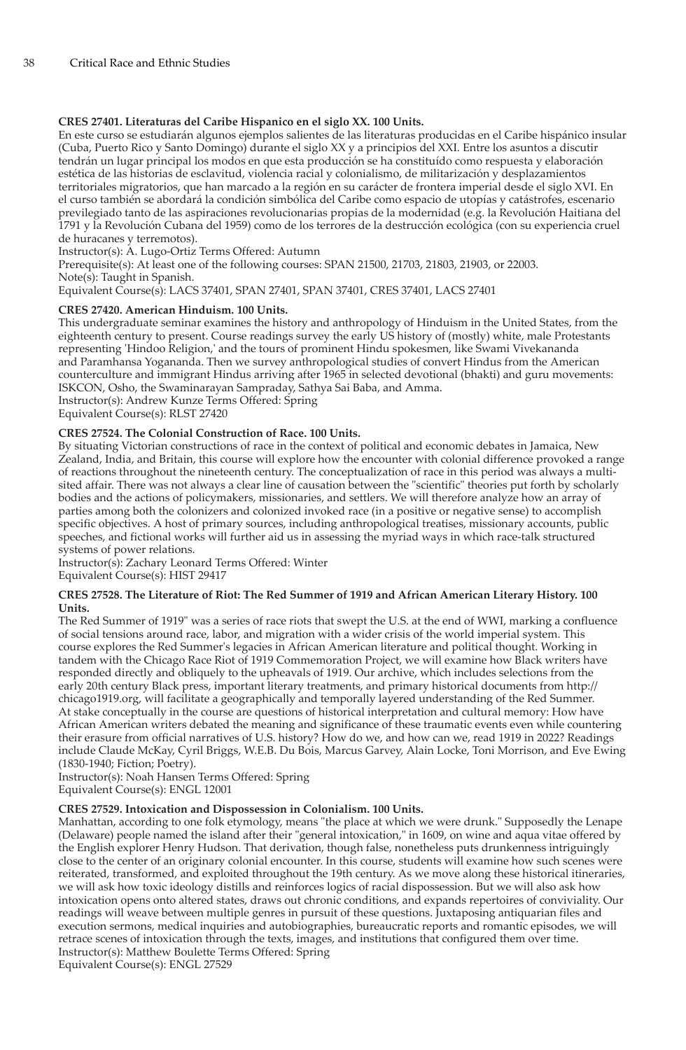# **CRES 27401. Literaturas del Caribe Hispanico en el siglo XX. 100 Units.**

En este curso se estudiarán algunos ejemplos salientes de las literaturas producidas en el Caribe hispánico insular (Cuba, Puerto Rico y Santo Domingo) durante el siglo XX y a principios del XXI. Entre los asuntos a discutir tendrán un lugar principal los modos en que esta producción se ha constituído como respuesta y elaboración estética de las historias de esclavitud, violencia racial y colonialismo, de militarización y desplazamientos territoriales migratorios, que han marcado a la región en su carácter de frontera imperial desde el siglo XVI. En el curso también se abordará la condición simbólica del Caribe como espacio de utopías y catástrofes, escenario previlegiado tanto de las aspiraciones revolucionarias propias de la modernidad (e.g. la Revolución Haitiana del 1791 y la Revolución Cubana del 1959) como de los terrores de la destrucción ecológica (con su experiencia cruel de huracanes y terremotos).

Instructor(s): A. Lugo-Ortiz Terms Offered: Autumn

Prerequisite(s): At least one of the following courses: SPAN 21500, 21703, 21803, 21903, or 22003. Note(s): Taught in Spanish.

Equivalent Course(s): LACS 37401, SPAN 27401, SPAN 37401, CRES 37401, LACS 27401

# **CRES 27420. American Hinduism. 100 Units.**

This undergraduate seminar examines the history and anthropology of Hinduism in the United States, from the eighteenth century to present. Course readings survey the early US history of (mostly) white, male Protestants representing 'Hindoo Religion,' and the tours of prominent Hindu spokesmen, like Swami Vivekananda and Paramhansa Yogananda. Then we survey anthropological studies of convert Hindus from the American counterculture and immigrant Hindus arriving after 1965 in selected devotional (bhakti) and guru movements: ISKCON, Osho, the Swaminarayan Sampraday, Sathya Sai Baba, and Amma. Instructor(s): Andrew Kunze Terms Offered: Spring

Equivalent Course(s): RLST 27420

# **CRES 27524. The Colonial Construction of Race. 100 Units.**

By situating Victorian constructions of race in the context of political and economic debates in Jamaica, New Zealand, India, and Britain, this course will explore how the encounter with colonial difference provoked a range of reactions throughout the nineteenth century. The conceptualization of race in this period was always a multisited affair. There was not always a clear line of causation between the "scientific" theories put forth by scholarly bodies and the actions of policymakers, missionaries, and settlers. We will therefore analyze how an array of parties among both the colonizers and colonized invoked race (in a positive or negative sense) to accomplish specific objectives. A host of primary sources, including anthropological treatises, missionary accounts, public speeches, and fictional works will further aid us in assessing the myriad ways in which race-talk structured systems of power relations.

Instructor(s): Zachary Leonard Terms Offered: Winter

Equivalent Course(s): HIST 29417

#### **CRES 27528. The Literature of Riot: The Red Summer of 1919 and African American Literary History. 100 Units.**

The Red Summer of 1919" was a series of race riots that swept the U.S. at the end of WWI, marking a confluence of social tensions around race, labor, and migration with a wider crisis of the world imperial system. This course explores the Red Summer's legacies in African American literature and political thought. Working in tandem with the Chicago Race Riot of 1919 Commemoration Project, we will examine how Black writers have responded directly and obliquely to the upheavals of 1919. Our archive, which includes selections from the early 20th century Black press, important literary treatments, and primary historical documents from http:// chicago1919.org, will facilitate a geographically and temporally layered understanding of the Red Summer. At stake conceptually in the course are questions of historical interpretation and cultural memory: How have African American writers debated the meaning and significance of these traumatic events even while countering their erasure from official narratives of U.S. history? How do we, and how can we, read 1919 in 2022? Readings include Claude McKay, Cyril Briggs, W.E.B. Du Bois, Marcus Garvey, Alain Locke, Toni Morrison, and Eve Ewing (1830-1940; Fiction; Poetry).

Instructor(s): Noah Hansen Terms Offered: Spring Equivalent Course(s): ENGL 12001

#### **CRES 27529. Intoxication and Dispossession in Colonialism. 100 Units.**

Manhattan, according to one folk etymology, means "the place at which we were drunk." Supposedly the Lenape (Delaware) people named the island after their "general intoxication," in 1609, on wine and aqua vitae offered by the English explorer Henry Hudson. That derivation, though false, nonetheless puts drunkenness intriguingly close to the center of an originary colonial encounter. In this course, students will examine how such scenes were reiterated, transformed, and exploited throughout the 19th century. As we move along these historical itineraries, we will ask how toxic ideology distills and reinforces logics of racial dispossession. But we will also ask how intoxication opens onto altered states, draws out chronic conditions, and expands repertoires of conviviality. Our readings will weave between multiple genres in pursuit of these questions. Juxtaposing antiquarian files and execution sermons, medical inquiries and autobiographies, bureaucratic reports and romantic episodes, we will retrace scenes of intoxication through the texts, images, and institutions that configured them over time. Instructor(s): Matthew Boulette Terms Offered: Spring

Equivalent Course(s): ENGL 27529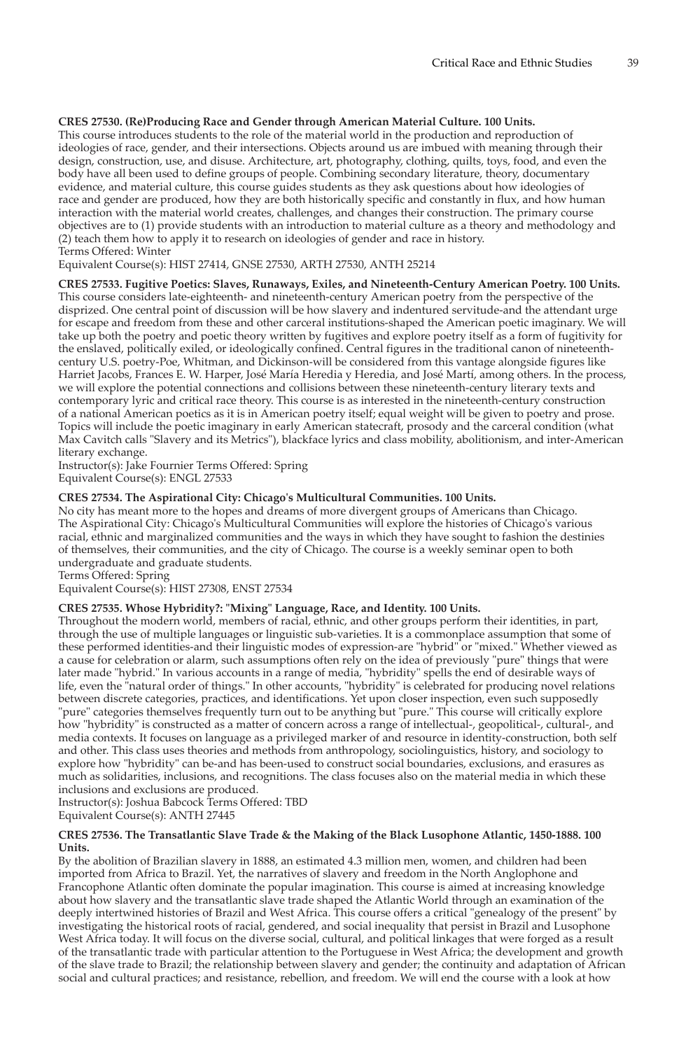# **CRES 27530. (Re)Producing Race and Gender through American Material Culture. 100 Units.**

This course introduces students to the role of the material world in the production and reproduction of ideologies of race, gender, and their intersections. Objects around us are imbued with meaning through their design, construction, use, and disuse. Architecture, art, photography, clothing, quilts, toys, food, and even the body have all been used to define groups of people. Combining secondary literature, theory, documentary evidence, and material culture, this course guides students as they ask questions about how ideologies of race and gender are produced, how they are both historically specific and constantly in flux, and how human interaction with the material world creates, challenges, and changes their construction. The primary course objectives are to (1) provide students with an introduction to material culture as a theory and methodology and (2) teach them how to apply it to research on ideologies of gender and race in history. Terms Offered: Winter

Equivalent Course(s): HIST 27414, GNSE 27530, ARTH 27530, ANTH 25214

**CRES 27533. Fugitive Poetics: Slaves, Runaways, Exiles, and Nineteenth-Century American Poetry. 100 Units.** This course considers late-eighteenth- and nineteenth-century American poetry from the perspective of the disprized. One central point of discussion will be how slavery and indentured servitude-and the attendant urge for escape and freedom from these and other carceral institutions-shaped the American poetic imaginary. We will take up both the poetry and poetic theory written by fugitives and explore poetry itself as a form of fugitivity for the enslaved, politically exiled, or ideologically confined. Central figures in the traditional canon of nineteenthcentury U.S. poetry-Poe, Whitman, and Dickinson-will be considered from this vantage alongside figures like Harriet Jacobs, Frances E. W. Harper, José María Heredia y Heredia, and José Martí, among others. In the process, we will explore the potential connections and collisions between these nineteenth-century literary texts and contemporary lyric and critical race theory. This course is as interested in the nineteenth-century construction of a national American poetics as it is in American poetry itself; equal weight will be given to poetry and prose. Topics will include the poetic imaginary in early American statecraft, prosody and the carceral condition (what Max Cavitch calls "Slavery and its Metrics"), blackface lyrics and class mobility, abolitionism, and inter-American literary exchange.

Instructor(s): Jake Fournier Terms Offered: Spring Equivalent Course(s): ENGL 27533

# **CRES 27534. The Aspirational City: Chicago's Multicultural Communities. 100 Units.**

No city has meant more to the hopes and dreams of more divergent groups of Americans than Chicago. The Aspirational City: Chicago's Multicultural Communities will explore the histories of Chicago's various racial, ethnic and marginalized communities and the ways in which they have sought to fashion the destinies of themselves, their communities, and the city of Chicago. The course is a weekly seminar open to both undergraduate and graduate students.

Terms Offered: Spring

Equivalent Course(s): HIST 27308, ENST 27534

#### **CRES 27535. Whose Hybridity?: "Mixing" Language, Race, and Identity. 100 Units.**

Throughout the modern world, members of racial, ethnic, and other groups perform their identities, in part, through the use of multiple languages or linguistic sub-varieties. It is a commonplace assumption that some of these performed identities-and their linguistic modes of expression-are "hybrid" or "mixed." Whether viewed as a cause for celebration or alarm, such assumptions often rely on the idea of previously "pure" things that were later made "hybrid." In various accounts in a range of media, "hybridity" spells the end of desirable ways of life, even the "natural order of things." In other accounts, "hybridity" is celebrated for producing novel relations between discrete categories, practices, and identifications. Yet upon closer inspection, even such supposedly "pure" categories themselves frequently turn out to be anything but "pure." This course will critically explore how "hybridity" is constructed as a matter of concern across a range of intellectual-, geopolitical-, cultural-, and media contexts. It focuses on language as a privileged marker of and resource in identity-construction, both self and other. This class uses theories and methods from anthropology, sociolinguistics, history, and sociology to explore how "hybridity" can be-and has been-used to construct social boundaries, exclusions, and erasures as much as solidarities, inclusions, and recognitions. The class focuses also on the material media in which these inclusions and exclusions are produced.

Instructor(s): Joshua Babcock Terms Offered: TBD Equivalent Course(s): ANTH 27445

#### **CRES 27536. The Transatlantic Slave Trade & the Making of the Black Lusophone Atlantic, 1450-1888. 100 Units.**

By the abolition of Brazilian slavery in 1888, an estimated 4.3 million men, women, and children had been imported from Africa to Brazil. Yet, the narratives of slavery and freedom in the North Anglophone and Francophone Atlantic often dominate the popular imagination. This course is aimed at increasing knowledge about how slavery and the transatlantic slave trade shaped the Atlantic World through an examination of the deeply intertwined histories of Brazil and West Africa. This course offers a critical "genealogy of the present" by investigating the historical roots of racial, gendered, and social inequality that persist in Brazil and Lusophone West Africa today. It will focus on the diverse social, cultural, and political linkages that were forged as a result of the transatlantic trade with particular attention to the Portuguese in West Africa; the development and growth of the slave trade to Brazil; the relationship between slavery and gender; the continuity and adaptation of African social and cultural practices; and resistance, rebellion, and freedom. We will end the course with a look at how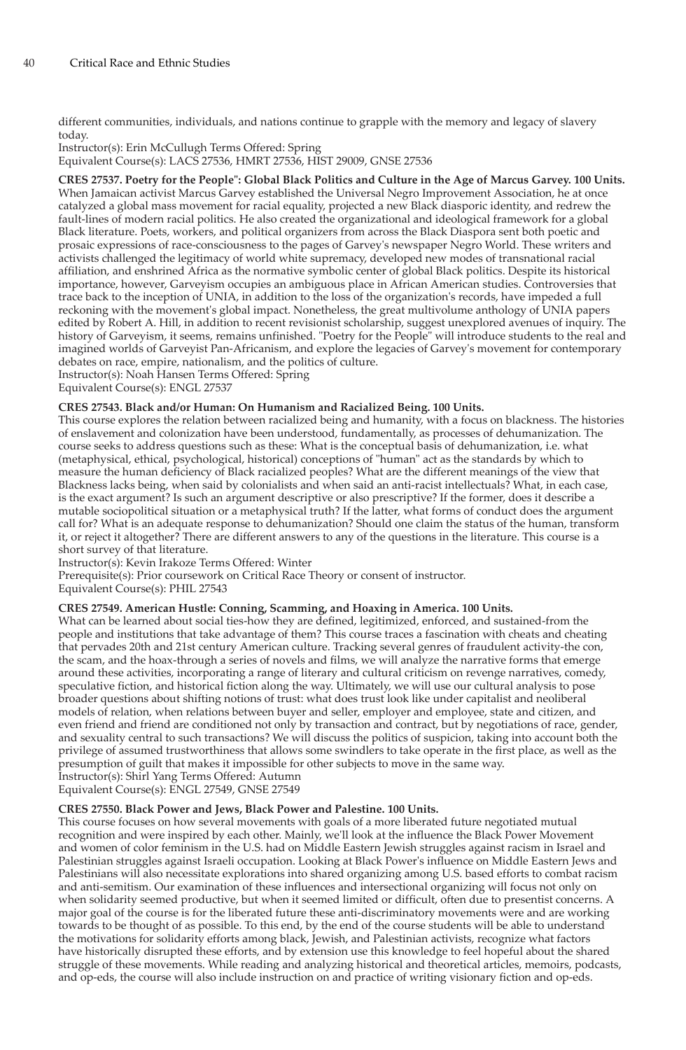different communities, individuals, and nations continue to grapple with the memory and legacy of slavery today.

Instructor(s): Erin McCullugh Terms Offered: Spring Equivalent Course(s): LACS 27536, HMRT 27536, HIST 29009, GNSE 27536

**CRES 27537. Poetry for the People": Global Black Politics and Culture in the Age of Marcus Garvey. 100 Units.** When Jamaican activist Marcus Garvey established the Universal Negro Improvement Association, he at once catalyzed a global mass movement for racial equality, projected a new Black diasporic identity, and redrew the fault-lines of modern racial politics. He also created the organizational and ideological framework for a global Black literature. Poets, workers, and political organizers from across the Black Diaspora sent both poetic and prosaic expressions of race-consciousness to the pages of Garvey's newspaper Negro World. These writers and activists challenged the legitimacy of world white supremacy, developed new modes of transnational racial affiliation, and enshrined Africa as the normative symbolic center of global Black politics. Despite its historical importance, however, Garveyism occupies an ambiguous place in African American studies. Controversies that trace back to the inception of UNIA, in addition to the loss of the organization's records, have impeded a full reckoning with the movement's global impact. Nonetheless, the great multivolume anthology of UNIA papers edited by Robert A. Hill, in addition to recent revisionist scholarship, suggest unexplored avenues of inquiry. The history of Garveyism, it seems, remains unfinished. "Poetry for the People" will introduce students to the real and imagined worlds of Garveyist Pan-Africanism, and explore the legacies of Garvey's movement for contemporary debates on race, empire, nationalism, and the politics of culture. Instructor(s): Noah Hansen Terms Offered: Spring

Equivalent Course(s): ENGL 27537

# **CRES 27543. Black and/or Human: On Humanism and Racialized Being. 100 Units.**

This course explores the relation between racialized being and humanity, with a focus on blackness. The histories of enslavement and colonization have been understood, fundamentally, as processes of dehumanization. The course seeks to address questions such as these: What is the conceptual basis of dehumanization, i.e. what (metaphysical, ethical, psychological, historical) conceptions of "human" act as the standards by which to measure the human deficiency of Black racialized peoples? What are the different meanings of the view that Blackness lacks being, when said by colonialists and when said an anti-racist intellectuals? What, in each case, is the exact argument? Is such an argument descriptive or also prescriptive? If the former, does it describe a mutable sociopolitical situation or a metaphysical truth? If the latter, what forms of conduct does the argument call for? What is an adequate response to dehumanization? Should one claim the status of the human, transform it, or reject it altogether? There are different answers to any of the questions in the literature. This course is a short survey of that literature.

Instructor(s): Kevin Irakoze Terms Offered: Winter

Prerequisite(s): Prior coursework on Critical Race Theory or consent of instructor. Equivalent Course(s): PHIL 27543

**CRES 27549. American Hustle: Conning, Scamming, and Hoaxing in America. 100 Units.** What can be learned about social ties-how they are defined, legitimized, enforced, and sustained-from the people and institutions that take advantage of them? This course traces a fascination with cheats and cheating that pervades 20th and 21st century American culture. Tracking several genres of fraudulent activity-the con, the scam, and the hoax-through a series of novels and films, we will analyze the narrative forms that emerge around these activities, incorporating a range of literary and cultural criticism on revenge narratives, comedy, speculative fiction, and historical fiction along the way. Ultimately, we will use our cultural analysis to pose broader questions about shifting notions of trust: what does trust look like under capitalist and neoliberal models of relation, when relations between buyer and seller, employer and employee, state and citizen, and even friend and friend are conditioned not only by transaction and contract, but by negotiations of race, gender, and sexuality central to such transactions? We will discuss the politics of suspicion, taking into account both the privilege of assumed trustworthiness that allows some swindlers to take operate in the first place, as well as the presumption of guilt that makes it impossible for other subjects to move in the same way. Instructor(s): Shirl Yang Terms Offered: Autumn

Equivalent Course(s): ENGL 27549, GNSE 27549

#### **CRES 27550. Black Power and Jews, Black Power and Palestine. 100 Units.**

This course focuses on how several movements with goals of a more liberated future negotiated mutual recognition and were inspired by each other. Mainly, we'll look at the influence the Black Power Movement and women of color feminism in the U.S. had on Middle Eastern Jewish struggles against racism in Israel and Palestinian struggles against Israeli occupation. Looking at Black Power's influence on Middle Eastern Jews and Palestinians will also necessitate explorations into shared organizing among U.S. based efforts to combat racism and anti-semitism. Our examination of these influences and intersectional organizing will focus not only on when solidarity seemed productive, but when it seemed limited or difficult, often due to presentist concerns. A major goal of the course is for the liberated future these anti-discriminatory movements were and are working towards to be thought of as possible. To this end, by the end of the course students will be able to understand the motivations for solidarity efforts among black, Jewish, and Palestinian activists, recognize what factors have historically disrupted these efforts, and by extension use this knowledge to feel hopeful about the shared struggle of these movements. While reading and analyzing historical and theoretical articles, memoirs, podcasts, and op-eds, the course will also include instruction on and practice of writing visionary fiction and op-eds.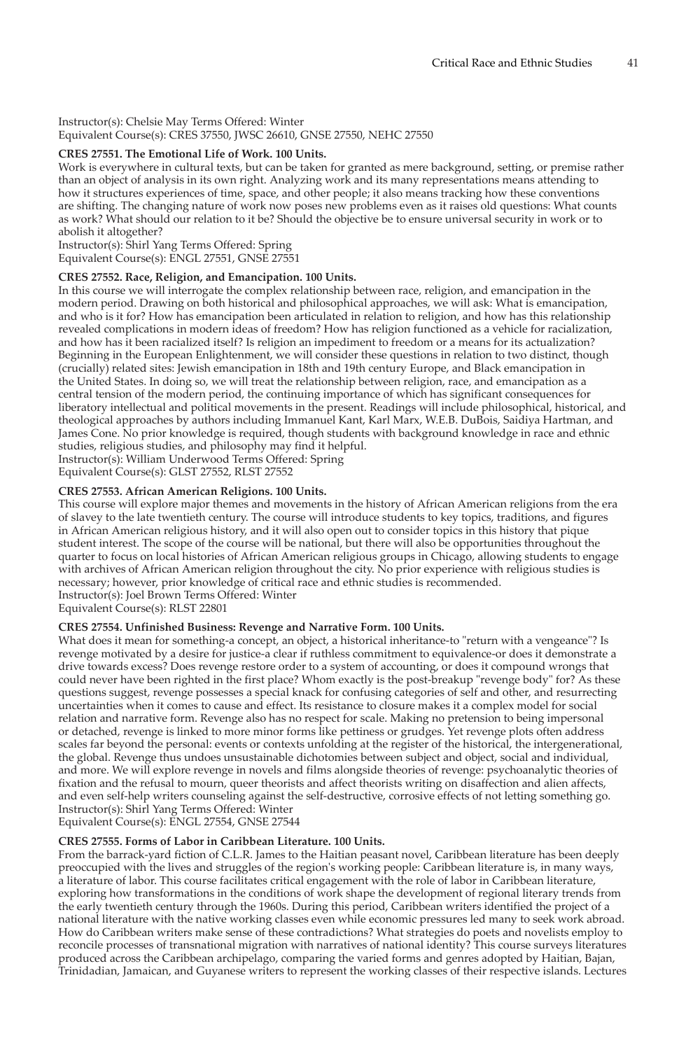# Instructor(s): Chelsie May Terms Offered: Winter Equivalent Course(s): CRES 37550, JWSC 26610, GNSE 27550, NEHC 27550

# **CRES 27551. The Emotional Life of Work. 100 Units.**

Work is everywhere in cultural texts, but can be taken for granted as mere background, setting, or premise rather than an object of analysis in its own right. Analyzing work and its many representations means attending to how it structures experiences of time, space, and other people; it also means tracking how these conventions are shifting. The changing nature of work now poses new problems even as it raises old questions: What counts as work? What should our relation to it be? Should the objective be to ensure universal security in work or to abolish it altogether?

Instructor(s): Shirl Yang Terms Offered: Spring Equivalent Course(s): ENGL 27551, GNSE 27551

# **CRES 27552. Race, Religion, and Emancipation. 100 Units.**

In this course we will interrogate the complex relationship between race, religion, and emancipation in the modern period. Drawing on both historical and philosophical approaches, we will ask: What is emancipation, and who is it for? How has emancipation been articulated in relation to religion, and how has this relationship revealed complications in modern ideas of freedom? How has religion functioned as a vehicle for racialization, and how has it been racialized itself? Is religion an impediment to freedom or a means for its actualization? Beginning in the European Enlightenment, we will consider these questions in relation to two distinct, though (crucially) related sites: Jewish emancipation in 18th and 19th century Europe, and Black emancipation in the United States. In doing so, we will treat the relationship between religion, race, and emancipation as a central tension of the modern period, the continuing importance of which has significant consequences for liberatory intellectual and political movements in the present. Readings will include philosophical, historical, and theological approaches by authors including Immanuel Kant, Karl Marx, W.E.B. DuBois, Saidiya Hartman, and James Cone. No prior knowledge is required, though students with background knowledge in race and ethnic studies, religious studies, and philosophy may find it helpful. Instructor(s): William Underwood Terms Offered: Spring

Equivalent Course(s): GLST 27552, RLST 27552

# **CRES 27553. African American Religions. 100 Units.**

This course will explore major themes and movements in the history of African American religions from the era of slavey to the late twentieth century. The course will introduce students to key topics, traditions, and figures in African American religious history, and it will also open out to consider topics in this history that pique student interest. The scope of the course will be national, but there will also be opportunities throughout the quarter to focus on local histories of African American religious groups in Chicago, allowing students to engage with archives of African American religion throughout the city. No prior experience with religious studies is necessary; however, prior knowledge of critical race and ethnic studies is recommended. Instructor(s): Joel Brown Terms Offered: Winter

Equivalent Course(s): RLST 22801

# **CRES 27554. Unfinished Business: Revenge and Narrative Form. 100 Units.**

What does it mean for something-a concept, an object, a historical inheritance-to "return with a vengeance"? Is revenge motivated by a desire for justice-a clear if ruthless commitment to equivalence-or does it demonstrate a drive towards excess? Does revenge restore order to a system of accounting, or does it compound wrongs that could never have been righted in the first place? Whom exactly is the post-breakup "revenge body" for? As these questions suggest, revenge possesses a special knack for confusing categories of self and other, and resurrecting uncertainties when it comes to cause and effect. Its resistance to closure makes it a complex model for social relation and narrative form. Revenge also has no respect for scale. Making no pretension to being impersonal or detached, revenge is linked to more minor forms like pettiness or grudges. Yet revenge plots often address scales far beyond the personal: events or contexts unfolding at the register of the historical, the intergenerational, the global. Revenge thus undoes unsustainable dichotomies between subject and object, social and individual, and more. We will explore revenge in novels and films alongside theories of revenge: psychoanalytic theories of fixation and the refusal to mourn, queer theorists and affect theorists writing on disaffection and alien affects, and even self-help writers counseling against the self-destructive, corrosive effects of not letting something go. Instructor(s): Shirl Yang Terms Offered: Winter

Equivalent Course(s): ENGL 27554, GNSE 27544

# **CRES 27555. Forms of Labor in Caribbean Literature. 100 Units.**

From the barrack-yard fiction of C.L.R. James to the Haitian peasant novel, Caribbean literature has been deeply preoccupied with the lives and struggles of the region's working people: Caribbean literature is, in many ways, a literature of labor. This course facilitates critical engagement with the role of labor in Caribbean literature, exploring how transformations in the conditions of work shape the development of regional literary trends from the early twentieth century through the 1960s. During this period, Caribbean writers identified the project of a national literature with the native working classes even while economic pressures led many to seek work abroad. How do Caribbean writers make sense of these contradictions? What strategies do poets and novelists employ to reconcile processes of transnational migration with narratives of national identity? This course surveys literatures produced across the Caribbean archipelago, comparing the varied forms and genres adopted by Haitian, Bajan, Trinidadian, Jamaican, and Guyanese writers to represent the working classes of their respective islands. Lectures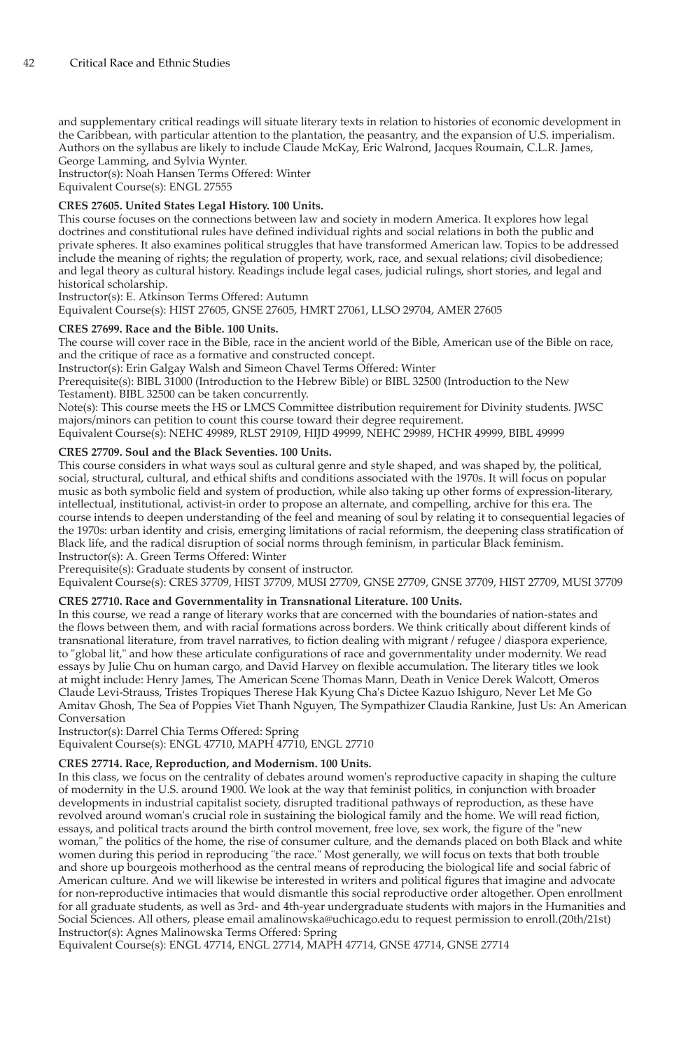and supplementary critical readings will situate literary texts in relation to histories of economic development in the Caribbean, with particular attention to the plantation, the peasantry, and the expansion of U.S. imperialism. Authors on the syllabus are likely to include Claude McKay, Eric Walrond, Jacques Roumain, C.L.R. James, George Lamming, and Sylvia Wynter.

Instructor(s): Noah Hansen Terms Offered: Winter Equivalent Course(s): ENGL 27555

# **CRES 27605. United States Legal History. 100 Units.**

This course focuses on the connections between law and society in modern America. It explores how legal doctrines and constitutional rules have defined individual rights and social relations in both the public and private spheres. It also examines political struggles that have transformed American law. Topics to be addressed include the meaning of rights; the regulation of property, work, race, and sexual relations; civil disobedience; and legal theory as cultural history. Readings include legal cases, judicial rulings, short stories, and legal and historical scholarship.

Instructor(s): E. Atkinson Terms Offered: Autumn

Equivalent Course(s): HIST 27605, GNSE 27605, HMRT 27061, LLSO 29704, AMER 27605

# **CRES 27699. Race and the Bible. 100 Units.**

The course will cover race in the Bible, race in the ancient world of the Bible, American use of the Bible on race, and the critique of race as a formative and constructed concept.

Instructor(s): Erin Galgay Walsh and Simeon Chavel Terms Offered: Winter

Prerequisite(s): BIBL 31000 (Introduction to the Hebrew Bible) or BIBL 32500 (Introduction to the New Testament). BIBL 32500 can be taken concurrently.

Note(s): This course meets the HS or LMCS Committee distribution requirement for Divinity students. JWSC majors/minors can petition to count this course toward their degree requirement.

Equivalent Course(s): NEHC 49989, RLST 29109, HIJD 49999, NEHC 29989, HCHR 49999, BIBL 49999

# **CRES 27709. Soul and the Black Seventies. 100 Units.**

This course considers in what ways soul as cultural genre and style shaped, and was shaped by, the political, social, structural, cultural, and ethical shifts and conditions associated with the 1970s. It will focus on popular music as both symbolic field and system of production, while also taking up other forms of expression-literary, intellectual, institutional, activist-in order to propose an alternate, and compelling, archive for this era. The course intends to deepen understanding of the feel and meaning of soul by relating it to consequential legacies of the 1970s: urban identity and crisis, emerging limitations of racial reformism, the deepening class stratification of Black life, and the radical disruption of social norms through feminism, in particular Black feminism. Instructor(s): A. Green Terms Offered: Winter

Prerequisite(s): Graduate students by consent of instructor.

Equivalent Course(s): CRES 37709, HIST 37709, MUSI 27709, GNSE 27709, GNSE 37709, HIST 27709, MUSI 37709

#### **CRES 27710. Race and Governmentality in Transnational Literature. 100 Units.**

In this course, we read a range of literary works that are concerned with the boundaries of nation-states and the flows between them, and with racial formations across borders. We think critically about different kinds of transnational literature, from travel narratives, to fiction dealing with migrant / refugee / diaspora experience, to "global lit," and how these articulate configurations of race and governmentality under modernity. We read essays by Julie Chu on human cargo, and David Harvey on flexible accumulation. The literary titles we look at might include: Henry James, The American Scene Thomas Mann, Death in Venice Derek Walcott, Omeros Claude Levi-Strauss, Tristes Tropiques Therese Hak Kyung Cha's Dictee Kazuo Ishiguro, Never Let Me Go Amitav Ghosh, The Sea of Poppies Viet Thanh Nguyen, The Sympathizer Claudia Rankine, Just Us: An American Conversation

Instructor(s): Darrel Chia Terms Offered: Spring

Equivalent Course(s): ENGL 47710, MAPH 47710, ENGL 27710

#### **CRES 27714. Race, Reproduction, and Modernism. 100 Units.**

In this class, we focus on the centrality of debates around women's reproductive capacity in shaping the culture of modernity in the U.S. around 1900. We look at the way that feminist politics, in conjunction with broader developments in industrial capitalist society, disrupted traditional pathways of reproduction, as these have revolved around woman's crucial role in sustaining the biological family and the home. We will read fiction, essays, and political tracts around the birth control movement, free love, sex work, the figure of the "new woman," the politics of the home, the rise of consumer culture, and the demands placed on both Black and white women during this period in reproducing "the race." Most generally, we will focus on texts that both trouble and shore up bourgeois motherhood as the central means of reproducing the biological life and social fabric of American culture. And we will likewise be interested in writers and political figures that imagine and advocate for non-reproductive intimacies that would dismantle this social reproductive order altogether. Open enrollment for all graduate students, as well as 3rd- and 4th-year undergraduate students with majors in the Humanities and Social Sciences. All others, please email amalinowska@uchicago.edu to request permission to enroll.(20th/21st) Instructor(s): Agnes Malinowska Terms Offered: Spring

Equivalent Course(s): ENGL 47714, ENGL 27714, MAPH 47714, GNSE 47714, GNSE 27714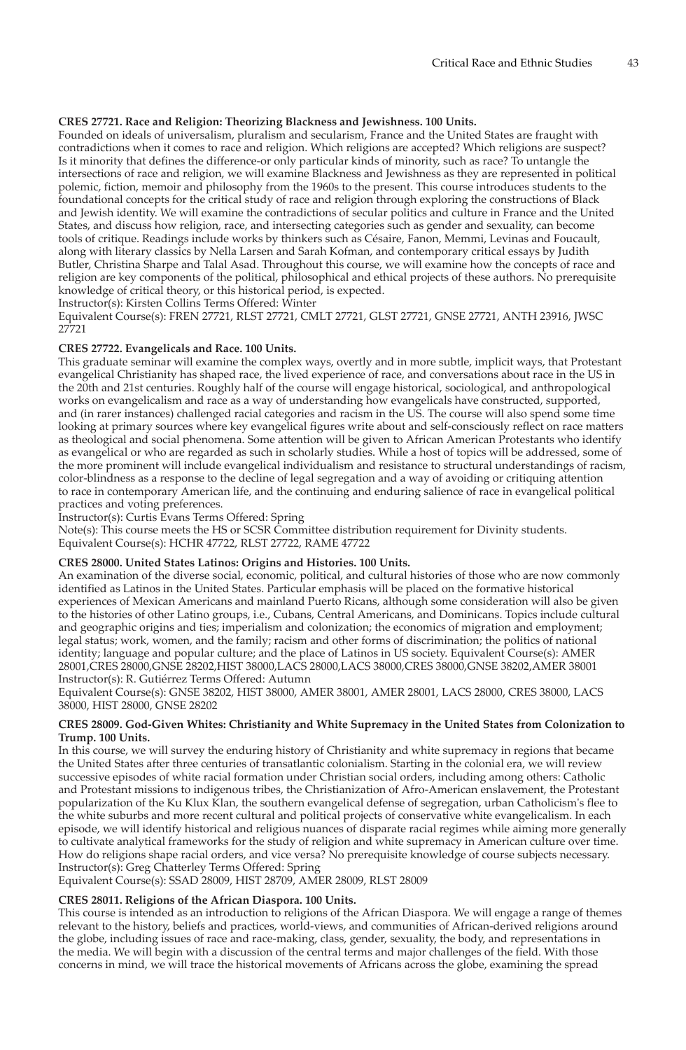# **CRES 27721. Race and Religion: Theorizing Blackness and Jewishness. 100 Units.**

Founded on ideals of universalism, pluralism and secularism, France and the United States are fraught with contradictions when it comes to race and religion. Which religions are accepted? Which religions are suspect? Is it minority that defines the difference-or only particular kinds of minority, such as race? To untangle the intersections of race and religion, we will examine Blackness and Jewishness as they are represented in political polemic, fiction, memoir and philosophy from the 1960s to the present. This course introduces students to the foundational concepts for the critical study of race and religion through exploring the constructions of Black and Jewish identity. We will examine the contradictions of secular politics and culture in France and the United States, and discuss how religion, race, and intersecting categories such as gender and sexuality, can become tools of critique. Readings include works by thinkers such as Césaire, Fanon, Memmi, Levinas and Foucault, along with literary classics by Nella Larsen and Sarah Kofman, and contemporary critical essays by Judith Butler, Christina Sharpe and Talal Asad. Throughout this course, we will examine how the concepts of race and religion are key components of the political, philosophical and ethical projects of these authors. No prerequisite knowledge of critical theory, or this historical period, is expected.

Instructor(s): Kirsten Collins Terms Offered: Winter

Equivalent Course(s): FREN 27721, RLST 27721, CMLT 27721, GLST 27721, GNSE 27721, ANTH 23916, JWSC 27721

# **CRES 27722. Evangelicals and Race. 100 Units.**

This graduate seminar will examine the complex ways, overtly and in more subtle, implicit ways, that Protestant evangelical Christianity has shaped race, the lived experience of race, and conversations about race in the US in the 20th and 21st centuries. Roughly half of the course will engage historical, sociological, and anthropological works on evangelicalism and race as a way of understanding how evangelicals have constructed, supported, and (in rarer instances) challenged racial categories and racism in the US. The course will also spend some time looking at primary sources where key evangelical figures write about and self-consciously reflect on race matters as theological and social phenomena. Some attention will be given to African American Protestants who identify as evangelical or who are regarded as such in scholarly studies. While a host of topics will be addressed, some of the more prominent will include evangelical individualism and resistance to structural understandings of racism, color-blindness as a response to the decline of legal segregation and a way of avoiding or critiquing attention to race in contemporary American life, and the continuing and enduring salience of race in evangelical political practices and voting preferences.

Instructor(s): Curtis Evans Terms Offered: Spring

Note(s): This course meets the HS or SCSR Committee distribution requirement for Divinity students. Equivalent Course(s): HCHR 47722, RLST 27722, RAME 47722

#### **CRES 28000. United States Latinos: Origins and Histories. 100 Units.**

An examination of the diverse social, economic, political, and cultural histories of those who are now commonly identified as Latinos in the United States. Particular emphasis will be placed on the formative historical experiences of Mexican Americans and mainland Puerto Ricans, although some consideration will also be given to the histories of other Latino groups, i.e., Cubans, Central Americans, and Dominicans. Topics include cultural and geographic origins and ties; imperialism and colonization; the economics of migration and employment; legal status; work, women, and the family; racism and other forms of discrimination; the politics of national identity; language and popular culture; and the place of Latinos in US society. Equivalent Course(s): AMER 28001,CRES 28000,GNSE 28202,HIST 38000,LACS 28000,LACS 38000,CRES 38000,GNSE 38202,AMER 38001 Instructor(s): R. Gutiérrez Terms Offered: Autumn

Equivalent Course(s): GNSE 38202, HIST 38000, AMER 38001, AMER 28001, LACS 28000, CRES 38000, LACS 38000, HIST 28000, GNSE 28202

#### **CRES 28009. God-Given Whites: Christianity and White Supremacy in the United States from Colonization to Trump. 100 Units.**

In this course, we will survey the enduring history of Christianity and white supremacy in regions that became the United States after three centuries of transatlantic colonialism. Starting in the colonial era, we will review successive episodes of white racial formation under Christian social orders, including among others: Catholic and Protestant missions to indigenous tribes, the Christianization of Afro-American enslavement, the Protestant popularization of the Ku Klux Klan, the southern evangelical defense of segregation, urban Catholicism's flee to the white suburbs and more recent cultural and political projects of conservative white evangelicalism. In each episode, we will identify historical and religious nuances of disparate racial regimes while aiming more generally to cultivate analytical frameworks for the study of religion and white supremacy in American culture over time. How do religions shape racial orders, and vice versa? No prerequisite knowledge of course subjects necessary. Instructor(s): Greg Chatterley Terms Offered: Spring

Equivalent Course(s): SSAD 28009, HIST 28709, AMER 28009, RLST 28009

# **CRES 28011. Religions of the African Diaspora. 100 Units.**

This course is intended as an introduction to religions of the African Diaspora. We will engage a range of themes relevant to the history, beliefs and practices, world-views, and communities of African-derived religions around the globe, including issues of race and race-making, class, gender, sexuality, the body, and representations in the media. We will begin with a discussion of the central terms and major challenges of the field. With those concerns in mind, we will trace the historical movements of Africans across the globe, examining the spread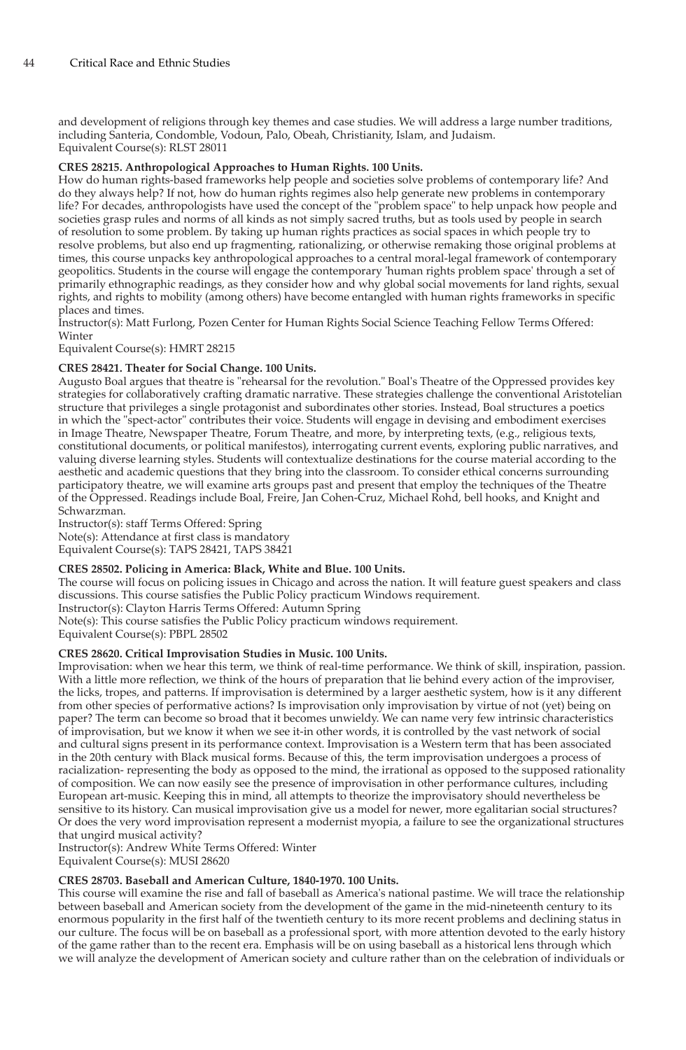and development of religions through key themes and case studies. We will address a large number traditions, including Santeria, Condomble, Vodoun, Palo, Obeah, Christianity, Islam, and Judaism. Equivalent Course(s): RLST 28011

#### **CRES 28215. Anthropological Approaches to Human Rights. 100 Units.**

How do human rights-based frameworks help people and societies solve problems of contemporary life? And do they always help? If not, how do human rights regimes also help generate new problems in contemporary life? For decades, anthropologists have used the concept of the "problem space" to help unpack how people and societies grasp rules and norms of all kinds as not simply sacred truths, but as tools used by people in search of resolution to some problem. By taking up human rights practices as social spaces in which people try to resolve problems, but also end up fragmenting, rationalizing, or otherwise remaking those original problems at times, this course unpacks key anthropological approaches to a central moral-legal framework of contemporary geopolitics. Students in the course will engage the contemporary 'human rights problem space' through a set of primarily ethnographic readings, as they consider how and why global social movements for land rights, sexual rights, and rights to mobility (among others) have become entangled with human rights frameworks in specific places and times.

<u>.</u><br>Instructor(s): Matt Furlong, Pozen Center for Human Rights Social Science Teaching Fellow Terms Offered: Winter

Equivalent Course(s): HMRT 28215

#### **CRES 28421. Theater for Social Change. 100 Units.**

Augusto Boal argues that theatre is "rehearsal for the revolution." Boal's Theatre of the Oppressed provides key strategies for collaboratively crafting dramatic narrative. These strategies challenge the conventional Aristotelian structure that privileges a single protagonist and subordinates other stories. Instead, Boal structures a poetics in which the "spect-actor" contributes their voice. Students will engage in devising and embodiment exercises in Image Theatre, Newspaper Theatre, Forum Theatre, and more, by interpreting texts, (e.g., religious texts, constitutional documents, or political manifestos), interrogating current events, exploring public narratives, and valuing diverse learning styles. Students will contextualize destinations for the course material according to the aesthetic and academic questions that they bring into the classroom. To consider ethical concerns surrounding participatory theatre, we will examine arts groups past and present that employ the techniques of the Theatre of the Oppressed. Readings include Boal, Freire, Jan Cohen-Cruz, Michael Rohd, bell hooks, and Knight and Schwarzman.

Instructor(s): staff Terms Offered: Spring

Note(s): Attendance at first class is mandatory Equivalent Course(s): TAPS 28421, TAPS 38421

#### **CRES 28502. Policing in America: Black, White and Blue. 100 Units.**

The course will focus on policing issues in Chicago and across the nation. It will feature guest speakers and class discussions. This course satisfies the Public Policy practicum Windows requirement.

Instructor(s): Clayton Harris Terms Offered: Autumn Spring Note(s): This course satisfies the Public Policy practicum windows requirement.

Equivalent Course(s): PBPL 28502

#### **CRES 28620. Critical Improvisation Studies in Music. 100 Units.**

Improvisation: when we hear this term, we think of real-time performance. We think of skill, inspiration, passion. With a little more reflection, we think of the hours of preparation that lie behind every action of the improviser, the licks, tropes, and patterns. If improvisation is determined by a larger aesthetic system, how is it any different from other species of performative actions? Is improvisation only improvisation by virtue of not (yet) being on paper? The term can become so broad that it becomes unwieldy. We can name very few intrinsic characteristics of improvisation, but we know it when we see it-in other words, it is controlled by the vast network of social and cultural signs present in its performance context. Improvisation is a Western term that has been associated in the 20th century with Black musical forms. Because of this, the term improvisation undergoes a process of racialization- representing the body as opposed to the mind, the irrational as opposed to the supposed rationality of composition. We can now easily see the presence of improvisation in other performance cultures, including European art-music. Keeping this in mind, all attempts to theorize the improvisatory should nevertheless be sensitive to its history. Can musical improvisation give us a model for newer, more egalitarian social structures? Or does the very word improvisation represent a modernist myopia, a failure to see the organizational structures that ungird musical activity?

Instructor(s): Andrew White Terms Offered: Winter Equivalent Course(s): MUSI 28620

# **CRES 28703. Baseball and American Culture, 1840-1970. 100 Units.**

This course will examine the rise and fall of baseball as America's national pastime. We will trace the relationship between baseball and American society from the development of the game in the mid-nineteenth century to its enormous popularity in the first half of the twentieth century to its more recent problems and declining status in our culture. The focus will be on baseball as a professional sport, with more attention devoted to the early history of the game rather than to the recent era. Emphasis will be on using baseball as a historical lens through which we will analyze the development of American society and culture rather than on the celebration of individuals or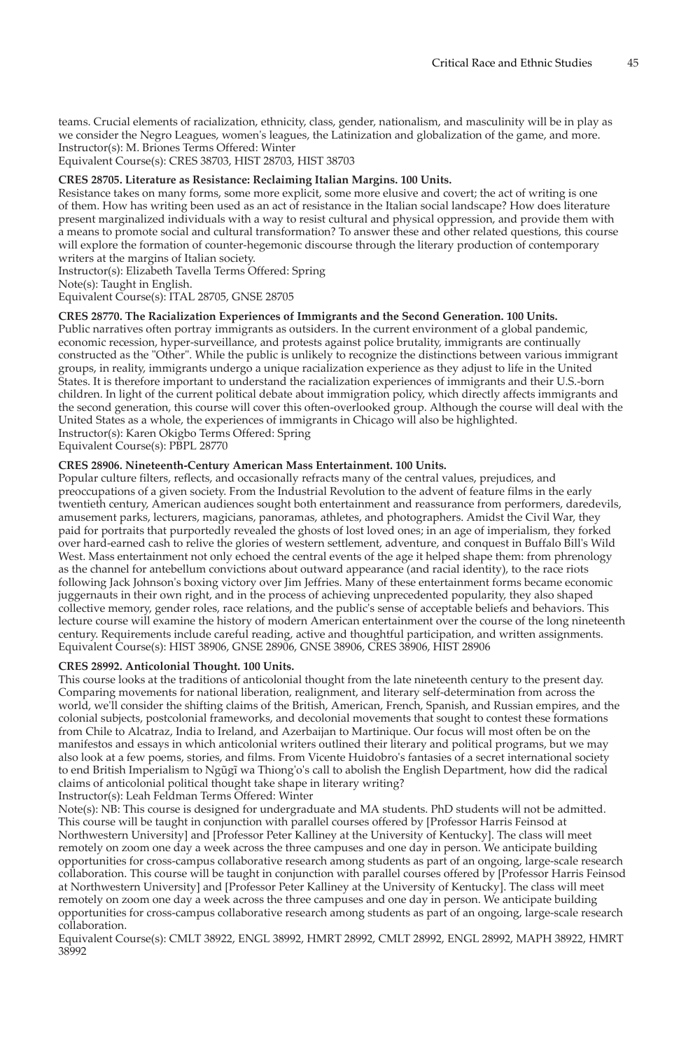teams. Crucial elements of racialization, ethnicity, class, gender, nationalism, and masculinity will be in play as we consider the Negro Leagues, women's leagues, the Latinization and globalization of the game, and more. Instructor(s): M. Briones Terms Offered: Winter

Equivalent Course(s): CRES 38703, HIST 28703, HIST 38703

#### **CRES 28705. Literature as Resistance: Reclaiming Italian Margins. 100 Units.**

Resistance takes on many forms, some more explicit, some more elusive and covert; the act of writing is one of them. How has writing been used as an act of resistance in the Italian social landscape? How does literature present marginalized individuals with a way to resist cultural and physical oppression, and provide them with a means to promote social and cultural transformation? To answer these and other related questions, this course will explore the formation of counter-hegemonic discourse through the literary production of contemporary writers at the margins of Italian society.

Instructor(s): Elizabeth Tavella Terms Offered: Spring

Note(s): Taught in English.

Equivalent Course(s): ITAL 28705, GNSE 28705

# **CRES 28770. The Racialization Experiences of Immigrants and the Second Generation. 100 Units.**

Public narratives often portray immigrants as outsiders. In the current environment of a global pandemic, economic recession, hyper-surveillance, and protests against police brutality, immigrants are continually constructed as the "Other". While the public is unlikely to recognize the distinctions between various immigrant groups, in reality, immigrants undergo a unique racialization experience as they adjust to life in the United States. It is therefore important to understand the racialization experiences of immigrants and their U.S.-born children. In light of the current political debate about immigration policy, which directly affects immigrants and the second generation, this course will cover this often-overlooked group. Although the course will deal with the United States as a whole, the experiences of immigrants in Chicago will also be highlighted. Instructor(s): Karen Okigbo Terms Offered: Spring

Equivalent Course(s): PBPL 28770

# **CRES 28906. Nineteenth-Century American Mass Entertainment. 100 Units.**

Popular culture filters, reflects, and occasionally refracts many of the central values, prejudices, and preoccupations of a given society. From the Industrial Revolution to the advent of feature films in the early twentieth century, American audiences sought both entertainment and reassurance from performers, daredevils, amusement parks, lecturers, magicians, panoramas, athletes, and photographers. Amidst the Civil War, they paid for portraits that purportedly revealed the ghosts of lost loved ones; in an age of imperialism, they forked over hard-earned cash to relive the glories of western settlement, adventure, and conquest in Buffalo Bill's Wild West. Mass entertainment not only echoed the central events of the age it helped shape them: from phrenology as the channel for antebellum convictions about outward appearance (and racial identity), to the race riots following Jack Johnson's boxing victory over Jim Jeffries. Many of these entertainment forms became economic juggernauts in their own right, and in the process of achieving unprecedented popularity, they also shaped collective memory, gender roles, race relations, and the public's sense of acceptable beliefs and behaviors. This lecture course will examine the history of modern American entertainment over the course of the long nineteenth century. Requirements include careful reading, active and thoughtful participation, and written assignments. Equivalent Course(s): HIST 38906, GNSE 28906, GNSE 38906, CRES 38906, HIST 28906

#### **CRES 28992. Anticolonial Thought. 100 Units.**

This course looks at the traditions of anticolonial thought from the late nineteenth century to the present day. Comparing movements for national liberation, realignment, and literary self-determination from across the world, we'll consider the shifting claims of the British, American, French, Spanish, and Russian empires, and the colonial subjects, postcolonial frameworks, and decolonial movements that sought to contest these formations from Chile to Alcatraz, India to Ireland, and Azerbaijan to Martinique. Our focus will most often be on the manifestos and essays in which anticolonial writers outlined their literary and political programs, but we may also look at a few poems, stories, and films. From Vicente Huidobro's fantasies of a secret international society to end British Imperialism to Ngũgĩ wa Thiong'o's call to abolish the English Department, how did the radical claims of anticolonial political thought take shape in literary writing?

Instructor(s): Leah Feldman Terms Offered: Winter

Note(s): NB: This course is designed for undergraduate and MA students. PhD students will not be admitted. This course will be taught in conjunction with parallel courses offered by [Professor Harris Feinsod at Northwestern University] and [Professor Peter Kalliney at the University of Kentucky]. The class will meet remotely on zoom one day a week across the three campuses and one day in person. We anticipate building opportunities for cross-campus collaborative research among students as part of an ongoing, large-scale research collaboration. This course will be taught in conjunction with parallel courses offered by [Professor Harris Feinsod at Northwestern University] and [Professor Peter Kalliney at the University of Kentucky]. The class will meet remotely on zoom one day a week across the three campuses and one day in person. We anticipate building opportunities for cross-campus collaborative research among students as part of an ongoing, large-scale research collaboration.

Equivalent Course(s): CMLT 38922, ENGL 38992, HMRT 28992, CMLT 28992, ENGL 28992, MAPH 38922, HMRT 38992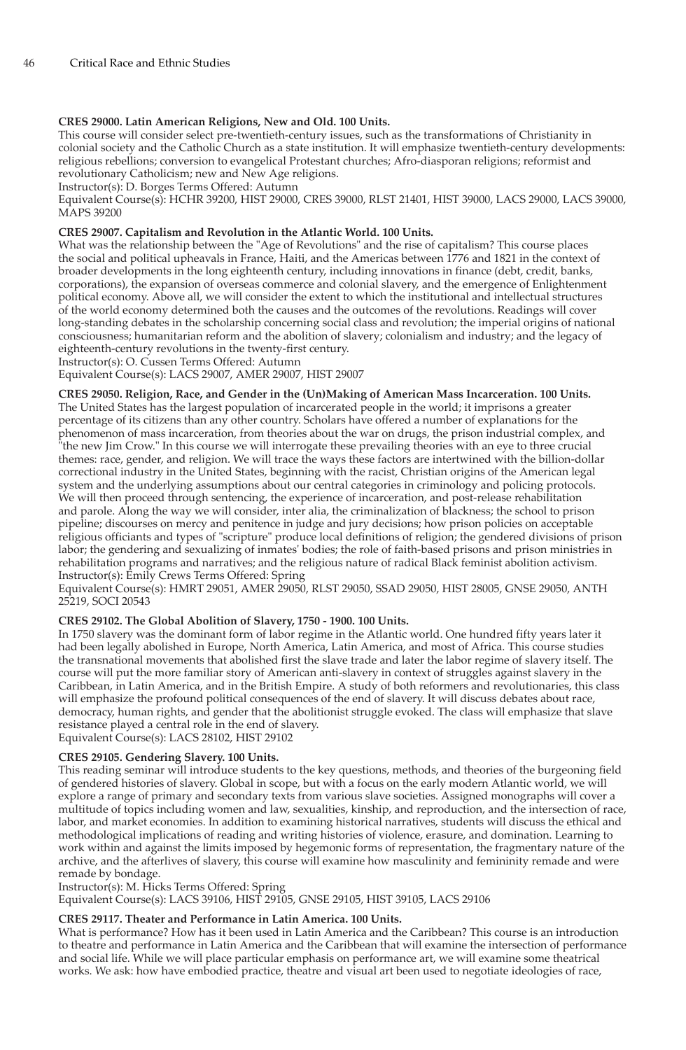# **CRES 29000. Latin American Religions, New and Old. 100 Units.**

This course will consider select pre-twentieth-century issues, such as the transformations of Christianity in colonial society and the Catholic Church as a state institution. It will emphasize twentieth-century developments: religious rebellions; conversion to evangelical Protestant churches; Afro-diasporan religions; reformist and revolutionary Catholicism; new and New Age religions.

Instructor(s): D. Borges Terms Offered: Autumn

Equivalent Course(s): HCHR 39200, HIST 29000, CRES 39000, RLST 21401, HIST 39000, LACS 29000, LACS 39000, MAPS 39200

#### **CRES 29007. Capitalism and Revolution in the Atlantic World. 100 Units.**

What was the relationship between the "Age of Revolutions" and the rise of capitalism? This course places the social and political upheavals in France, Haiti, and the Americas between 1776 and 1821 in the context of broader developments in the long eighteenth century, including innovations in finance (debt, credit, banks, corporations), the expansion of overseas commerce and colonial slavery, and the emergence of Enlightenment political economy. Above all, we will consider the extent to which the institutional and intellectual structures of the world economy determined both the causes and the outcomes of the revolutions. Readings will cover long-standing debates in the scholarship concerning social class and revolution; the imperial origins of national consciousness; humanitarian reform and the abolition of slavery; colonialism and industry; and the legacy of eighteenth-century revolutions in the twenty-first century.

Instructor(s): O. Cussen Terms Offered: Autumn

Equivalent Course(s): LACS 29007, AMER 29007, HIST 29007

**CRES 29050. Religion, Race, and Gender in the (Un)Making of American Mass Incarceration. 100 Units.** The United States has the largest population of incarcerated people in the world; it imprisons a greater percentage of its citizens than any other country. Scholars have offered a number of explanations for the phenomenon of mass incarceration, from theories about the war on drugs, the prison industrial complex, and "the new Jim Crow." In this course we will interrogate these prevailing theories with an eye to three crucial themes: race, gender, and religion. We will trace the ways these factors are intertwined with the billion-dollar correctional industry in the United States, beginning with the racist, Christian origins of the American legal system and the underlying assumptions about our central categories in criminology and policing protocols. We will then proceed through sentencing, the experience of incarceration, and post-release rehabilitation and parole. Along the way we will consider, inter alia, the criminalization of blackness; the school to prison pipeline; discourses on mercy and penitence in judge and jury decisions; how prison policies on acceptable religious officiants and types of "scripture" produce local definitions of religion; the gendered divisions of prison labor; the gendering and sexualizing of inmates' bodies; the role of faith-based prisons and prison ministries in rehabilitation programs and narratives; and the religious nature of radical Black feminist abolition activism. Instructor(s): Emily Crews Terms Offered: Spring

Equivalent Course(s): HMRT 29051, AMER 29050, RLST 29050, SSAD 29050, HIST 28005, GNSE 29050, ANTH 25219, SOCI 20543

# **CRES 29102. The Global Abolition of Slavery, 1750 - 1900. 100 Units.**

In 1750 slavery was the dominant form of labor regime in the Atlantic world. One hundred fifty years later it had been legally abolished in Europe, North America, Latin America, and most of Africa. This course studies the transnational movements that abolished first the slave trade and later the labor regime of slavery itself. The course will put the more familiar story of American anti-slavery in context of struggles against slavery in the Caribbean, in Latin America, and in the British Empire. A study of both reformers and revolutionaries, this class will emphasize the profound political consequences of the end of slavery. It will discuss debates about race, democracy, human rights, and gender that the abolitionist struggle evoked. The class will emphasize that slave resistance played a central role in the end of slavery.

Equivalent Course(s): LACS 28102, HIST 29102

#### **CRES 29105. Gendering Slavery. 100 Units.**

This reading seminar will introduce students to the key questions, methods, and theories of the burgeoning field of gendered histories of slavery. Global in scope, but with a focus on the early modern Atlantic world, we will explore a range of primary and secondary texts from various slave societies. Assigned monographs will cover a multitude of topics including women and law, sexualities, kinship, and reproduction, and the intersection of race, labor, and market economies. In addition to examining historical narratives, students will discuss the ethical and methodological implications of reading and writing histories of violence, erasure, and domination. Learning to work within and against the limits imposed by hegemonic forms of representation, the fragmentary nature of the archive, and the afterlives of slavery, this course will examine how masculinity and femininity remade and were remade by bondage.

Instructor(s): M. Hicks Terms Offered: Spring

Equivalent Course(s): LACS 39106, HIST 29105, GNSE 29105, HIST 39105, LACS 29106

#### **CRES 29117. Theater and Performance in Latin America. 100 Units.**

What is performance? How has it been used in Latin America and the Caribbean? This course is an introduction to theatre and performance in Latin America and the Caribbean that will examine the intersection of performance and social life. While we will place particular emphasis on performance art, we will examine some theatrical works. We ask: how have embodied practice, theatre and visual art been used to negotiate ideologies of race,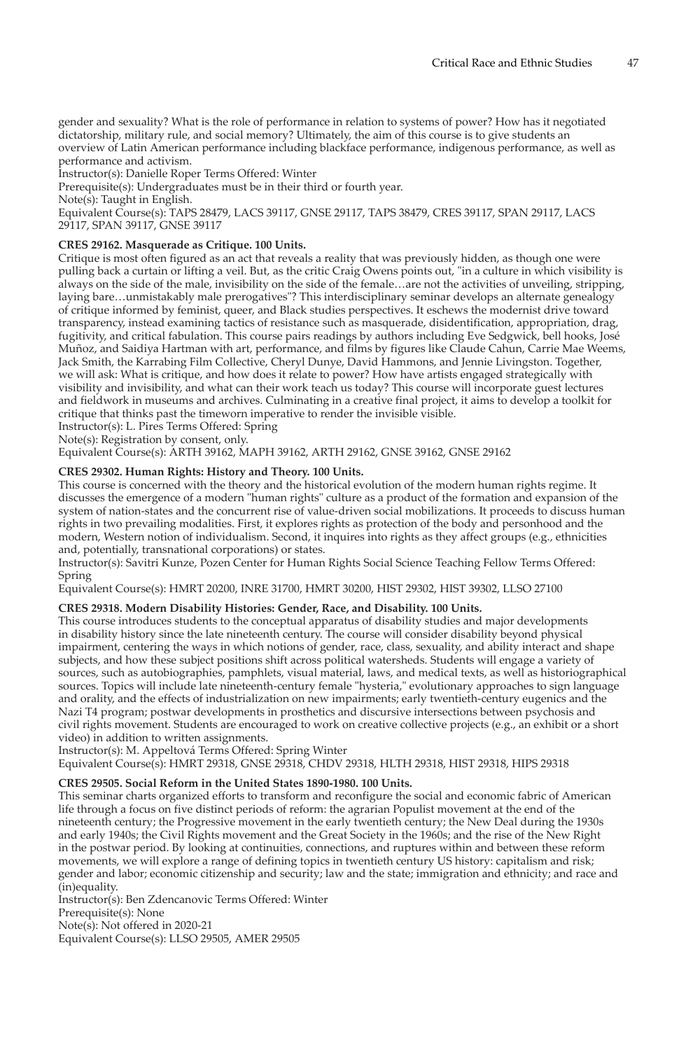gender and sexuality? What is the role of performance in relation to systems of power? How has it negotiated dictatorship, military rule, and social memory? Ultimately, the aim of this course is to give students an overview of Latin American performance including blackface performance, indigenous performance, as well as performance and activism.

Instructor(s): Danielle Roper Terms Offered: Winter

Prerequisite(s): Undergraduates must be in their third or fourth year.

Note(s): Taught in English.

Equivalent Course(s): TAPS 28479, LACS 39117, GNSE 29117, TAPS 38479, CRES 39117, SPAN 29117, LACS 29117, SPAN 39117, GNSE 39117

#### **CRES 29162. Masquerade as Critique. 100 Units.**

Critique is most often figured as an act that reveals a reality that was previously hidden, as though one were pulling back a curtain or lifting a veil. But, as the critic Craig Owens points out, "in a culture in which visibility is always on the side of the male, invisibility on the side of the female…are not the activities of unveiling, stripping, laying bare…unmistakably male prerogatives"? This interdisciplinary seminar develops an alternate genealogy of critique informed by feminist, queer, and Black studies perspectives. It eschews the modernist drive toward transparency, instead examining tactics of resistance such as masquerade, disidentification, appropriation, drag, fugitivity, and critical fabulation. This course pairs readings by authors including Eve Sedgwick, bell hooks, José Muñoz, and Saidiya Hartman with art, performance, and films by figures like Claude Cahun, Carrie Mae Weems, Jack Smith, the Karrabing Film Collective, Cheryl Dunye, David Hammons, and Jennie Livingston. Together, we will ask: What is critique, and how does it relate to power? How have artists engaged strategically with visibility and invisibility, and what can their work teach us today? This course will incorporate guest lectures and fieldwork in museums and archives. Culminating in a creative final project, it aims to develop a toolkit for critique that thinks past the timeworn imperative to render the invisible visible.

Instructor(s): L. Pires Terms Offered: Spring Note(s): Registration by consent, only.

Equivalent Course(s): ARTH 39162, MAPH 39162, ARTH 29162, GNSE 39162, GNSE 29162

# **CRES 29302. Human Rights: History and Theory. 100 Units.**

This course is concerned with the theory and the historical evolution of the modern human rights regime. It discusses the emergence of a modern "human rights" culture as a product of the formation and expansion of the system of nation-states and the concurrent rise of value-driven social mobilizations. It proceeds to discuss human rights in two prevailing modalities. First, it explores rights as protection of the body and personhood and the modern, Western notion of individualism. Second, it inquires into rights as they affect groups (e.g., ethnicities and, potentially, transnational corporations) or states.

Instructor(s): Savitri Kunze, Pozen Center for Human Rights Social Science Teaching Fellow Terms Offered: Spring

Equivalent Course(s): HMRT 20200, INRE 31700, HMRT 30200, HIST 29302, HIST 39302, LLSO 27100

#### **CRES 29318. Modern Disability Histories: Gender, Race, and Disability. 100 Units.**

This course introduces students to the conceptual apparatus of disability studies and major developments in disability history since the late nineteenth century. The course will consider disability beyond physical impairment, centering the ways in which notions of gender, race, class, sexuality, and ability interact and shape subjects, and how these subject positions shift across political watersheds. Students will engage a variety of sources, such as autobiographies, pamphlets, visual material, laws, and medical texts, as well as historiographical sources. Topics will include late nineteenth-century female "hysteria," evolutionary approaches to sign language and orality, and the effects of industrialization on new impairments; early twentieth-century eugenics and the Nazi T4 program; postwar developments in prosthetics and discursive intersections between psychosis and civil rights movement. Students are encouraged to work on creative collective projects (e.g., an exhibit or a short video) in addition to written assignments.

Instructor(s): M. Appeltová Terms Offered: Spring Winter

Equivalent Course(s): HMRT 29318, GNSE 29318, CHDV 29318, HLTH 29318, HIST 29318, HIPS 29318

#### **CRES 29505. Social Reform in the United States 1890-1980. 100 Units.**

This seminar charts organized efforts to transform and reconfigure the social and economic fabric of American life through a focus on five distinct periods of reform: the agrarian Populist movement at the end of the nineteenth century; the Progressive movement in the early twentieth century; the New Deal during the 1930s and early 1940s; the Civil Rights movement and the Great Society in the 1960s; and the rise of the New Right in the postwar period. By looking at continuities, connections, and ruptures within and between these reform movements, we will explore a range of defining topics in twentieth century US history: capitalism and risk; gender and labor; economic citizenship and security; law and the state; immigration and ethnicity; and race and (in)equality.

Instructor(s): Ben Zdencanovic Terms Offered: Winter Prerequisite(s): None Note(s): Not offered in 2020-21 Equivalent Course(s): LLSO 29505, AMER 29505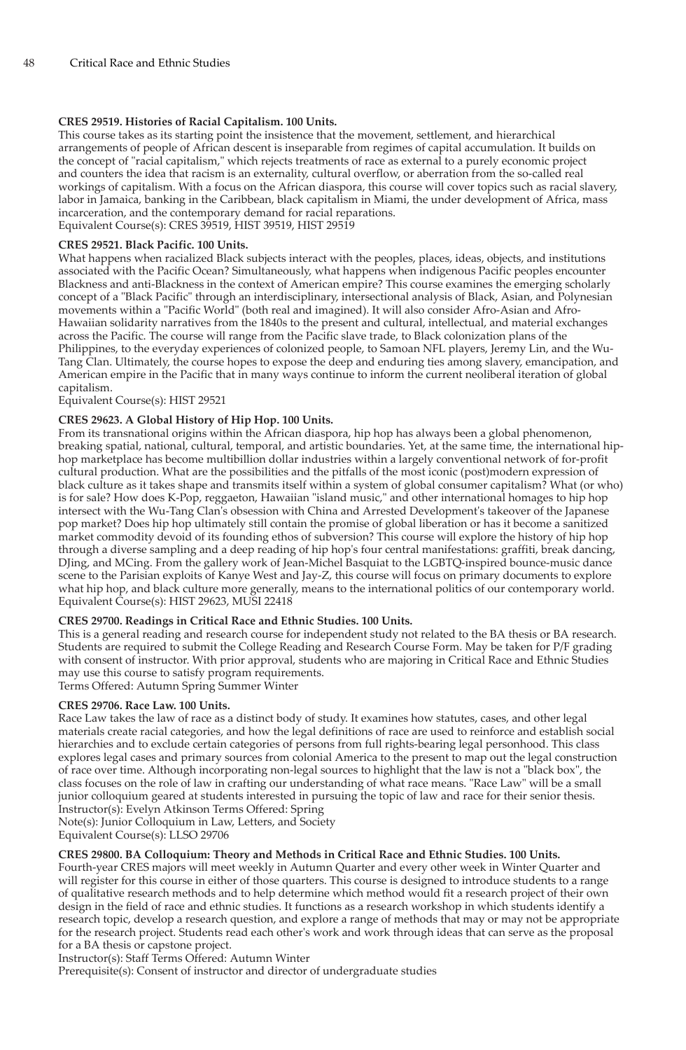# **CRES 29519. Histories of Racial Capitalism. 100 Units.**

This course takes as its starting point the insistence that the movement, settlement, and hierarchical arrangements of people of African descent is inseparable from regimes of capital accumulation. It builds on the concept of "racial capitalism," which rejects treatments of race as external to a purely economic project and counters the idea that racism is an externality, cultural overflow, or aberration from the so-called real workings of capitalism. With a focus on the African diaspora, this course will cover topics such as racial slavery, labor in Jamaica, banking in the Caribbean, black capitalism in Miami, the under development of Africa, mass incarceration, and the contemporary demand for racial reparations. Equivalent Course(s): CRES 39519, HIST 39519, HIST 29519

#### **CRES 29521. Black Pacific. 100 Units.**

What happens when racialized Black subjects interact with the peoples, places, ideas, objects, and institutions associated with the Pacific Ocean? Simultaneously, what happens when indigenous Pacific peoples encounter Blackness and anti-Blackness in the context of American empire? This course examines the emerging scholarly concept of a "Black Pacific" through an interdisciplinary, intersectional analysis of Black, Asian, and Polynesian movements within a "Pacific World" (both real and imagined). It will also consider Afro-Asian and Afro-Hawaiian solidarity narratives from the 1840s to the present and cultural, intellectual, and material exchanges across the Pacific. The course will range from the Pacific slave trade, to Black colonization plans of the Philippines, to the everyday experiences of colonized people, to Samoan NFL players, Jeremy Lin, and the Wu-Tang Clan. Ultimately, the course hopes to expose the deep and enduring ties among slavery, emancipation, and American empire in the Pacific that in many ways continue to inform the current neoliberal iteration of global capitalism.

Equivalent Course(s): HIST 29521

# **CRES 29623. A Global History of Hip Hop. 100 Units.**

From its transnational origins within the African diaspora, hip hop has always been a global phenomenon, breaking spatial, national, cultural, temporal, and artistic boundaries. Yet, at the same time, the international hiphop marketplace has become multibillion dollar industries within a largely conventional network of for-profit cultural production. What are the possibilities and the pitfalls of the most iconic (post)modern expression of black culture as it takes shape and transmits itself within a system of global consumer capitalism? What (or who) is for sale? How does K-Pop, reggaeton, Hawaiian "island music," and other international homages to hip hop intersect with the Wu-Tang Clan's obsession with China and Arrested Development's takeover of the Japanese pop market? Does hip hop ultimately still contain the promise of global liberation or has it become a sanitized market commodity devoid of its founding ethos of subversion? This course will explore the history of hip hop through a diverse sampling and a deep reading of hip hop's four central manifestations: graffiti, break dancing, DJing, and MCing. From the gallery work of Jean-Michel Basquiat to the LGBTQ-inspired bounce-music dance scene to the Parisian exploits of Kanye West and Jay-Z, this course will focus on primary documents to explore what hip hop, and black culture more generally, means to the international politics of our contemporary world. Equivalent Course(s): HIST 29623, MUSI 22418

# **CRES 29700. Readings in Critical Race and Ethnic Studies. 100 Units.**

This is a general reading and research course for independent study not related to the BA thesis or BA research. Students are required to submit the College Reading and Research Course Form. May be taken for P/F grading with consent of instructor. With prior approval, students who are majoring in Critical Race and Ethnic Studies may use this course to satisfy program requirements.

Terms Offered: Autumn Spring Summer Winter

# **CRES 29706. Race Law. 100 Units.**

Race Law takes the law of race as a distinct body of study. It examines how statutes, cases, and other legal materials create racial categories, and how the legal definitions of race are used to reinforce and establish social hierarchies and to exclude certain categories of persons from full rights-bearing legal personhood. This class explores legal cases and primary sources from colonial America to the present to map out the legal construction of race over time. Although incorporating non-legal sources to highlight that the law is not a "black box", the class focuses on the role of law in crafting our understanding of what race means. "Race Law" will be a small junior colloquium geared at students interested in pursuing the topic of law and race for their senior thesis. Instructor(s): Evelyn Atkinson Terms Offered: Spring

Note(s): Junior Colloquium in Law, Letters, and Society

Equivalent Course(s): LLSO 29706

# **CRES 29800. BA Colloquium: Theory and Methods in Critical Race and Ethnic Studies. 100 Units.**

Fourth-year CRES majors will meet weekly in Autumn Quarter and every other week in Winter Quarter and will register for this course in either of those quarters. This course is designed to introduce students to a range of qualitative research methods and to help determine which method would fit a research project of their own design in the field of race and ethnic studies. It functions as a research workshop in which students identify a research topic, develop a research question, and explore a range of methods that may or may not be appropriate for the research project. Students read each other's work and work through ideas that can serve as the proposal for a BA thesis or capstone project.

Instructor(s): Staff Terms Offered: Autumn Winter

Prerequisite(s): Consent of instructor and director of undergraduate studies